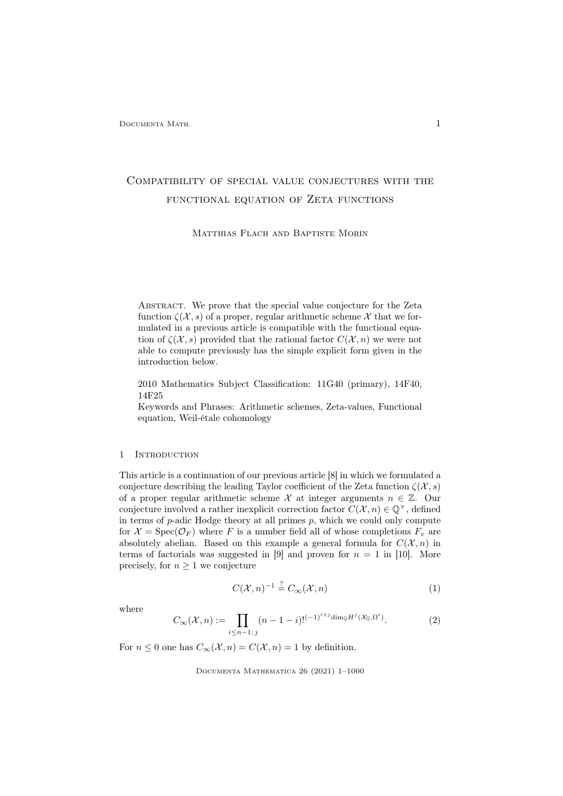# Compatibility of special value conjectures with the FUNCTIONAL EQUATION OF ZETA FUNCTIONS

Matthias Flach and Baptiste Morin

Abstract. We prove that the special value conjecture for the Zeta function  $\zeta(\mathcal{X}, s)$  of a proper, regular arithmetic scheme X that we formulated in a previous article is compatible with the functional equation of  $\zeta(\mathcal{X}, s)$  provided that the rational factor  $C(\mathcal{X}, n)$  we were not able to compute previously has the simple explicit form given in the introduction below.

2010 Mathematics Subject Classification: 11G40 (primary), 14F40, 14F25

Keywords and Phrases: Arithmetic schemes, Zeta-values, Functional equation, Weil-étale cohomology

### 1 Introduction

This article is a continuation of our previous article [8] in which we formulated a conjecture describing the leading Taylor coefficient of the Zeta function  $\zeta(\mathcal{X}, s)$ of a proper regular arithmetic scheme X at integer arguments  $n \in \mathbb{Z}$ . Our conjecture involved a rather inexplicit correction factor  $C(\mathcal{X}, n) \in \mathbb{Q}^{\times}$ , defined in terms of  $p$ -adic Hodge theory at all primes  $p$ , which we could only compute for  $\mathcal{X} = \text{Spec}(\mathcal{O}_F)$  where F is a number field all of whose completions  $F_v$  are absolutely abelian. Based on this example a general formula for  $C(\mathcal{X}, n)$  in terms of factorials was suggested in [9] and proven for  $n = 1$  in [10]. More precisely, for  $n \geq 1$  we conjecture

$$
C(\mathcal{X}, n)^{-1} \stackrel{?}{=} C_{\infty}(\mathcal{X}, n)
$$
 (1)

where

$$
C_{\infty}(\mathcal{X}, n) := \prod_{i \le n-1; j} (n-1-i)!^{(-1)^{i+j} \dim_{\mathbb{Q}} H^j(\mathcal{X}_{\mathbb{Q}}, \Omega^i)}.
$$
 (2)

For  $n \leq 0$  one has  $C_{\infty}(\mathcal{X}, n) = C(\mathcal{X}, n) = 1$  by definition.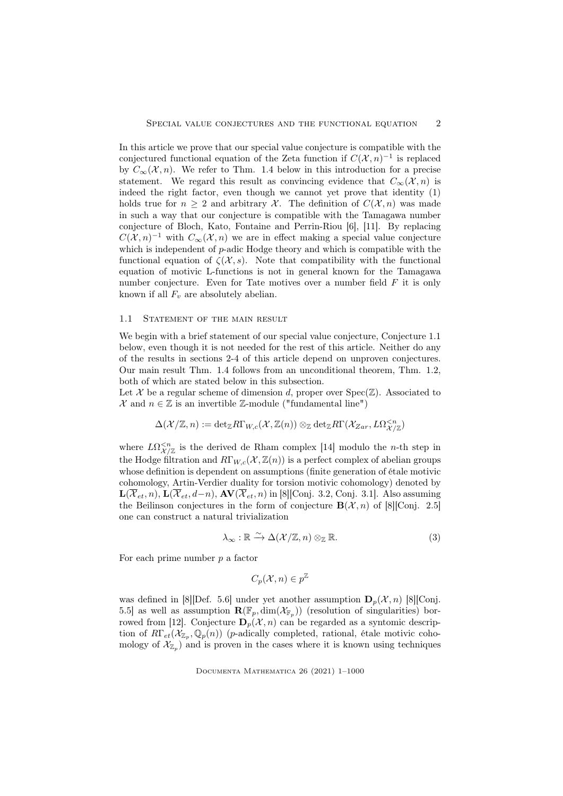In this article we prove that our special value conjecture is compatible with the conjectured functional equation of the Zeta function if  $C(\mathcal{X}, n)^{-1}$  is replaced by  $C_{\infty}(\mathcal{X}, n)$ . We refer to Thm. 1.4 below in this introduction for a precise statement. We regard this result as convincing evidence that  $C_{\infty}(\mathcal{X}, n)$  is indeed the right factor, even though we cannot yet prove that identity (1) holds true for  $n > 2$  and arbitrary X. The definition of  $C(\mathcal{X}, n)$  was made in such a way that our conjecture is compatible with the Tamagawa number conjecture of Bloch, Kato, Fontaine and Perrin-Riou [6], [11]. By replacing  $C(\mathcal{X}, n)^{-1}$  with  $C_{\infty}(\mathcal{X}, n)$  we are in effect making a special value conjecture which is independent of p-adic Hodge theory and which is compatible with the functional equation of  $\zeta(\mathcal{X}, s)$ . Note that compatibility with the functional equation of motivic L-functions is not in general known for the Tamagawa number conjecture. Even for Tate motives over a number field F it is only known if all  $F_v$  are absolutely abelian.

### 1.1 STATEMENT OF THE MAIN RESULT

We begin with a brief statement of our special value conjecture, Conjecture 1.1 below, even though it is not needed for the rest of this article. Neither do any of the results in sections 2-4 of this article depend on unproven conjectures. Our main result Thm. 1.4 follows from an unconditional theorem, Thm. 1.2, both of which are stated below in this subsection.

Let X be a regular scheme of dimension d, proper over  $Spec(\mathbb{Z})$ . Associated to  $\mathcal{X}$  and  $n \in \mathbb{Z}$  is an invertible  $\mathbb{Z}$ -module ("fundamental line")

$$
\Delta(\mathcal{X}/\mathbb{Z},n):=\mathrm{det}_{\mathbb{Z}}R\Gamma_{W,c}(\mathcal{X},\mathbb{Z}(n))\otimes_{\mathbb{Z}}\mathrm{det}_{\mathbb{Z}}R\Gamma(\mathcal{X}_{Zar},L\Omega^{
$$

where  $L\Omega_{\mathcal{X}/\mathbb{Z}}^{\leq n}$  is the derived de Rham complex [14] modulo the *n*-th step in the Hodge filtration and  $R\Gamma_{W,c}(\mathcal{X}, \mathbb{Z}(n))$  is a perfect complex of abelian groups whose definition is dependent on assumptions (finite generation of étale motivic cohomology, Artin-Verdier duality for torsion motivic cohomology) denoted by  $\mathbf{L}(\overline{\mathcal{X}}_{et}, n)$ ,  $\mathbf{L}(\overline{\mathcal{X}}_{et}, d-n)$ ,  $\mathbf{AV}(\overline{\mathcal{X}}_{et}, n)$  in [8][Conj. 3.2, Conj. 3.1]. Also assuming the Beilinson conjectures in the form of conjecture  $\mathbf{B}(\mathcal{X}, n)$  of [8][Conj. 2.5] one can construct a natural trivialization

$$
\lambda_{\infty} : \mathbb{R} \xrightarrow{\sim} \Delta(\mathcal{X}/\mathbb{Z}, n) \otimes_{\mathbb{Z}} \mathbb{R}.
$$
 (3)

For each prime number  $p$  a factor

$$
C_p(\mathcal{X}, n) \in p^{\mathbb{Z}}
$$

was defined in [8][Def. 5.6] under yet another assumption  $\mathbf{D}_n(\mathcal{X}, n)$  [8][Conj. 5.5] as well as assumption  $\mathbf{R}(\mathbb{F}_p, \dim(\mathcal{X}_{\mathbb{F}_p}))$  (resolution of singularities) borrowed from [12]. Conjecture  $\mathbf{D}_p(\mathcal{X}, n)$  can be regarded as a syntomic description of  $R\Gamma_{et}(\mathcal{X}_{\mathbb{Z}_p},\mathbb{Q}_p(n))$  (*p*-adically completed, rational, étale motivic cohomology of  $\mathcal{X}_{\mathbb{Z}_p}$  and is proven in the cases where it is known using techniques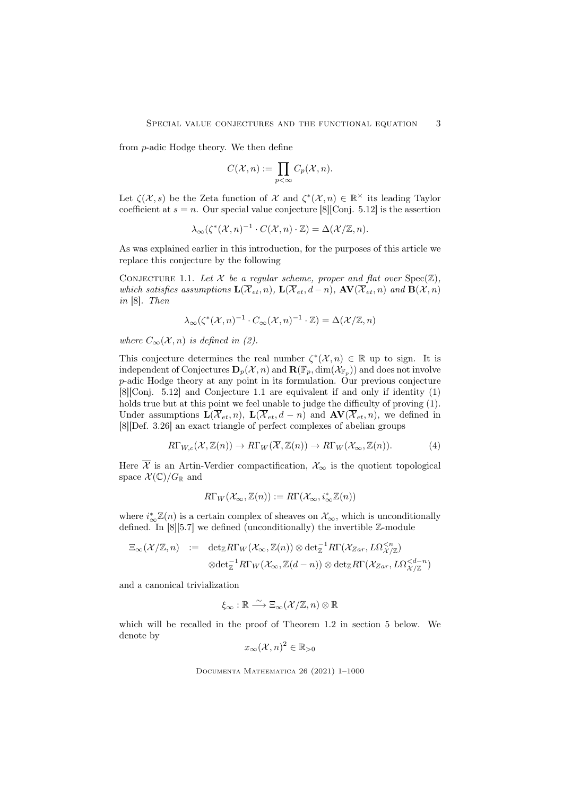from p-adic Hodge theory. We then define

$$
C(\mathcal{X}, n) := \prod_{p < \infty} C_p(\mathcal{X}, n).
$$

Let  $\zeta(\mathcal{X}, s)$  be the Zeta function of X and  $\zeta^*(\mathcal{X}, n) \in \mathbb{R}^\times$  its leading Taylor coefficient at  $s = n$ . Our special value conjecture [8][Conj. 5.12] is the assertion

$$
\lambda_{\infty}(\zeta^*(\mathcal{X}, n)^{-1} \cdot C(\mathcal{X}, n) \cdot \mathbb{Z}) = \Delta(\mathcal{X}/\mathbb{Z}, n).
$$

As was explained earlier in this introduction, for the purposes of this article we replace this conjecture by the following

CONJECTURE 1.1. Let  $\mathcal X$  be a regular scheme, proper and flat over  $Spec(\mathbb Z)$ , which satisfies assumptions  $\mathbf{L}(\overline{\mathcal{X}}_{et}, n)$ ,  $\mathbf{L}(\overline{\mathcal{X}}_{et}, d-n)$ ,  $\mathbf{AV}(\overline{\mathcal{X}}_{et}, n)$  and  $\mathbf{B}(\mathcal{X}, n)$ in [8]. Then

$$
\lambda_\infty(\zeta^*(\mathcal{X},n)^{-1}\cdot C_\infty(\mathcal{X},n)^{-1}\cdot\mathbb{Z})=\Delta(\mathcal{X}/\mathbb{Z},n)
$$

where  $C_{\infty}(\mathcal{X}, n)$  is defined in (2).

This conjecture determines the real number  $\zeta^*(\mathcal{X}, n) \in \mathbb{R}$  up to sign. It is independent of Conjectures  $\mathbf{D}_p(\mathcal{X}, n)$  and  $\mathbf{R}(\mathbb{F}_p, \dim(\mathcal{X}_{\mathbb{F}_p}))$  and does not involve p-adic Hodge theory at any point in its formulation. Our previous conjecture [8][Conj. 5.12] and Conjecture 1.1 are equivalent if and only if identity (1) holds true but at this point we feel unable to judge the difficulty of proving (1). Under assumptions  $\mathbf{L}(\overline{\mathcal{X}}_{et}, n)$ ,  $\mathbf{L}(\overline{\mathcal{X}}_{et}, d - n)$  and  $\mathbf{AV}(\overline{\mathcal{X}}_{et}, n)$ , we defined in [8][Def. 3.26] an exact triangle of perfect complexes of abelian groups

$$
R\Gamma_{W,c}(\mathcal{X},\mathbb{Z}(n)) \to R\Gamma_W(\overline{\mathcal{X}},\mathbb{Z}(n)) \to R\Gamma_W(\mathcal{X}_{\infty},\mathbb{Z}(n)).
$$
 (4)

Here  $\overline{\mathcal{X}}$  is an Artin-Verdier compactification,  $\mathcal{X}_{\infty}$  is the quotient topological space  $\mathcal{X}(\mathbb{C})/G_{\mathbb{R}}$  and

$$
R\Gamma_W(\mathcal{X}_{\infty}, \mathbb{Z}(n)) := R\Gamma(\mathcal{X}_{\infty}, i_{\infty}^*\mathbb{Z}(n))
$$

where  $i_{\infty}^* \mathbb{Z}(n)$  is a certain complex of sheaves on  $\mathcal{X}_{\infty}$ , which is unconditionally defined. In  $[8][5.7]$  we defined (unconditionally) the invertible  $\mathbb{Z}$ -module

$$
\Xi_{\infty}(\mathcal{X}/\mathbb{Z},n) := \det_{\mathbb{Z}} R\Gamma_W(\mathcal{X}_{\infty},\mathbb{Z}(n)) \otimes \det_{\mathbb{Z}}^{-1} R\Gamma(\mathcal{X}_{Zar},L\Omega_{\mathcal{X}/\mathbb{Z}}^{  

$$
\otimes \det_{\mathbb{Z}}^{-1} R\Gamma_W(\mathcal{X}_{\infty},\mathbb{Z}(d-n)) \otimes \det_{\mathbb{Z}} R\Gamma(\mathcal{X}_{Zar},L\Omega_{\mathcal{X}/\mathbb{Z}}^{
$$
$$

and a canonical trivialization

$$
\xi_{\infty} : \mathbb{R} \xrightarrow{\sim} \Xi_{\infty}(\mathcal{X}/\mathbb{Z}, n) \otimes \mathbb{R}
$$

which will be recalled in the proof of Theorem 1.2 in section 5 below. We denote by

$$
x_{\infty}(\mathcal{X}, n)^2 \in \mathbb{R}_{>0}
$$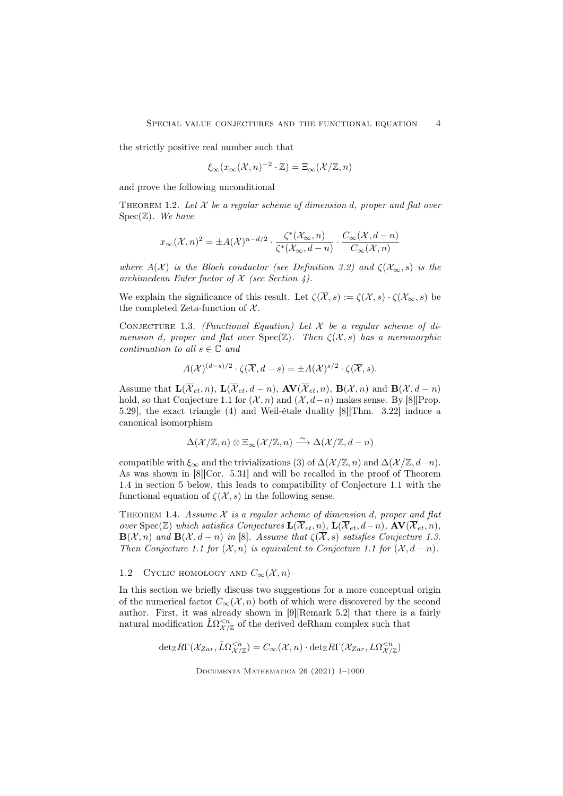the strictly positive real number such that

$$
\xi_{\infty}(x_{\infty}(\mathcal{X},n)^{-2}\cdot\mathbb{Z})=\Xi_{\infty}(\mathcal{X}/\mathbb{Z},n)
$$

and prove the following unconditional

THEOREM 1.2. Let  $X$  be a regular scheme of dimension d, proper and flat over  $Spec(\mathbb{Z})$ . We have

$$
x_{\infty}(\mathcal{X},n)^2 = \pm A(\mathcal{X})^{n-d/2} \cdot \frac{\zeta^*(\mathcal{X}_{\infty},n)}{\zeta^*(\mathcal{X}_{\infty},d-n)} \cdot \frac{C_{\infty}(\mathcal{X},d-n)}{C_{\infty}(\mathcal{X},n)}
$$

where  $A(\mathcal{X})$  is the Bloch conductor (see Definition 3.2) and  $\zeta(\mathcal{X}_{\infty},s)$  is the archimedean Euler factor of  $X$  (see Section 4).

We explain the significance of this result. Let  $\zeta(\overline{\mathcal{X}}, s) := \zeta(\mathcal{X}, s) \cdot \zeta(\mathcal{X}_{\infty}, s)$  be the completed Zeta-function of  $X$ .

CONJECTURE 1.3. (Functional Equation) Let  $X$  be a regular scheme of dimension d, proper and flat over  $Spec(\mathbb{Z})$ . Then  $\zeta(\mathcal{X}, s)$  has a meromorphic continuation to all  $s \in \mathbb{C}$  and

$$
A(\mathcal{X})^{(d-s)/2} \cdot \zeta(\overline{\mathcal{X}}, d-s) = \pm A(\mathcal{X})^{s/2} \cdot \zeta(\overline{\mathcal{X}}, s).
$$

Assume that  $\mathbf{L}(\overline{\mathcal{X}}_{et}, n)$ ,  $\mathbf{L}(\overline{\mathcal{X}}_{et}, d - n)$ ,  $\mathbf{AV}(\overline{\mathcal{X}}_{et}, n)$ ,  $\mathbf{B}(\mathcal{X}, n)$  and  $\mathbf{B}(\mathcal{X}, d - n)$ hold, so that Conjecture 1.1 for  $(\mathcal{X}, n)$  and  $(\mathcal{X}, d-n)$  makes sense. By [8][Prop. 5.29], the exact triangle (4) and Weil-étale duality [8][Thm. 3.22] induce a canonical isomorphism

$$
\Delta(\mathcal{X}/\mathbb{Z}, n) \otimes \Xi_{\infty}(\mathcal{X}/\mathbb{Z}, n) \xrightarrow{\sim} \Delta(\mathcal{X}/\mathbb{Z}, d - n)
$$

compatible with  $\xi_{\infty}$  and the trivializations (3) of  $\Delta(\mathcal{X}/\mathbb{Z}, n)$  and  $\Delta(\mathcal{X}/\mathbb{Z}, d-n)$ . As was shown in [8][Cor. 5.31] and will be recalled in the proof of Theorem 1.4 in section 5 below, this leads to compatibility of Conjecture 1.1 with the functional equation of  $\zeta(\mathcal{X}, s)$  in the following sense.

THEOREM 1.4. Assume  $X$  is a regular scheme of dimension d, proper and flat over Spec( $\mathbb{Z}$ ) which satisfies Conjectures  $\mathbf{L}(\overline{\mathcal{X}}_{et}, n)$ ,  $\mathbf{L}(\overline{\mathcal{X}}_{et}, d-n)$ ,  $\mathbf{AV}(\overline{\mathcal{X}}_{et}, n)$ ,  $\mathbf{B}(\mathcal{X}, n)$  and  $\mathbf{B}(\mathcal{X}, d - n)$  in [8]. Assume that  $\zeta(\overline{\mathcal{X}}, s)$  satisfies Conjecture 1.3. Then Conjecture 1.1 for  $(X, n)$  is equivalent to Conjecture 1.1 for  $(X, d - n)$ .

## 1.2 CYCLIC HOMOLOGY AND  $C_{\infty}(\mathcal{X}, n)$

In this section we briefly discuss two suggestions for a more conceptual origin of the numerical factor  $C_{\infty}(\mathcal{X}, n)$  both of which were discovered by the second author. First, it was already shown in [9][Remark 5.2] that there is a fairly natural modification  $\tilde{L}\Omega_{\mathcal{X}/\mathbb{Z}}^{ of the derived deRham complex such that$ 

$$
\mathrm{det}_{\mathbb{Z}}R\Gamma(\mathcal{X}_{Zar},\tilde{L}\Omega^{
$$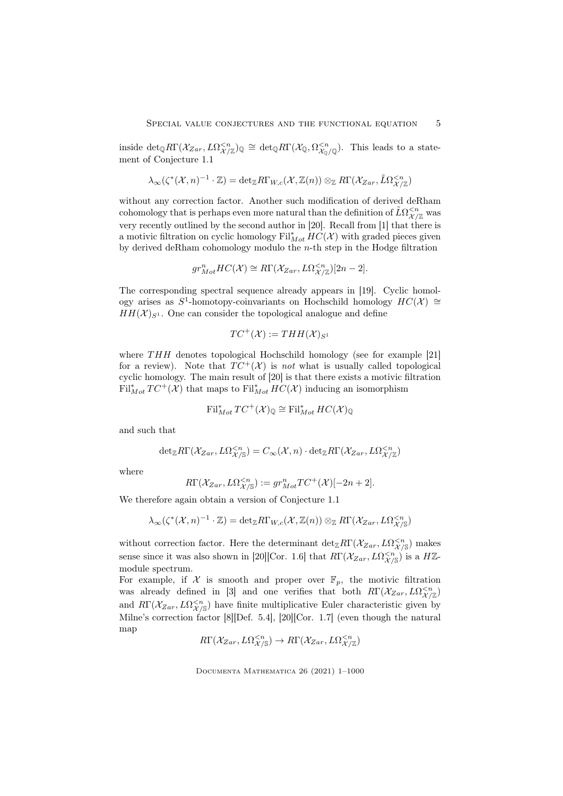inside  $\det_{\mathbb{Q}} R\Gamma(\mathcal{X}_{Zar}, L\Omega_{\mathcal{X}/\mathbb{Z}}^{< n})_{\mathbb{Q}} \cong \det_{\mathbb{Q}} R\Gamma(\mathcal{X}_{\mathbb{Q}}, \Omega_{\mathcal{X}_{\mathbb{Q}}/\mathbb{Q}}^{< n})$ . This leads to a statement of Conjecture 1.1

$$
\lambda_\infty(\zeta^*(\mathcal{X},n)^{-1}\cdot \mathbb{Z})=\mathrm{det}_{\mathbb{Z}}R\Gamma_{W,c}(\mathcal{X},\mathbb{Z}(n))\otimes_{\mathbb{Z}}R\Gamma(\mathcal{X}_{Zar},\tilde{L}\Omega^{
$$

without any correction factor. Another such modification of derived deRham cohomology that is perhaps even more natural than the definition of  $\tilde L \Omega^{< n}_{\mathcal{X}/\mathbb{Z}}$  was very recently outlined by the second author in [20]. Recall from [1] that there is a motivic filtration on cyclic homology  $\mathrm{Fil}^*_{Mot} H\dot{C}(\mathcal{X})$  with graded pieces given by derived deRham cohomology modulo the  $n$ -th step in the Hodge filtration

$$
gr^n_{Mot}HC(\mathcal{X}) \cong R\Gamma(\mathcal{X}_{Zar}, L\Omega^{
$$

The corresponding spectral sequence already appears in [19]. Cyclic homology arises as  $S^1$ -homotopy-coinvariants on Hochschild homology  $HC(X) \cong$  $HH(X)_{S^1}$ . One can consider the topological analogue and define

$$
TC^+(\mathcal{X}) := THH(\mathcal{X})_{S^1}
$$

where  $THH$  denotes topological Hochschild homology (see for example [21] for a review). Note that  $TC^+(\mathcal{X})$  is not what is usually called topological cyclic homology. The main result of [20] is that there exists a motivic filtration  $\mathrm{Fil}_{Mot}^*TC^+(\mathcal{X})$  that maps to  $\mathrm{Fil}_{Mot}^*HC(\mathcal{X})$  inducing an isomorphism

$$
\text{Fil}^*_{Mot} \text{TC}^+(\mathcal{X})_\mathbb{Q} \cong \text{Fil}^*_{Mot} \text{HC}(\mathcal{X})_\mathbb{Q}
$$

and such that

$$
\mathrm{det}_{\mathbb{Z}} R\Gamma(\mathcal{X}_{Zar}, L\Omega^{
$$

where

$$
R\Gamma(\mathcal{X}_{Zar}, L\Omega^{
$$

We therefore again obtain a version of Conjecture 1.1

$$
\lambda_{\infty}(\zeta^*(\mathcal{X},n)^{-1}\cdot \mathbb{Z})=\operatorname{det}_{\mathbb{Z}} R\Gamma_{W,c}(\mathcal{X},\mathbb{Z}(n))\otimes_{\mathbb{Z}} R\Gamma(\mathcal{X}_{Zar},L\Omega^{
$$

without correction factor. Here the determinant  $\det_{\mathbb{Z}} R\Gamma(\mathcal{X}_{Zar}, L\Omega^{ makes$ sense since it was also shown in [20][Cor. 1.6] that  $R\Gamma(\mathcal{X}_{Zar}, L\Omega^{ is a  $H\mathbb{Z}$$ module spectrum.

For example, if X is smooth and proper over  $\mathbb{F}_p$ , the motivic filtration was already defined in [3] and one verifies that both  $R\Gamma(\mathcal{X}_{Zar}, L\Omega_{\mathcal{X}/\mathbb{Z}}^{$ and  $R\Gamma(\mathcal{X}_{Zar}, L\Omega_{\mathcal{X}/S}^{< n})$  have finite multiplicative Euler characteristic given by Milne's correction factor [8][Def. 5.4], [20][Cor. 1.7] (even though the natural map

$$
R\Gamma(\mathcal{X}_{Zar}, L\Omega^{
$$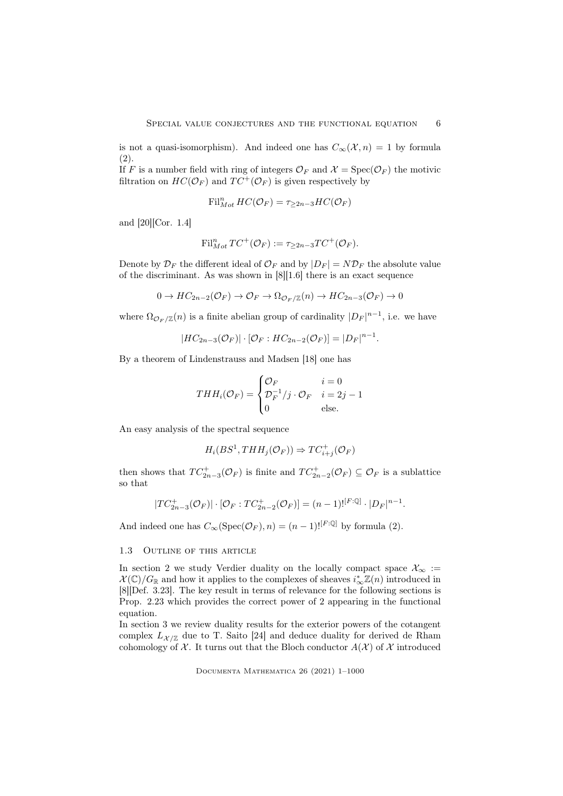is not a quasi-isomorphism). And indeed one has  $C_{\infty}(\mathcal{X}, n) = 1$  by formula (2).

If F is a number field with ring of integers  $\mathcal{O}_F$  and  $\mathcal{X} = \text{Spec}(\mathcal{O}_F)$  the motivic filtration on  $HC(\mathcal{O}_F)$  and  $TC^+(\mathcal{O}_F)$  is given respectively by

$$
\mathrm{Fil}^n_{Mot} \, HC({\mathcal O}_F) = \tau_{\geq 2n-3} HC({\mathcal O}_F)
$$

and [20][Cor. 1.4]

$$
\mathrm{Fil}^n_{Mot} TC^+(\mathcal{O}_F) := \tau_{\geq 2n-3} TC^+(\mathcal{O}_F).
$$

Denote by  $\mathcal{D}_F$  the different ideal of  $\mathcal{O}_F$  and by  $|D_F| = N \mathcal{D}_F$  the absolute value of the discriminant. As was shown in [8][1.6] there is an exact sequence

$$
0 \to HC_{2n-2}(\mathcal{O}_F) \to \mathcal{O}_F \to \Omega_{\mathcal{O}_F/\mathbb{Z}}(n) \to HC_{2n-3}(\mathcal{O}_F) \to 0
$$

where  $\Omega_{\mathcal{O}_F/\mathbb{Z}}(n)$  is a finite abelian group of cardinality  $|D_F|^{n-1}$ , i.e. we have

$$
|HC_{2n-3}(\mathcal{O}_F)|\cdot [\mathcal{O}_F:HC_{2n-2}(\mathcal{O}_F)] = |D_F|^{n-1}.
$$

By a theorem of Lindenstrauss and Madsen [18] one has

$$
THH_i(\mathcal{O}_F) = \begin{cases} \mathcal{O}_F & i = 0\\ \mathcal{D}_F^{-1}/j \cdot \mathcal{O}_F & i = 2j - 1\\ 0 & \text{else.} \end{cases}
$$

An easy analysis of the spectral sequence

$$
H_i(BS^1, THH_j(\mathcal{O}_F)) \Rightarrow TC_{i+j}^+(\mathcal{O}_F)
$$

then shows that  $TC_{2n-3}^+(\mathcal{O}_F)$  is finite and  $TC_{2n-2}^+(\mathcal{O}_F) \subseteq \mathcal{O}_F$  is a sublattice so that

$$
|TC_{2n-3}^{+}(\mathcal{O}_{F})| \cdot [\mathcal{O}_{F} : TC_{2n-2}^{+}(\mathcal{O}_{F})] = (n-1)!^{[F:\mathbb{Q}]} \cdot |D_{F}|^{n-1}.
$$

And indeed one has  $C_{\infty}(\text{Spec}(\mathcal{O}_F), n) = (n-1)!^{[F:\mathbb{Q}]}$  by formula (2).

#### 1.3 Outline of this article

In section 2 we study Verdier duality on the locally compact space  $\mathcal{X}_{\infty}$  :=  $\mathcal{X}(\mathbb{C})/G_{\mathbb{R}}$  and how it applies to the complexes of sheaves  $i_{\infty}^*\mathbb{Z}(n)$  introduced in [8][Def. 3.23]. The key result in terms of relevance for the following sections is Prop. 2.23 which provides the correct power of 2 appearing in the functional equation.

In section 3 we review duality results for the exterior powers of the cotangent complex  $L_{\mathcal{X}/\mathbb{Z}}$  due to T. Saito [24] and deduce duality for derived de Rham cohomology of  $\mathcal X$ . It turns out that the Bloch conductor  $A(\mathcal X)$  of  $\mathcal X$  introduced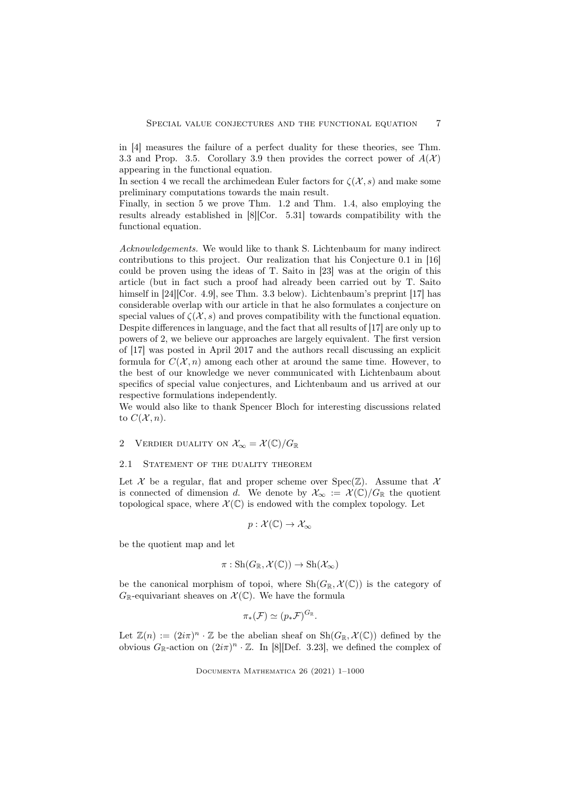in [4] measures the failure of a perfect duality for these theories, see Thm. 3.3 and Prop. 3.5. Corollary 3.9 then provides the correct power of  $A(\mathcal{X})$ appearing in the functional equation.

In section 4 we recall the archimedean Euler factors for  $\zeta(\mathcal{X},s)$  and make some preliminary computations towards the main result.

Finally, in section 5 we prove Thm. 1.2 and Thm. 1.4, also employing the results already established in [8][Cor. 5.31] towards compatibility with the functional equation.

Acknowledgements. We would like to thank S. Lichtenbaum for many indirect contributions to this project. Our realization that his Conjecture 0.1 in [16] could be proven using the ideas of T. Saito in [23] was at the origin of this article (but in fact such a proof had already been carried out by T. Saito himself in [24][Cor. 4.9], see Thm. 3.3 below). Lichtenbaum's preprint [17] has considerable overlap with our article in that he also formulates a conjecture on special values of  $\zeta(\mathcal{X}, s)$  and proves compatibility with the functional equation. Despite differences in language, and the fact that all results of [17] are only up to powers of 2, we believe our approaches are largely equivalent. The first version of [17] was posted in April 2017 and the authors recall discussing an explicit formula for  $C(\mathcal{X}, n)$  among each other at around the same time. However, to the best of our knowledge we never communicated with Lichtenbaum about specifics of special value conjectures, and Lichtenbaum and us arrived at our respective formulations independently.

We would also like to thank Spencer Bloch for interesting discussions related to  $C(\mathcal{X}, n)$ .

2 VERDIER DUALITY ON  $\mathcal{X}_{\infty} = \mathcal{X}(\mathbb{C})/G_{\mathbb{R}}$ 

### 2.1 STATEMENT OF THE DUALITY THEOREM

Let X be a regular, flat and proper scheme over  $Spec(\mathbb{Z})$ . Assume that X is connected of dimension d. We denote by  $\mathcal{X}_{\infty} := \mathcal{X}(\mathbb{C})/G_{\mathbb{R}}$  the quotient topological space, where  $\mathcal{X}(\mathbb{C})$  is endowed with the complex topology. Let

$$
p: \mathcal{X}(\mathbb{C}) \to \mathcal{X}_{\infty}
$$

be the quotient map and let

$$
\pi: \mathrm{Sh}(G_{\mathbb{R}}, \mathcal{X}(\mathbb{C})) \to \mathrm{Sh}(\mathcal{X}_{\infty})
$$

be the canonical morphism of topoi, where  $\text{Sh}(G_{\mathbb{R}}, \mathcal{X}(\mathbb{C}))$  is the category of  $G_{\mathbb{R}}$ -equivariant sheaves on  $\mathcal{X}(\mathbb{C})$ . We have the formula

$$
\pi_*({\mathcal F}) \simeq (p_*{\mathcal F})^{G_{\mathbb R}}.
$$

Let  $\mathbb{Z}(n) := (2i\pi)^n \cdot \mathbb{Z}$  be the abelian sheaf on  $\text{Sh}(G_{\mathbb{R}}, \mathcal{X}(\mathbb{C}))$  defined by the obvious  $G_{\mathbb{R}}$ -action on  $(2i\pi)^n \cdot \mathbb{Z}$ . In [8] [Def. 3.23], we defined the complex of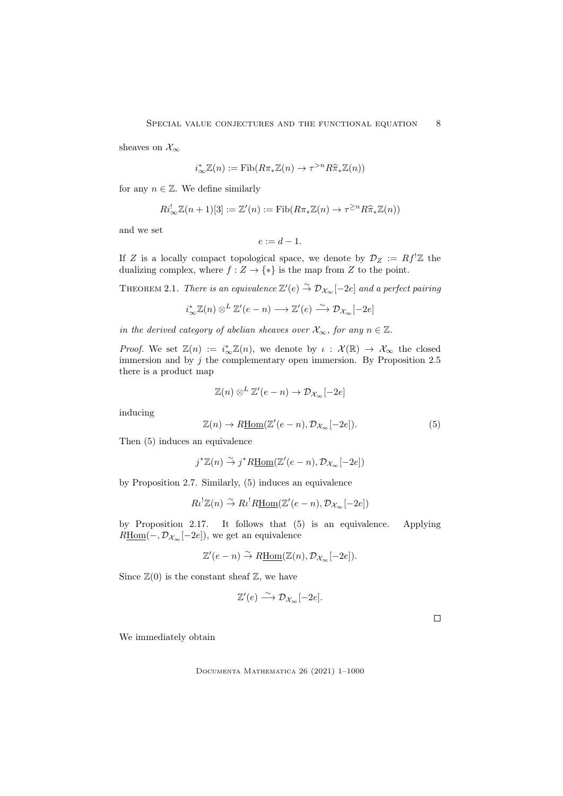sheaves on  $\mathcal{X}_{\infty}$ 

$$
i_{\infty}^* \mathbb{Z}(n) := \text{Fib}(R\pi_* \mathbb{Z}(n) \to \tau^{>n} R \widehat{\pi}_* \mathbb{Z}(n))
$$

for any  $n \in \mathbb{Z}$ . We define similarly

$$
Ri_{\infty}^!\mathbb{Z}(n+1)[3] := \mathbb{Z}'(n) := \mathrm{Fib}(R\pi_*\mathbb{Z}(n) \to \tau^{\geq n}R\widehat{\pi}_*\mathbb{Z}(n))
$$

and we set

$$
e:=d-1.
$$

If Z is a locally compact topological space, we denote by  $\mathcal{D}_Z := Rf^!\mathbb{Z}$  the dualizing complex, where  $f : Z \to \{*\}$  is the map from Z to the point.

THEOREM 2.1. There is an equivalence  $\mathbb{Z}'(e) \overset{\sim}{\to} \mathcal{D}_{\mathcal{X}_{\infty}}[-2e]$  and a perfect pairing

 $i_{\infty}^* \mathbb{Z}(n) \otimes^L \mathbb{Z}'(e - n) \longrightarrow \mathbb{Z}'(e) \stackrel{\sim}{\longrightarrow} \mathcal{D}_{\mathcal{X}_{\infty}}[-2e]$ 

in the derived category of abelian sheaves over  $\mathcal{X}_{\infty}$ , for any  $n \in \mathbb{Z}$ .

*Proof.* We set  $\mathbb{Z}(n) := i_{\infty}^* \mathbb{Z}(n)$ , we denote by  $\iota : \mathcal{X}(\mathbb{R}) \to \mathcal{X}_{\infty}$  the closed immersion and by  $j$  the complementary open immersion. By Proposition 2.5 there is a product map

$$
\mathbb{Z}(n) \otimes^L \mathbb{Z}'(e-n) \to \mathcal{D}_{\mathcal{X}_{\infty}}[-2e]
$$

inducing

$$
\mathbb{Z}(n) \to R\underline{\text{Hom}}(\mathbb{Z}'(e-n), \mathcal{D}_{\mathcal{X}_{\infty}}[-2e]). \tag{5}
$$

Then (5) induces an equivalence

$$
j^*\mathbb{Z}(n) \stackrel{\sim}{\to} j^*R\underline{\mathrm{Hom}}(\mathbb{Z}'(e-n), \mathcal{D}_{\mathcal{X}_{\infty}}[-2e])
$$

by Proposition 2.7. Similarly, (5) induces an equivalence

$$
R\iota^! \mathbb{Z}(n) \stackrel{\sim}{\to} R\iota^! R\underline{\mathrm{Hom}}(\mathbb{Z}'(e-n), \mathcal{D}_{\mathcal{X}_{\infty}}[-2e])
$$

by Proposition 2.17. It follows that (5) is an equivalence. Applying  $R\underline{\text{Hom}}(-, \mathcal{D}_{\mathcal{X}_{\infty}}[-2e]),$  we get an equivalence

$$
\mathbb{Z}'(e - n) \stackrel{\sim}{\to} R\underline{\mathrm{Hom}}(\mathbb{Z}(n), \mathcal{D}_{\mathcal{X}_{\infty}}[-2e]).
$$

Since  $\mathbb{Z}(0)$  is the constant sheaf  $\mathbb{Z}$ , we have

$$
\mathbb{Z}'(e) \stackrel{\sim}{\longrightarrow} \mathcal{D}_{\mathcal{X}_{\infty}}[-2e].
$$

 $\Box$ 

We immediately obtain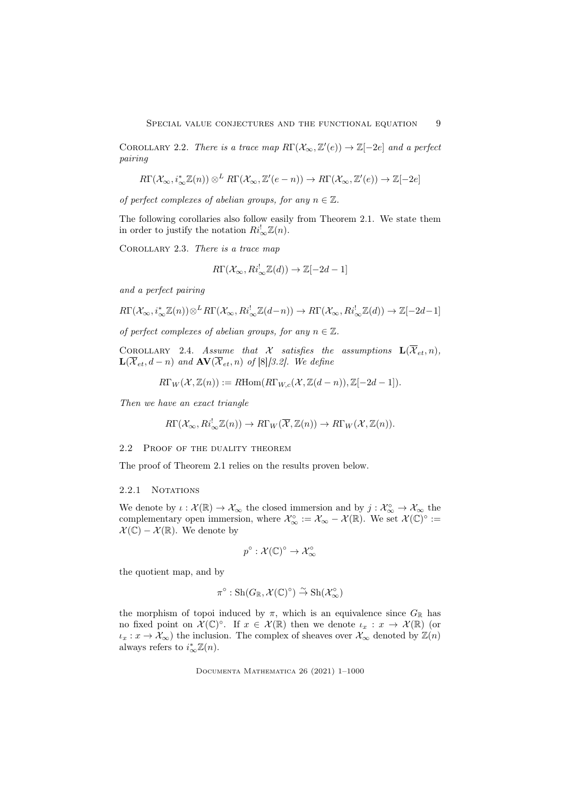COROLLARY 2.2. There is a trace map  $R\Gamma(\mathcal{X}_{\infty}, \mathbb{Z}'(e)) \to \mathbb{Z}[-2e]$  and a perfect pairing

$$
R\Gamma(\mathcal{X}_{\infty},i_{\infty}^*\mathbb{Z}(n))\otimes^L R\Gamma(\mathcal{X}_{\infty},\mathbb{Z}'(e-n))\to R\Gamma(\mathcal{X}_{\infty},\mathbb{Z}'(e))\to \mathbb{Z}[-2e]
$$

of perfect complexes of abelian groups, for any  $n \in \mathbb{Z}$ .

The following corollaries also follow easily from Theorem 2.1. We state them in order to justify the notation  $Ri_{\infty}^! \mathbb{Z}(n)$ .

COROLLARY 2.3. There is a trace map

$$
R\Gamma(\mathcal{X}_{\infty}, Ri_{\infty}^! \mathbb{Z}(d)) \to \mathbb{Z}[-2d-1]
$$

and a perfect pairing

$$
R\Gamma(\mathcal{X}_{\infty},i_{\infty}^*\mathbb{Z}(n))\otimes^L R\Gamma(\mathcal{X}_{\infty}, Ri_{\infty}^!\mathbb{Z}(d-n)) \to R\Gamma(\mathcal{X}_{\infty}, Ri_{\infty}^!\mathbb{Z}(d)) \to \mathbb{Z}[-2d-1]
$$

of perfect complexes of abelian groups, for any  $n \in \mathbb{Z}$ .

COROLLARY 2.4. Assume that X satisfies the assumptions  $\mathbf{L}(\overline{X}_{et}, n)$ ,  $\mathbf{L}(\overline{\mathcal{X}}_{et},d-n)$  and  $\mathbf{AV}(\overline{\mathcal{X}}_{et},n)$  of [8][3.2]. We define

$$
R\Gamma_W(\mathcal{X},\mathbb{Z}(n)) := R\text{Hom}(R\Gamma_{W,c}(\mathcal{X},\mathbb{Z}(d-n)),\mathbb{Z}[-2d-1]).
$$

Then we have an exact triangle

$$
R\Gamma(\mathcal{X}_{\infty}, Ri_{\infty}^{!}\mathbb{Z}(n)) \to R\Gamma_W(\overline{\mathcal{X}}, \mathbb{Z}(n)) \to R\Gamma_W(\mathcal{X}, \mathbb{Z}(n)).
$$

2.2 PROOF OF THE DUALITY THEOREM

The proof of Theorem 2.1 relies on the results proven below.

#### 2.2.1 NOTATIONS

We denote by  $\iota: \mathcal{X}(\mathbb{R}) \to \mathcal{X}_{\infty}$  the closed immersion and by  $j: \mathcal{X}_{\infty}^{\circ} \to \mathcal{X}_{\infty}$  the complementary open immersion, where  $\mathcal{X}_{\infty}^{\circ} := \mathcal{X}_{\infty} - \mathcal{X}(\mathbb{R})$ . We set  $\mathcal{X}(\mathbb{C})^{\circ} :=$  $\mathcal{X}(\mathbb{C}) - \mathcal{X}(\mathbb{R})$ . We denote by

$$
p^{\circ} : \mathcal{X}(\mathbb{C})^{\circ} \to \mathcal{X}_{\infty}^{\circ}
$$

the quotient map, and by

$$
\pi^{\circ} : \mathrm{Sh}(G_{\mathbb{R}}, \mathcal{X}(\mathbb{C})^{\circ}) \overset{\sim}{\to} \mathrm{Sh}(\mathcal{X}^{\circ}_{\infty})
$$

the morphism of topoi induced by  $\pi$ , which is an equivalence since  $G_{\mathbb{R}}$  has no fixed point on  $\mathcal{X}(\mathbb{C})^{\circ}$ . If  $x \in \mathcal{X}(\mathbb{R})$  then we denote  $\iota_x : x \to \mathcal{X}(\mathbb{R})$  (or  $\iota_x: x \to \mathcal{X}_{\infty}$ ) the inclusion. The complex of sheaves over  $\mathcal{X}_{\infty}$  denoted by  $\mathbb{Z}(n)$ always refers to  $i^*_{\infty}\mathbb{Z}(n)$ .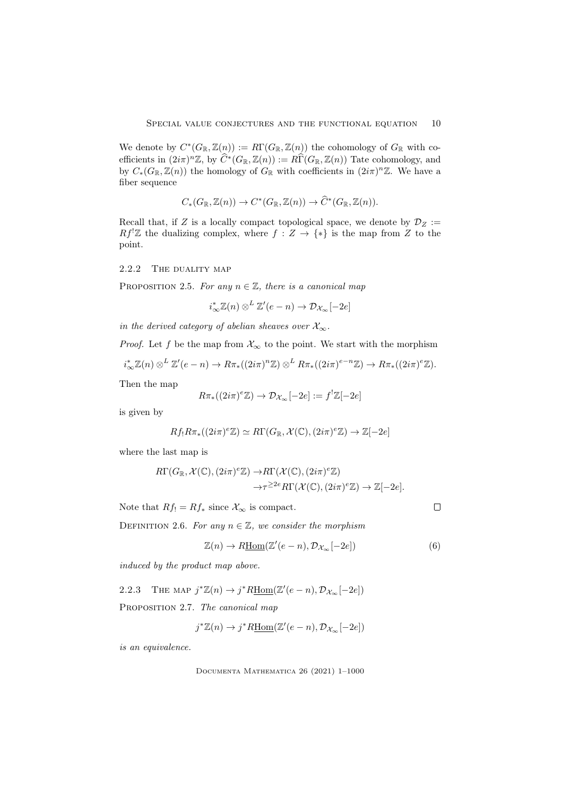We denote by  $C^*(G_\mathbb{R}, \mathbb{Z}(n)) := R\Gamma(G_\mathbb{R}, \mathbb{Z}(n))$  the cohomology of  $G_\mathbb{R}$  with coefficients in  $(2i\pi)^n \mathbb{Z}$ , by  $\widehat{C}^*(G_\mathbb{R}, \mathbb{Z}(n)) := R\widehat{\Gamma}(G_\mathbb{R}, \mathbb{Z}(n))$  Tate cohomology, and by  $C_*(G_\mathbb{R}, \mathbb{Z}(n))$  the homology of  $G_\mathbb{R}$  with coefficients in  $(2i\pi)^n\mathbb{Z}$ . We have a fiber sequence

$$
C_*(G_{\mathbb{R}}, \mathbb{Z}(n)) \to C^*(G_{\mathbb{R}}, \mathbb{Z}(n)) \to \widehat{C}^*(G_{\mathbb{R}}, \mathbb{Z}(n)).
$$

Recall that, if Z is a locally compact topological space, we denote by  $\mathcal{D}_Z :=$  $Rf'Z$  the dualizing complex, where  $f: Z \to \{*\}$  is the map from Z to the point.

## 2.2.2 THE DUALITY MAP

PROPOSITION 2.5. For any  $n \in \mathbb{Z}$ , there is a canonical map

 $i_{\infty}^* \mathbb{Z}(n) \otimes^L \mathbb{Z}'(e-n) \to \mathcal{D}_{\mathcal{X}_{\infty}}[-2e]$ 

in the derived category of abelian sheaves over  $\mathcal{X}_{\infty}$ .

*Proof.* Let f be the map from  $\mathcal{X}_{\infty}$  to the point. We start with the morphism

$$
i_{\infty}^* \mathbb{Z}(n) \otimes^L \mathbb{Z}'(e-n) \to R\pi_*((2i\pi)^n \mathbb{Z}) \otimes^L R\pi_*((2i\pi)^{e-n} \mathbb{Z}) \to R\pi_*((2i\pi)^{e} \mathbb{Z}).
$$

Then the map

$$
R\pi_*((2i\pi)^e\mathbb{Z}) \to \mathcal{D}_{\mathcal{X}_{\infty}}[-2e] := f^!\mathbb{Z}[-2e]
$$

is given by

$$
Rf_!R\pi_*((2i\pi)^e\mathbb{Z})\simeq R\Gamma(G_{\mathbb{R}},\mathcal{X}(\mathbb{C}),(2i\pi)^e\mathbb{Z})\to \mathbb{Z}[-2e]
$$

where the last map is

$$
R\Gamma(G_{\mathbb{R}},\mathcal{X}(\mathbb{C}),(2i\pi)^{e}\mathbb{Z})\to R\Gamma(\mathcal{X}(\mathbb{C}),(2i\pi)^{e}\mathbb{Z})\to \mathbb{Z}[-2e].
$$
  

$$
\to \tau^{\geq 2e}R\Gamma(\mathcal{X}(\mathbb{C}),(2i\pi)^{e}\mathbb{Z})\to \mathbb{Z}[-2e].
$$

Note that  $Rf_! = Rf_*$  since  $\mathcal{X}_{\infty}$  is compact.

 $\Box$ 

DEFINITION 2.6. For any  $n \in \mathbb{Z}$ , we consider the morphism

$$
\mathbb{Z}(n) \to R\underline{\text{Hom}}(\mathbb{Z}'(e-n), \mathcal{D}_{\mathcal{X}_{\infty}}[-2e])
$$
\n(6)

induced by the product map above.

2.2.3 THE MAP  $j^*\mathbb{Z}(n) \to j^*R\underline{\text{Hom}}(\mathbb{Z}'(e-n), \mathcal{D}_{\mathcal{X}_{\infty}}[-2e])$ PROPOSITION 2.7. The canonical map

$$
j^*\mathbb{Z}(n) \to j^*R\underline{\mathrm{Hom}}(\mathbb{Z}'(e-n), \mathcal{D}_{\mathcal{X}_{\infty}}[-2e])
$$

is an equivalence.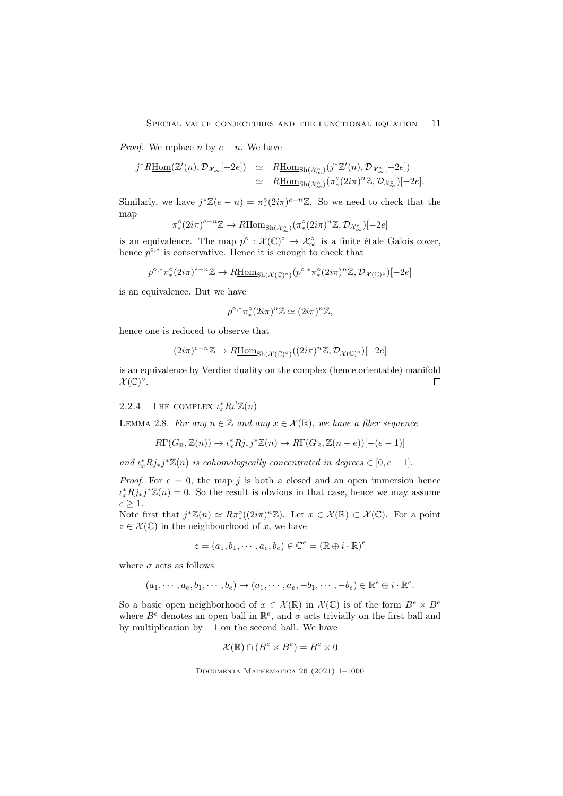*Proof.* We replace n by  $e - n$ . We have

$$
j^*R\underline{\mathrm{Hom}}(\mathbb{Z}'(n),\mathcal{D}_{\mathcal{X}_{\infty}}[-2e]) \simeq R\underline{\mathrm{Hom}}_{\mathrm{Sh}(\mathcal{X}_{\infty}^{\circ})}(j^*\mathbb{Z}'(n),\mathcal{D}_{\mathcal{X}_{\infty}^{\circ}}[-2e])
$$
  

$$
\simeq R\underline{\mathrm{Hom}}_{\mathrm{Sh}(\mathcal{X}_{\infty}^{\circ})}(\pi^{\circ}_{*}(2i\pi)^n\mathbb{Z},\mathcal{D}_{\mathcal{X}_{\infty}^{\circ}})[-2e].
$$

Similarly, we have  $j^*\mathbb{Z}(e-n) = \pi_*^{\circ}(2i\pi)^{e-n}\mathbb{Z}$ . So we need to check that the map

$$
\pi^{\circ}_*(2i\pi)^{e-n}\mathbb{Z} \rightarrow R\underline{\mathrm{Hom}}_{\mathrm{Sh}(\mathcal{X}^{\circ}_{\infty})}(\pi^{\circ}_*(2i\pi)^n\mathbb{Z}, \mathcal{D}_{\mathcal{X}^{\circ}_{\infty}})[-2e]
$$

is an equivalence. The map  $p^{\circ} : \mathcal{X}(\mathbb{C})^{\circ} \to \mathcal{X}_{\infty}^{\circ}$  is a finite étale Galois cover, hence  $p^{\circ,*}$  is conservative. Hence it is enough to check that

$$
p^{\circ,*}\pi_*^{\circ}(2i\pi)^{e-n}\mathbb{Z} \to R\underline{\mathrm{Hom}}_{\mathrm{Sh}(\mathcal{X}(\mathbb{C})^{\circ})}(p^{\circ,*}\pi_*^{\circ}(2i\pi)^n\mathbb{Z}, \mathcal{D}_{\mathcal{X}(\mathbb{C})^{\circ}})[-2e]
$$

is an equivalence. But we have

$$
p^{\circ,*}\pi_*^{\circ}(2i\pi)^n\mathbb{Z}\simeq (2i\pi)^n\mathbb{Z},
$$

hence one is reduced to observe that

$$
(2i\pi)^{e-n}\mathbb{Z} \to R\underline{\mathrm{Hom}}_{\mathrm{Sh}(\mathcal{X}(\mathbb{C})^\circ)}((2i\pi)^n\mathbb{Z}, \mathcal{D}_{\mathcal{X}(\mathbb{C})^\circ})[-2e]
$$

is an equivalence by Verdier duality on the complex (hence orientable) manifold  $\mathcal{X}(\mathbb{C})^{\circ}$ .  $\Box$ 

## 2.2.4 THE COMPLEX  $\iota_x^* R \iota^! \mathbb{Z}(n)$

LEMMA 2.8. For any  $n \in \mathbb{Z}$  and any  $x \in \mathcal{X}(\mathbb{R})$ , we have a fiber sequence

$$
R\Gamma(G_{\mathbb{R}}, \mathbb{Z}(n)) \to \iota_x^* R j_* j^* \mathbb{Z}(n) \to R\Gamma(G_{\mathbb{R}}, \mathbb{Z}(n-e))[-(e-1)]
$$

and  $\iota_x^* R j_* j^* \mathbb{Z}(n)$  is cohomologically concentrated in degrees  $\in [0, e-1]$ .

*Proof.* For  $e = 0$ , the map j is both a closed and an open immersion hence  $\iota_x^* R j_* j^* \mathbb{Z}(n) = 0$ . So the result is obvious in that case, hence we may assume  $e > 1$ .

Note first that  $j^*\mathbb{Z}(n) \simeq R\pi_*^{\circ}((2i\pi)^n\mathbb{Z})$ . Let  $x \in \mathcal{X}(\mathbb{R}) \subset \mathcal{X}(\mathbb{C})$ . For a point  $z \in \mathcal{X}(\mathbb{C})$  in the neighbourhood of x, we have

$$
z = (a_1, b_1, \cdots, a_e, b_e) \in \mathbb{C}^e = (\mathbb{R} \oplus i \cdot \mathbb{R})^e
$$

where  $\sigma$  acts as follows

$$
(a_1, \cdots, a_e, b_1, \cdots, b_e) \mapsto (a_1, \cdots, a_e, -b_1, \cdots, -b_e) \in \mathbb{R}^e \oplus i \cdot \mathbb{R}^e.
$$

So a basic open neighborhood of  $x \in \mathcal{X}(\mathbb{R})$  in  $\mathcal{X}(\mathbb{C})$  is of the form  $B^e \times B^e$ where  $B^e$  denotes an open ball in  $\mathbb{R}^e$ , and  $\sigma$  acts trivially on the first ball and by multiplication by −1 on the second ball. We have

$$
\mathcal{X}(\mathbb{R}) \cap (B^e \times B^e) = B^e \times 0
$$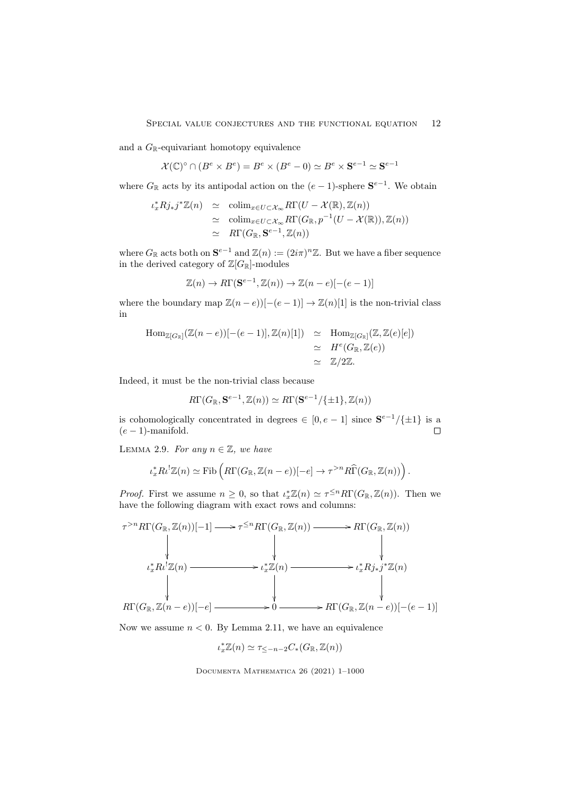and a  $G_{\mathbb{R}}$ -equivariant homotopy equivalence

 $\mathcal{X}(\mathbb{C})^{\circ} \cap (B^e \times B^e) = B^e \times (B^e - 0) \simeq B^e \times S^{e-1} \simeq S^{e-1}$ 

where  $G_{\mathbb{R}}$  acts by its antipodal action on the  $(e-1)$ -sphere  $S^{e-1}$ . We obtain

$$
\iota_x^* R j_* j^* \mathbb{Z}(n) \simeq \operatorname{colim}_{x \in U \subset \mathcal{X}_{\infty}} R\Gamma(U - \mathcal{X}(\mathbb{R}), \mathbb{Z}(n))
$$
  
\simeq \operatorname{colim}\_{x \in U \subset \mathcal{X}\_{\infty}} R\Gamma(G\_{\mathbb{R}}, p^{-1}(U - \mathcal{X}(\mathbb{R})), \mathbb{Z}(n))  
\simeq R\Gamma(G\_{\mathbb{R}}, \mathbf{S}^{e-1}, \mathbb{Z}(n))

where  $G_{\mathbb{R}}$  acts both on  $\mathbf{S}^{e-1}$  and  $\mathbb{Z}(n) := (2i\pi)^n \mathbb{Z}$ . But we have a fiber sequence in the derived category of  $\mathbb{Z}[G_{\mathbb{R}}]$ -modules

$$
\mathbb{Z}(n) \to R\Gamma(\mathbf{S}^{e-1}, \mathbb{Z}(n)) \to \mathbb{Z}(n-e)[-(e-1)]
$$

where the boundary map  $\mathbb{Z}(n-e)$ [ $-(e-1)$ ]  $\rightarrow \mathbb{Z}(n)[1]$  is the non-trivial class in

$$
\begin{array}{rcl}\n\operatorname{Hom}_{\mathbb{Z}[G_{\mathbb{R}}]}(\mathbb{Z}(n-e))[-(e-1)], \mathbb{Z}(n)[1]) & \simeq & \operatorname{Hom}_{\mathbb{Z}[G_{\mathbb{R}}]}(\mathbb{Z}, \mathbb{Z}(e)[e]) \\
& \simeq & H^e(G_{\mathbb{R}}, \mathbb{Z}(e)) \\
& \simeq & \mathbb{Z}/2\mathbb{Z}.\n\end{array}
$$

Indeed, it must be the non-trivial class because

$$
R\Gamma(G_{\mathbb{R}}, \mathbf{S}^{e-1}, \mathbb{Z}(n)) \simeq R\Gamma(\mathbf{S}^{e-1}/\{\pm 1\}, \mathbb{Z}(n))
$$

is cohomologically concentrated in degrees  $\in [0, e-1]$  since  $S^{e-1}/\{\pm 1\}$  is a  $(e-1)$ -manifold.  $\Box$ 

LEMMA 2.9. For any  $n \in \mathbb{Z}$ , we have

$$
\iota_x^* R \iota^! \mathbb{Z}(n) \simeq \text{Fib}\left( R\Gamma(G_{\mathbb{R}}, \mathbb{Z}(n-e))[-e] \to \tau^{>n} R\widehat{\Gamma}(G_{\mathbb{R}}, \mathbb{Z}(n)) \right).
$$

*Proof.* First we assume  $n \geq 0$ , so that  $\iota_x^* \mathbb{Z}(n) \simeq \tau^{\leq n} R\Gamma(G_{\mathbb{R}}, \mathbb{Z}(n))$ . Then we have the following diagram with exact rows and columns:

$$
\begin{array}{ccc}\n\tau^{>n}R\Gamma(G_{\mathbb{R}},\mathbb{Z}(n))[-1] \longrightarrow & \tau^{\leq n}R\Gamma(G_{\mathbb{R}},\mathbb{Z}(n)) \longrightarrow & R\Gamma(G_{\mathbb{R}},\mathbb{Z}(n)) \\
\downarrow & & \downarrow & \\
\downarrow & & \downarrow & \\
\downarrow & & \downarrow & \\
\downarrow & & \downarrow & \\
\downarrow & & \downarrow & \\
R\Gamma(G_{\mathbb{R}},\mathbb{Z}(n-e))[-e] \longrightarrow & 0 \longrightarrow & R\Gamma(G_{\mathbb{R}},\mathbb{Z}(n-e))[-(e-1)]\n\end{array}
$$

Now we assume  $n < 0$ . By Lemma 2.11, we have an equivalence

$$
\iota_x^* \mathbb{Z}(n) \simeq \tau_{\leq -n-2} C_*(G_\mathbb{R}, \mathbb{Z}(n))
$$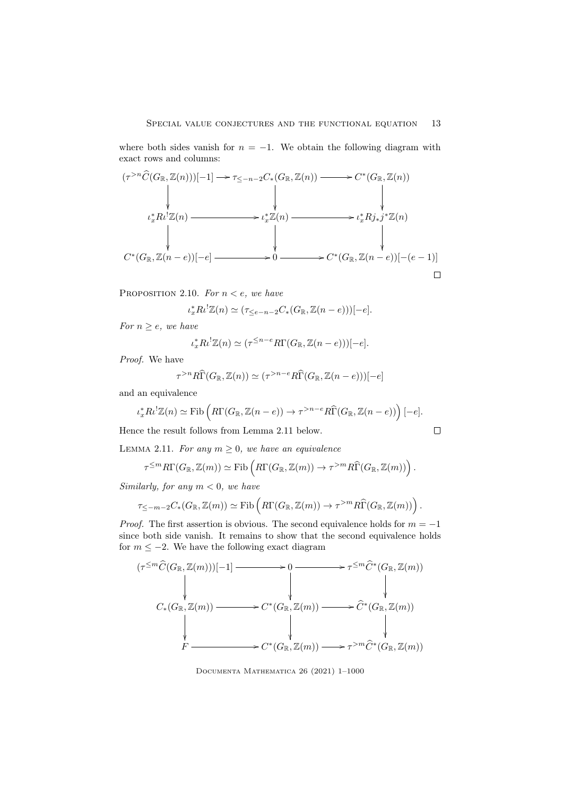where both sides vanish for  $n = -1$ . We obtain the following diagram with exact rows and columns:



PROPOSITION 2.10. For  $n < e$ , we have

$$
\iota_x^* R \iota^! \mathbb{Z}(n) \simeq (\tau_{\leq e-n-2} C_*(G_\mathbb{R}, \mathbb{Z}(n-e)))[-e].
$$

For  $n > e$ , we have

$$
\iota_x^* R \iota^! \mathbb{Z}(n) \simeq (\tau^{\leq n-e} R \Gamma(G_{\mathbb{R}}, \mathbb{Z}(n-e)))[-e].
$$

Proof. We have

$$
\tau^{>n}R\widehat{\Gamma}(G_{\mathbb{R}},\mathbb{Z}(n)) \simeq (\tau^{>n-e}R\widehat{\Gamma}(G_{\mathbb{R}},\mathbb{Z}(n-e)))[-e]
$$

and an equivalence

$$
\iota_x^* R \iota^! \mathbb{Z}(n) \simeq \text{Fib}\left( R\Gamma(G_{\mathbb{R}}, \mathbb{Z}(n-e)) \to \tau^{>n-e} R\widehat{\Gamma}(G_{\mathbb{R}}, \mathbb{Z}(n-e)) \right)[-e].
$$

 $\Box$ 

Hence the result follows from Lemma 2.11 below.

LEMMA 2.11. For any  $m \geq 0$ , we have an equivalence

$$
\tau^{\leq m} R\Gamma(G_{\mathbb{R}}, \mathbb{Z}(m)) \simeq \mathrm{Fib}\left(R\Gamma(G_{\mathbb{R}}, \mathbb{Z}(m)) \to \tau^{>m} R\widehat{\Gamma}(G_{\mathbb{R}}, \mathbb{Z}(m))\right).
$$

Similarly, for any  $m < 0$ , we have

$$
\tau_{\leq -m-2}C_*(G_\mathbb{R}, \mathbb{Z}(m)) \simeq \mathrm{Fib}\left(R\Gamma(G_\mathbb{R}, \mathbb{Z}(m)) \to \tau^{>m}R\widehat{\Gamma}(G_\mathbb{R}, \mathbb{Z}(m))\right).
$$

*Proof.* The first assertion is obvious. The second equivalence holds for  $m = -1$ since both side vanish. It remains to show that the second equivalence holds for  $m \leq -2$ . We have the following exact diagram

$$
( \tau^{\leq m} \widehat{C}(G_{\mathbb{R}}, \mathbb{Z}(m)))[-1] \longrightarrow 0 \longrightarrow \tau^{\leq m} \widehat{C}^*(G_{\mathbb{R}}, \mathbb{Z}(m))
$$
  
\n
$$
C_*(G_{\mathbb{R}}, \mathbb{Z}(m)) \longrightarrow C^*(G_{\mathbb{R}}, \mathbb{Z}(m)) \longrightarrow \widehat{C}^*(G_{\mathbb{R}}, \mathbb{Z}(m))
$$
  
\n
$$
\downarrow \qquad \qquad \downarrow
$$
  
\n
$$
F \longrightarrow C^*(G_{\mathbb{R}}, \mathbb{Z}(m)) \longrightarrow \tau^{> m} \widehat{C}^*(G_{\mathbb{R}}, \mathbb{Z}(m))
$$

Documenta Mathematica 26 (2021) 1–1000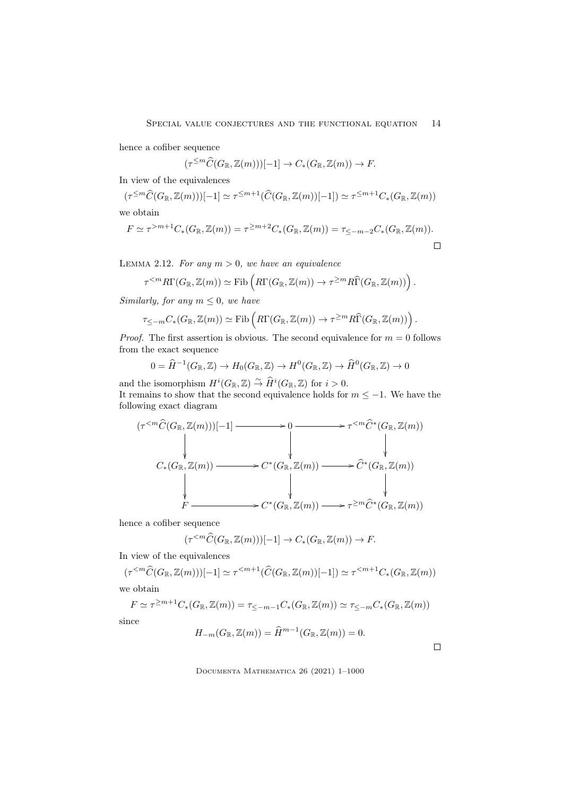hence a cofiber sequence

$$
(\tau^{\leq m}\widehat{C}(G_{\mathbb{R}},\mathbb{Z}(m)))[-1] \to C_*(G_{\mathbb{R}},\mathbb{Z}(m)) \to F.
$$

In view of the equivalences

$$
(\tau^{\leq m}\widehat{C}(G_{\mathbb{R}},\mathbb{Z}(m)))[-1] \simeq \tau^{\leq m+1}(\widehat{C}(G_{\mathbb{R}},\mathbb{Z}(m))[-1]) \simeq \tau^{\leq m+1}C_{*}(G_{\mathbb{R}},\mathbb{Z}(m))
$$
 we obtain

$$
F \simeq \tau^{>m+1} C_*(G_{\mathbb{R}}, \mathbb{Z}(m)) = \tau^{\geq m+2} C_*(G_{\mathbb{R}}, \mathbb{Z}(m)) = \tau_{\leq -m-2} C_*(G_{\mathbb{R}}, \mathbb{Z}(m)).
$$

LEMMA 2.12. For any  $m > 0$ , we have an equivalence

$$
\tau^{\leq m} R\Gamma(G_{\mathbb{R}}, \mathbb{Z}(m)) \simeq \mathrm{Fib}\left(R\Gamma(G_{\mathbb{R}}, \mathbb{Z}(m)) \to \tau^{\geq m} R\widehat{\Gamma}(G_{\mathbb{R}}, \mathbb{Z}(m))\right).
$$

Similarly, for any  $m \leq 0$ , we have

$$
\tau_{\leq -m} C_*(G_\mathbb{R}, \mathbb{Z}(m)) \simeq \mathrm{Fib}\left(R\Gamma(G_\mathbb{R}, \mathbb{Z}(m)) \to \tau^{\geq m} R\widehat{\Gamma}(G_\mathbb{R}, \mathbb{Z}(m))\right).
$$

*Proof.* The first assertion is obvious. The second equivalence for  $m = 0$  follows from the exact sequence

$$
0 = \widehat{H}^{-1}(G_{\mathbb{R}}, \mathbb{Z}) \to H_0(G_{\mathbb{R}}, \mathbb{Z}) \to H^0(G_{\mathbb{R}}, \mathbb{Z}) \to \widehat{H}^0(G_{\mathbb{R}}, \mathbb{Z}) \to 0
$$

and the isomorphism  $H^i(G_\mathbb{R}, \mathbb{Z}) \stackrel{\sim}{\rightarrow} \widehat{H}^i(G_\mathbb{R}, \mathbb{Z})$  for  $i > 0$ . It remains to show that the second equivalence holds for  $m \le -1$ . We have the following exact diagram

$$
( \tau^{  
\n
$$
C_*(G_{\mathbb{R}}, \mathbb{Z}(m)) \longrightarrow C^*(G_{\mathbb{R}}, \mathbb{Z}(m)) \longrightarrow \widehat{C}^*(G_{\mathbb{R}}, \mathbb{Z}(m))
$$
  
\n
$$
\downarrow \qquad \qquad \downarrow
$$
  
\n
$$
F \longrightarrow C^*(G_{\mathbb{R}}, \mathbb{Z}(m)) \longrightarrow \tau^{\geq m} \widehat{C}^*(G_{\mathbb{R}}, \mathbb{Z}(m))
$$
$$

hence a cofiber sequence

$$
(\tau^{
$$

In view of the equivalences

$$
(\tau^{\leq m}\widehat{C}(G_{\mathbb{R}},\mathbb{Z}(m)))[-1] \simeq \tau^{\leq m+1}(\widehat{C}(G_{\mathbb{R}},\mathbb{Z}(m))[-1]) \simeq \tau^{\leq m+1}C_{*}(G_{\mathbb{R}},\mathbb{Z}(m))
$$

we obtain

$$
F \simeq \tau^{\geq m+1} C_*(G_{\mathbb{R}}, \mathbb{Z}(m)) = \tau_{\leq -m-1} C_*(G_{\mathbb{R}}, \mathbb{Z}(m)) \simeq \tau_{\leq -m} C_*(G_{\mathbb{R}}, \mathbb{Z}(m))
$$

since

$$
H_{-m}(G_{\mathbb{R}},\mathbb{Z}(m)) = \widehat{H}^{m-1}(G_{\mathbb{R}},\mathbb{Z}(m)) = 0.
$$

 $\Box$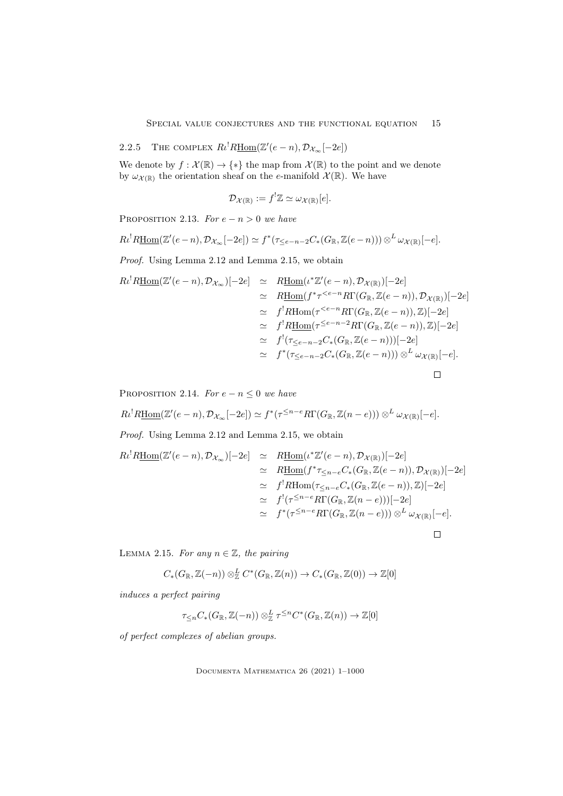2.2.5 THE COMPLEX  $R_l^! R\underline{\text{Hom}}(\mathbb{Z}'(e-n), \mathcal{D}_{\mathcal{X}_{\infty}}[-2e])$ 

We denote by  $f: \mathcal{X}(\mathbb{R}) \to \{*\}$  the map from  $\mathcal{X}(\mathbb{R})$  to the point and we denote by  $\omega_{\mathcal{X}(\mathbb{R})}$  the orientation sheaf on the e-manifold  $\mathcal{X}(\mathbb{R})$ . We have

$$
\mathcal{D}_{\mathcal{X}(\mathbb{R})} := f^! \mathbb{Z} \simeq \omega_{\mathcal{X}(\mathbb{R})}[e].
$$

PROPOSITION 2.13. For  $e - n > 0$  we have

$$
R\iota^{!}R\underline{\mathrm{Hom}}(\mathbb{Z}'(e-n),\mathcal{D}_{\mathcal{X}_{\infty}}[-2e])\simeq f^{*}(\tau_{\leq e-n-2}C_{*}(G_{\mathbb{R}},\mathbb{Z}(e-n)))\otimes^{L}\omega_{\mathcal{X}(\mathbb{R})}[-e].
$$

Proof. Using Lemma 2.12 and Lemma 2.15, we obtain

$$
R\iota^{!}R\underline{\text{Hom}}(\mathbb{Z}'(e-n), \mathcal{D}_{\mathcal{X}_{\infty}})[-2e] \simeq R\underline{\text{Hom}}(\iota^{*}\mathbb{Z}'(e-n), \mathcal{D}_{\mathcal{X}(\mathbb{R})})[-2e]
$$
  
\simeq R\underline{\text{Hom}}(f^{\*}\tau^{\simeq f^{!}R\underline{\text{Hom}}(\tau^{  
\simeq f^{!}R\underline{\text{Hom}}(\tau^{\leq e-n-2}R\Gamma(G\_{\mathbb{R}}, \mathbb{Z}(e-n)), \mathbb{Z})[-2e]  
\simeq f^{!}(\tau\_{\leq e-n-2}C\_{\*}(G\_{\mathbb{R}}, \mathbb{Z}(e-n)))[-2e]   
\simeq f^{\*}(\tau\_{\leq e-n-2}C\_{\*}(G\_{\mathbb{R}}, \mathbb{Z}(e-n))) \otimes^{L} \omega\_{\mathcal{X}(\mathbb{R})}[-e].

PROPOSITION 2.14. For  $e - n \leq 0$  we have

$$
R\iota^{!}R\underline{\mathrm{Hom}}(\mathbb{Z}'(e-n),\mathcal{D}_{\mathcal{X}_{\infty}}[-2e])\simeq f^{*}(\tau^{\leq n-e}R\Gamma(G_{\mathbb{R}},\mathbb{Z}(n-e)))\otimes^{L}\omega_{\mathcal{X}(\mathbb{R})}[-e].
$$

Proof. Using Lemma 2.12 and Lemma 2.15, we obtain

$$
R\iota^{!}R\underline{\text{Hom}}(\mathbb{Z}'(e-n), \mathcal{D}_{\mathcal{X}_{\infty}})[-2e] \simeq R\underline{\text{Hom}}(\iota^{*}\mathbb{Z}'(e-n), \mathcal{D}_{\mathcal{X}(\mathbb{R})})[-2e]
$$
  
\simeq R\underline{\text{Hom}}(f^{\*}\tau\_{\leq n-e}C\_{\*}(G\_{\mathbb{R}}, \mathbb{Z}(e-n)), \mathcal{D}\_{\mathcal{X}(\mathbb{R})})[-2e]  
\simeq f^{!}R\underline{\text{Hom}}(\tau\_{\leq n-e}C\_{\*}(G\_{\mathbb{R}}, \mathbb{Z}(e-n)), \mathbb{Z})[-2e]  
\simeq f^{!}(\tau^{\leq n-e}R\Gamma(G\_{\mathbb{R}}, \mathbb{Z}(n-e)))[-2e]  
\simeq f^{\*}(\tau^{\leq n-e}R\Gamma(G\_{\mathbb{R}}, \mathbb{Z}(n-e))) \otimes^{L} \omega\_{\mathcal{X}(\mathbb{R})}[-e].

 $\Box$ 

LEMMA 2.15. For any  $n \in \mathbb{Z}$ , the pairing

$$
C_*(G_{\mathbb{R}}, \mathbb{Z}(-n)) \otimes_{\mathbb{Z}}^L C^*(G_{\mathbb{R}}, \mathbb{Z}(n)) \to C_*(G_{\mathbb{R}}, \mathbb{Z}(0)) \to \mathbb{Z}[0]
$$

induces a perfect pairing

$$
\tau_{\leq n} C_*(G_{\mathbb{R}}, \mathbb{Z}(-n)) \otimes_{\mathbb{Z}}^L \tau^{\leq n} C^*(G_{\mathbb{R}}, \mathbb{Z}(n)) \to \mathbb{Z}[0]
$$

of perfect complexes of abelian groups.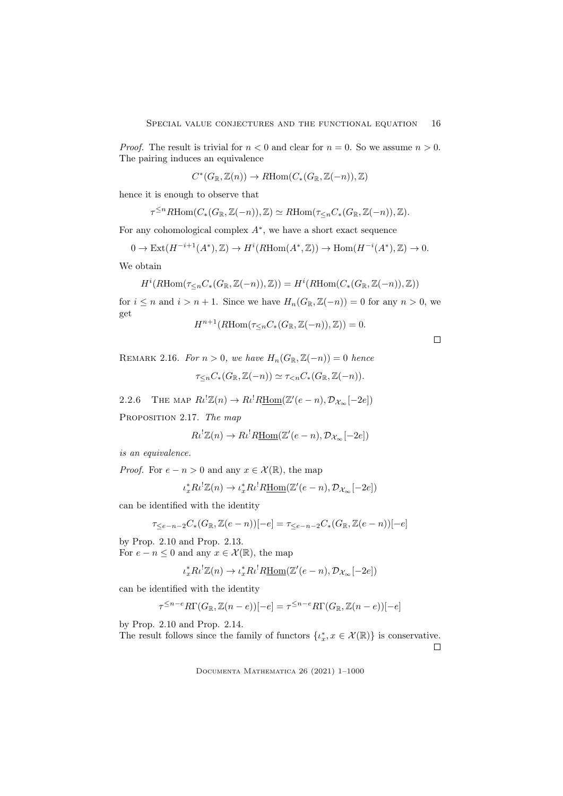*Proof.* The result is trivial for  $n < 0$  and clear for  $n = 0$ . So we assume  $n > 0$ . The pairing induces an equivalence

$$
C^*(G_{\mathbb{R}}, \mathbb{Z}(n)) \to R\text{Hom}(C_*(G_{\mathbb{R}}, \mathbb{Z}(-n)), \mathbb{Z})
$$

hence it is enough to observe that

$$
\tau^{\leq n} R\text{Hom}(C_*(G_{\mathbb{R}}, \mathbb{Z}(-n)), \mathbb{Z}) \simeq R\text{Hom}(\tau_{\leq n}C_*(G_{\mathbb{R}}, \mathbb{Z}(-n)), \mathbb{Z}).
$$

For any cohomological complex  $A^*$ , we have a short exact sequence

$$
0 \to \text{Ext}(H^{-i+1}(A^*),\mathbb{Z}) \to H^i(R\text{Hom}(A^*,\mathbb{Z})) \to \text{Hom}(H^{-i}(A^*),\mathbb{Z}) \to 0.
$$

We obtain

$$
H^i(R\mathrm{Hom}(\tau_{\leq n}C_*(G_{\mathbb{R}}, \mathbb{Z}(-n)), \mathbb{Z})) = H^i(R\mathrm{Hom}(C_*(G_{\mathbb{R}}, \mathbb{Z}(-n)), \mathbb{Z}))
$$

for  $i \leq n$  and  $i > n + 1$ . Since we have  $H_n(G_{\mathbb{R}}, \mathbb{Z}(-n)) = 0$  for any  $n > 0$ , we get

$$
H^{n+1}(R\text{Hom}(\tau_{\leq n}C_*(G_{\mathbb{R}},\mathbb{Z}(-n)),\mathbb{Z}))=0.
$$

 $\Box$ 

REMARK 2.16. For  $n > 0$ , we have  $H_n(G_{\mathbb{R}}, \mathbb{Z}(-n)) = 0$  hence

$$
\tau_{\leq n} C_*(G_{\mathbb{R}}, \mathbb{Z}(-n)) \simeq \tau_{\leq n} C_*(G_{\mathbb{R}}, \mathbb{Z}(-n)).
$$

2.2.6 THE MAP  $R_l^! \mathbb{Z}(n) \to R_l^! R\underline{\text{Hom}}(\mathbb{Z}'(e-n), \mathcal{D}_{\mathcal{X}_{\infty}}[-2e])$ 

PROPOSITION 2.17. The map

$$
R\iota^! \mathbb{Z}(n) \to R\iota^! R\underline{\mathrm{Hom}}(\mathbb{Z}'(e-n), \mathcal{D}_{\mathcal{X}_{\infty}}[-2e])
$$

is an equivalence.

*Proof.* For  $e - n > 0$  and any  $x \in \mathcal{X}(\mathbb{R})$ , the map

$$
\iota_x^* R \iota^! \mathbb{Z}(n) \to \iota_x^* R \iota^! R \underline{\mathrm{Hom}}(\mathbb{Z}'(e-n), \mathcal{D}_{\mathcal{X}_{\infty}}[-2e])
$$

can be identified with the identity

$$
\tau_{\leq e-n-2}C_*(G_\mathbb{R},\mathbb{Z}(e-n))[-e]=\tau_{\leq e-n-2}C_*(G_\mathbb{R},\mathbb{Z}(e-n))[-e]
$$

by Prop. 2.10 and Prop. 2.13. For  $e - n \leq 0$  and any  $x \in \mathcal{X}(\mathbb{R})$ , the map

$$
\iota_x^* R \iota^! \mathbb{Z}(n) \to \iota_x^* R \iota^! R \underline{\mathrm{Hom}}(\mathbb{Z}'(e-n), \mathcal{D}_{\mathcal{X}_{\infty}}[-2e])
$$

can be identified with the identity

$$
\tau^{\leq n-e} R\Gamma(G_{\mathbb{R}}, \mathbb{Z}(n-e))[-e] = \tau^{\leq n-e} R\Gamma(G_{\mathbb{R}}, \mathbb{Z}(n-e))[-e]
$$

by Prop. 2.10 and Prop. 2.14.

The result follows since the family of functors  $\{t_x^*, x \in \mathcal{X}(\mathbb{R})\}$  is conservative.  $\Box$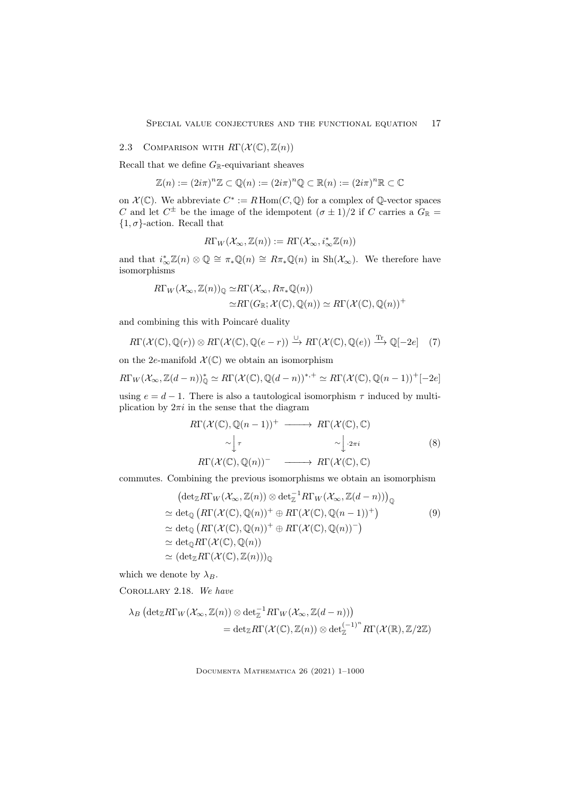## 2.3 COMPARISON WITH  $R\Gamma(\mathcal{X}(\mathbb{C}), \mathbb{Z}(n))$

Recall that we define  $G_{\mathbb{R}}$ -equivariant sheaves

$$
\mathbb{Z}(n) := (2i\pi)^n \mathbb{Z} \subset \mathbb{Q}(n) := (2i\pi)^n \mathbb{Q} \subset \mathbb{R}(n) := (2i\pi)^n \mathbb{R} \subset \mathbb{C}
$$

on  $\mathcal{X}(\mathbb{C})$ . We abbreviate  $C^* := R \operatorname{Hom}(C, \mathbb{Q})$  for a complex of  $\mathbb{Q}$ -vector spaces C and let  $C^{\pm}$  be the image of the idempotent  $(\sigma \pm 1)/2$  if C carries a  $G_{\mathbb{R}} =$  $\{1, \sigma\}$ -action. Recall that

$$
R\Gamma_W(\mathcal{X}_{\infty}, \mathbb{Z}(n)) := R\Gamma(\mathcal{X}_{\infty}, i_{\infty}^* \mathbb{Z}(n))
$$

and that  $i_{\infty}^* \mathbb{Z}(n) \otimes \mathbb{Q} \cong \pi_* \mathbb{Q}(n) \cong R\pi_* \mathbb{Q}(n)$  in  $\text{Sh}(\mathcal{X}_{\infty})$ . We therefore have isomorphisms

$$
R\Gamma_W(\mathcal{X}_{\infty}, \mathbb{Z}(n))_{\mathbb{Q}} \simeq R\Gamma(\mathcal{X}_{\infty}, R\pi_*\mathbb{Q}(n))
$$
  

$$
\simeq R\Gamma(G_{\mathbb{R}}; \mathcal{X}(\mathbb{C}), \mathbb{Q}(n)) \simeq R\Gamma(\mathcal{X}(\mathbb{C}), \mathbb{Q}(n))^+
$$

and combining this with Poincaré duality

$$
R\Gamma(\mathcal{X}(\mathbb{C}), \mathbb{Q}(r)) \otimes R\Gamma(\mathcal{X}(\mathbb{C}), \mathbb{Q}(e-r)) \xrightarrow{\cup} R\Gamma(\mathcal{X}(\mathbb{C}), \mathbb{Q}(e)) \xrightarrow{\text{Tr}} \mathbb{Q}[-2e] \quad (7)
$$

on the 2e-manifold  $\mathcal{X}(\mathbb{C})$  we obtain an isomorphism

$$
R\Gamma_W(\mathcal{X}_{\infty},\mathbb{Z}(d-n))_{\mathbb{Q}}^*\simeq R\Gamma(\mathcal{X}(\mathbb{C}),\mathbb{Q}(d-n))^{*,+}\simeq R\Gamma(\mathcal{X}(\mathbb{C}),\mathbb{Q}(n-1))^{+}[-2e]
$$

using  $e = d - 1$ . There is also a tautological isomorphism  $\tau$  induced by multiplication by  $2\pi i$  in the sense that the diagram

$$
R\Gamma(\mathcal{X}(\mathbb{C}), \mathbb{Q}(n-1))^+ \longrightarrow R\Gamma(\mathcal{X}(\mathbb{C}), \mathbb{C})
$$
  
\n
$$
\sim \int_{\mathbb{T}} \sim \int_{\mathbb{T}} \sim \int_{2\pi i} 2\pi i
$$
  
\n
$$
R\Gamma(\mathcal{X}(\mathbb{C}), \mathbb{Q}(n))^-\longrightarrow R\Gamma(\mathcal{X}(\mathbb{C}), \mathbb{C})
$$
  
\n(8)

commutes. Combining the previous isomorphisms we obtain an isomorphism

$$
(\det_{\mathbb{Z}} R\Gamma_W(\mathcal{X}_{\infty}, \mathbb{Z}(n)) \otimes \det_{\mathbb{Z}}^{-1} R\Gamma_W(\mathcal{X}_{\infty}, \mathbb{Z}(d-n)))_{\mathbb{Q}}
$$
  
\approx 
$$
\det_{\mathbb{Q}} (R\Gamma(\mathcal{X}(\mathbb{C}), \mathbb{Q}(n))^+ \oplus R\Gamma(\mathcal{X}(\mathbb{C}), \mathbb{Q}(n-1))^+ )
$$
  
\approx 
$$
\det_{\mathbb{Q}} (R\Gamma(\mathcal{X}(\mathbb{C}), \mathbb{Q}(n))^+ \oplus R\Gamma(\mathcal{X}(\mathbb{C}), \mathbb{Q}(n))^- )
$$
  
\approx 
$$
\det_{\mathbb{Q}} R\Gamma(\mathcal{X}(\mathbb{C}), \mathbb{Q}(n))
$$
  
\approx 
$$
(\det_{\mathbb{Z}} R\Gamma(\mathcal{X}(\mathbb{C}), \mathbb{Z}(n)))_{\mathbb{Q}}
$$

which we denote by  $\lambda_B$ .

Corollary 2.18. We have

$$
\lambda_B \left( \det_{\mathbb{Z}} R\Gamma_W(\mathcal{X}_{\infty}, \mathbb{Z}(n)) \otimes \det_{\mathbb{Z}}^{-1} R\Gamma_W(\mathcal{X}_{\infty}, \mathbb{Z}(d-n)) \right) \n= \det_{\mathbb{Z}} R\Gamma(\mathcal{X}(\mathbb{C}), \mathbb{Z}(n)) \otimes \det_{\mathbb{Z}}^{(-1)^n} R\Gamma(\mathcal{X}(\mathbb{R}), \mathbb{Z}/2\mathbb{Z})
$$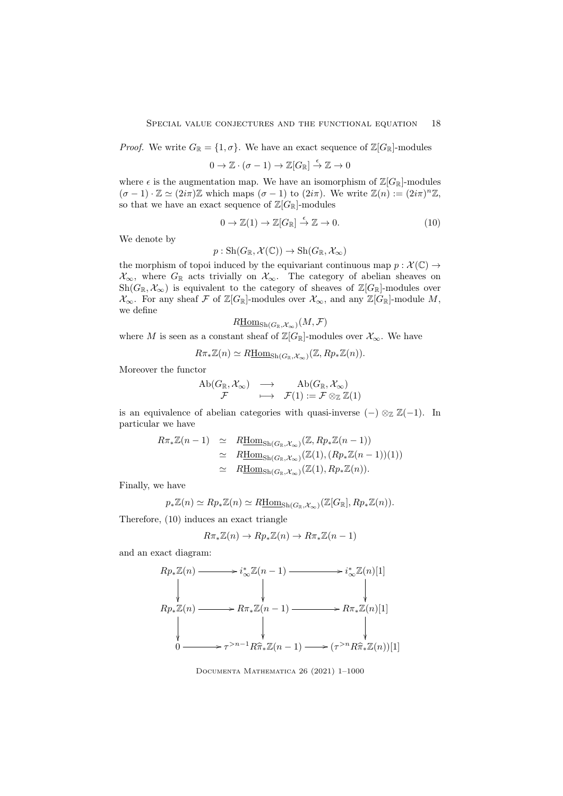*Proof.* We write  $G_{\mathbb{R}} = \{1, \sigma\}$ . We have an exact sequence of  $\mathbb{Z}[G_{\mathbb{R}}]$ -modules

$$
0 \to \mathbb{Z} \cdot (\sigma - 1) \to \mathbb{Z}[G_{\mathbb{R}}] \stackrel{\epsilon}{\to} \mathbb{Z} \to 0
$$

where  $\epsilon$  is the augmentation map. We have an isomorphism of  $\mathbb{Z}[G_{\mathbb{R}}]$ -modules  $(\sigma - 1) \cdot \mathbb{Z} \simeq (2i\pi)\mathbb{Z}$  which maps  $(\sigma - 1)$  to  $(2i\pi)$ . We write  $\mathbb{Z}(n) := (2i\pi)^n \mathbb{Z}$ , so that we have an exact sequence of  $\mathbb{Z}[G_{\mathbb{R}}]$ -modules

$$
0 \to \mathbb{Z}(1) \to \mathbb{Z}[G_{\mathbb{R}}] \stackrel{\epsilon}{\to} \mathbb{Z} \to 0. \tag{10}
$$

We denote by

$$
p: \mathrm{Sh}(G_{\mathbb{R}}, \mathcal{X}(\mathbb{C})) \to \mathrm{Sh}(G_{\mathbb{R}}, \mathcal{X}_{\infty})
$$

the morphism of topoi induced by the equivariant continuous map  $p : \mathcal{X}(\mathbb{C}) \to$  $\mathcal{X}_{\infty}$ , where  $G_{\mathbb{R}}$  acts trivially on  $\mathcal{X}_{\infty}$ . The category of abelian sheaves on Sh $(G_{\mathbb{R}}, \mathcal{X}_{\infty})$  is equivalent to the category of sheaves of  $\mathbb{Z}[G_{\mathbb{R}}]$ -modules over  $\mathcal{X}_{\infty}$ . For any sheaf F of Z[G<sub>R</sub>]-modules over  $\mathcal{X}_{\infty}$ , and any Z[G<sub>R</sub>]-module M, we define

$$
R\underline{\mathrm{Hom}}_{\mathrm{Sh}(G_{\mathbb{R}},\mathcal{X}_\infty)}(M,\mathcal{F})
$$

where M is seen as a constant sheaf of  $\mathbb{Z}[G_{\mathbb{R}}]$ -modules over  $\mathcal{X}_{\infty}$ . We have

$$
R\pi_*\mathbb{Z}(n) \simeq R\underline{\mathrm{Hom}}_{\mathrm{Sh}(G_{\mathbb{R}},\mathcal{X}_{\infty})}(\mathbb{Z},Rp_*\mathbb{Z}(n)).
$$

Moreover the functor

$$
\begin{array}{ccc}\n\mathrm{Ab}(G_{\mathbb{R}},\mathcal{X}_{\infty}) & \longrightarrow & \mathrm{Ab}(G_{\mathbb{R}},\mathcal{X}_{\infty}) \\
\mathcal{F} & \longmapsto & \mathcal{F}(1):=\mathcal{F}\otimes_{\mathbb{Z}}\mathbb{Z}(1)\n\end{array}
$$

is an equivalence of abelian categories with quasi-inverse  $(-) \otimes_{\mathbb{Z}} \mathbb{Z}(-1)$ . In particular we have

$$
R\pi_*\mathbb{Z}(n-1) \simeq R\underline{\text{Hom}}_{\text{Sh}(G_{\mathbb{R}},X_\infty)}(\mathbb{Z},Rp_*\mathbb{Z}(n-1))
$$
  
\simeq R\underline{\text{Hom}}\_{\text{Sh}(G\_{\mathbb{R}},X\_\infty)}(\mathbb{Z}(1),(Rp\_\*\mathbb{Z}(n-1))(1))  
\simeq R\underline{\text{Hom}}\_{\text{Sh}(G\_{\mathbb{R}},X\_\infty)}(\mathbb{Z}(1),Rp\_\*\mathbb{Z}(n)).

Finally, we have

$$
p_*\mathbb{Z}(n) \simeq Rp_*\mathbb{Z}(n) \simeq R\underline{\mathrm{Hom}}_{\mathrm{Sh}(G_{\mathbb{R}},\mathcal{X}_{\infty})}(\mathbb{Z}[G_{\mathbb{R}}],Rp_*\mathbb{Z}(n)).
$$

Therefore, (10) induces an exact triangle

$$
R\pi_*\mathbb{Z}(n) \to Rp_*\mathbb{Z}(n) \to R\pi_*\mathbb{Z}(n-1)
$$

and an exact diagram:

$$
Rp_*\mathbb{Z}(n) \longrightarrow i_{\infty}^*\mathbb{Z}(n-1) \longrightarrow i_{\infty}^*\mathbb{Z}(n)[1]
$$
  
\n
$$
Rp_*\mathbb{Z}(n) \longrightarrow R\pi_*\mathbb{Z}(n-1) \longrightarrow R\pi_*\mathbb{Z}(n)[1]
$$
  
\n
$$
\downarrow \qquad \qquad \downarrow \qquad \qquad \downarrow
$$
  
\n
$$
0 \longrightarrow \tau^{>n-1}R\hat{\pi}_*\mathbb{Z}(n-1) \longrightarrow (\tau^{>n}R\hat{\pi}_*\mathbb{Z}(n))[1]
$$

Documenta Mathematica 26 (2021) 1–1000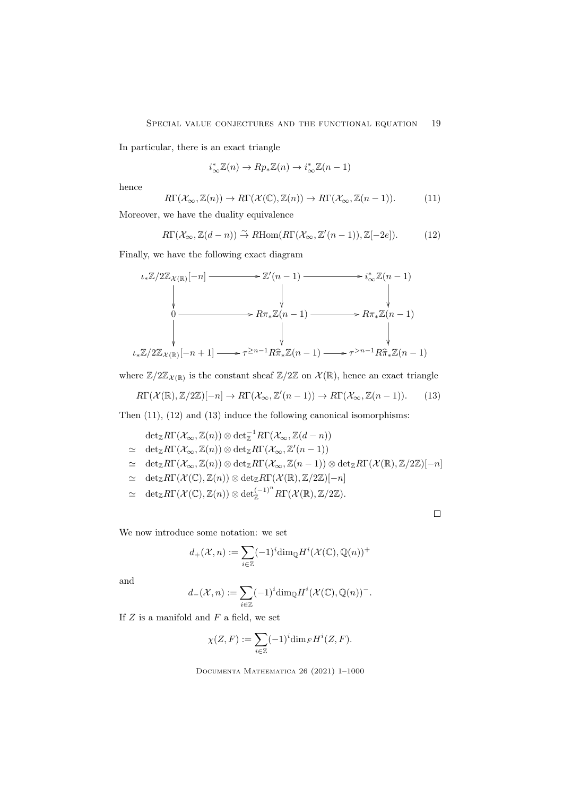In particular, there is an exact triangle

$$
i^*_{\infty}\mathbb{Z}(n) \to Rp_*\mathbb{Z}(n) \to i^*_{\infty}\mathbb{Z}(n-1)
$$

hence

$$
R\Gamma(\mathcal{X}_{\infty}, \mathbb{Z}(n)) \to R\Gamma(\mathcal{X}(\mathbb{C}), \mathbb{Z}(n)) \to R\Gamma(\mathcal{X}_{\infty}, \mathbb{Z}(n-1)).
$$
 (11)

Moreover, we have the duality equivalence

$$
R\Gamma(\mathcal{X}_{\infty}, \mathbb{Z}(d-n)) \stackrel{\sim}{\to} R\text{Hom}(R\Gamma(\mathcal{X}_{\infty}, \mathbb{Z}'(n-1)), \mathbb{Z}[-2e]).
$$
 (12)

Finally, we have the following exact diagram

$$
\iota_*\mathbb{Z}/2\mathbb{Z}_{\mathcal{X}(\mathbb{R})}[-n] \longrightarrow \mathbb{Z}'(n-1) \longrightarrow i_{\infty}^*\mathbb{Z}(n-1)
$$
  
\n
$$
\downarrow \qquad \qquad \downarrow \qquad \qquad \downarrow
$$
  
\n
$$
0 \longrightarrow R\pi_*\mathbb{Z}(n-1) \longrightarrow R\pi_*\mathbb{Z}(n-1)
$$
  
\n
$$
\downarrow \qquad \qquad \downarrow
$$
  
\n
$$
\iota_*\mathbb{Z}/2\mathbb{Z}_{\mathcal{X}(\mathbb{R})}[-n+1] \longrightarrow \tau^{\geq n-1}R\hat{\pi}_*\mathbb{Z}(n-1) \longrightarrow \tau^{>n-1}R\hat{\pi}_*\mathbb{Z}(n-1)
$$

where  $\mathbb{Z}/2\mathbb{Z}_{\mathcal{X}(\mathbb{R})}$  is the constant sheaf  $\mathbb{Z}/2\mathbb{Z}$  on  $\mathcal{X}(\mathbb{R})$ , hence an exact triangle

$$
R\Gamma(\mathcal{X}(\mathbb{R}), \mathbb{Z}/2\mathbb{Z})[-n] \to R\Gamma(\mathcal{X}_{\infty}, \mathbb{Z}'(n-1)) \to R\Gamma(\mathcal{X}_{\infty}, \mathbb{Z}(n-1)).\tag{13}
$$

Then (11), (12) and (13) induce the following canonical isomorphisms:

$$
\det_{\mathbb{Z}} R\Gamma(\mathcal{X}_{\infty}, \mathbb{Z}(n)) \otimes \det_{\mathbb{Z}}^{-1} R\Gamma(\mathcal{X}_{\infty}, \mathbb{Z}(d - n))
$$
\n
$$
\simeq \det_{\mathbb{Z}} R\Gamma(\mathcal{X}_{\infty}, \mathbb{Z}(n)) \otimes \det_{\mathbb{Z}} R\Gamma(\mathcal{X}_{\infty}, \mathbb{Z}'(n - 1))
$$
\n
$$
\simeq \det_{\mathbb{Z}} R\Gamma(\mathcal{X}_{\infty}, \mathbb{Z}(n)) \otimes \det_{\mathbb{Z}} R\Gamma(\mathcal{X}_{\infty}, \mathbb{Z}(n - 1)) \otimes \det_{\mathbb{Z}} R\Gamma(\mathcal{X}(\mathbb{R}), \mathbb{Z}/2\mathbb{Z})[-n]
$$
\n
$$
\simeq \det_{\mathbb{Z}} R\Gamma(\mathcal{X}(\mathbb{C}), \mathbb{Z}(n)) \otimes \det_{\mathbb{Z}} R\Gamma(\mathcal{X}(\mathbb{R}), \mathbb{Z}/2\mathbb{Z})[-n]
$$
\n
$$
\simeq \det_{\mathbb{Z}} R\Gamma(\mathcal{X}(\mathbb{C}), \mathbb{Z}(n)) \otimes \det_{\mathbb{Z}}^{(-1)^n} R\Gamma(\mathcal{X}(\mathbb{R}), \mathbb{Z}/2\mathbb{Z}).
$$

 $\Box$ 

We now introduce some notation: we set

$$
d_+(\mathcal{X},n):=\sum_{i\in\mathbb{Z}}(-1)^i\mathrm{dim}_{\mathbb{Q}}H^i(\mathcal{X}(\mathbb{C}),\mathbb{Q}(n))^+
$$

and

$$
d_{-}(\mathcal{X},n) := \sum_{i\in\mathbb{Z}} (-1)^{i} \dim_{\mathbb{Q}} H^{i}(\mathcal{X}(\mathbb{C}), \mathbb{Q}(n))^{-}.
$$

If  $Z$  is a manifold and  $F$  a field, we set

$$
\chi(Z, F) := \sum_{i \in \mathbb{Z}} (-1)^i \dim_F H^i(Z, F).
$$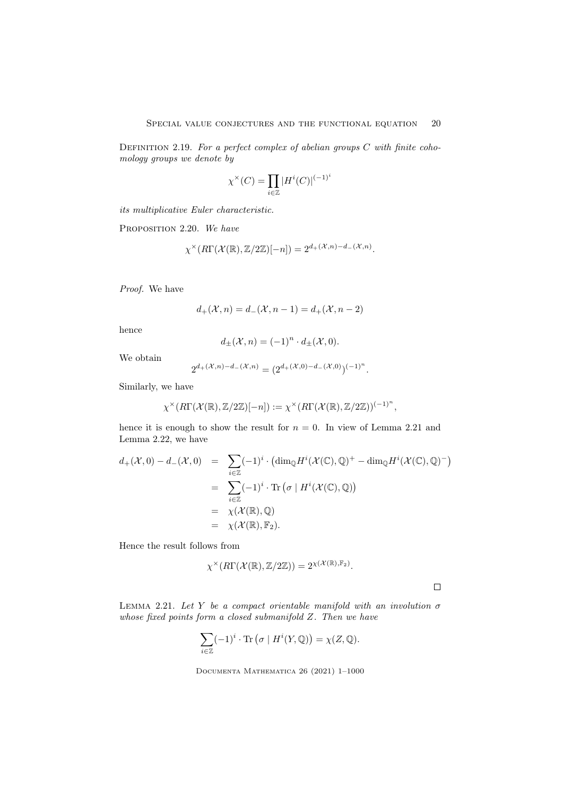DEFINITION 2.19. For a perfect complex of abelian groups  $C$  with finite cohomology groups we denote by

$$
\chi^{\times}(C) = \prod_{i \in \mathbb{Z}} |H^i(C)|^{(-1)^i}
$$

its multiplicative Euler characteristic.

PROPOSITION 2.20. We have

$$
\chi^{\times}(R\Gamma(\mathcal{X}(\mathbb{R}), \mathbb{Z}/2\mathbb{Z})[-n]) = 2^{d_{+}(\mathcal{X}, n) - d_{-}(\mathcal{X}, n)}.
$$

Proof. We have

$$
d_{+}(\mathcal{X}, n) = d_{-}(\mathcal{X}, n - 1) = d_{+}(\mathcal{X}, n - 2)
$$

hence

$$
d_{\pm}(\mathcal{X}, n) = (-1)^n \cdot d_{\pm}(\mathcal{X}, 0).
$$

We obtain

$$
2^{d_{+}(\mathcal{X},n)-d_{-}(\mathcal{X},n)} = (2^{d_{+}(\mathcal{X},0)-d_{-}(\mathcal{X},0)})^{(-1)^{n}}.
$$

Similarly, we have

$$
\chi^{\times}(R\Gamma(\mathcal{X}(\mathbb{R}),\mathbb{Z}/2\mathbb{Z})[-n]) := \chi^{\times}(R\Gamma(\mathcal{X}(\mathbb{R}),\mathbb{Z}/2\mathbb{Z}))^{(-1)^{n}},
$$

hence it is enough to show the result for  $n = 0$ . In view of Lemma 2.21 and Lemma 2.22, we have

$$
d_{+}(\mathcal{X},0) - d_{-}(\mathcal{X},0) = \sum_{i \in \mathbb{Z}} (-1)^{i} \cdot (\dim_{\mathbb{Q}} H^{i}(\mathcal{X}(\mathbb{C}),\mathbb{Q})^{+} - \dim_{\mathbb{Q}} H^{i}(\mathcal{X}(\mathbb{C}),\mathbb{Q})^{-})
$$
  

$$
= \sum_{i \in \mathbb{Z}} (-1)^{i} \cdot \text{Tr}(\sigma \mid H^{i}(\mathcal{X}(\mathbb{C}),\mathbb{Q}))
$$
  

$$
= \chi(\mathcal{X}(\mathbb{R}),\mathbb{Q})
$$
  

$$
= \chi(\mathcal{X}(\mathbb{R}),\mathbb{F}_{2}).
$$

Hence the result follows from

$$
\chi^{\times}(R\Gamma(\mathcal{X}(\mathbb{R}),\mathbb{Z}/2\mathbb{Z}))=2^{\chi(\mathcal{X}(\mathbb{R}),\mathbb{F}_2)}.
$$

 $\Box$ 

LEMMA 2.21. Let Y be a compact orientable manifold with an involution  $\sigma$ whose fixed points form a closed submanifold Z. Then we have

$$
\sum_{i \in \mathbb{Z}} (-1)^i \cdot \text{Tr}(\sigma \mid H^i(Y, \mathbb{Q})) = \chi(Z, \mathbb{Q}).
$$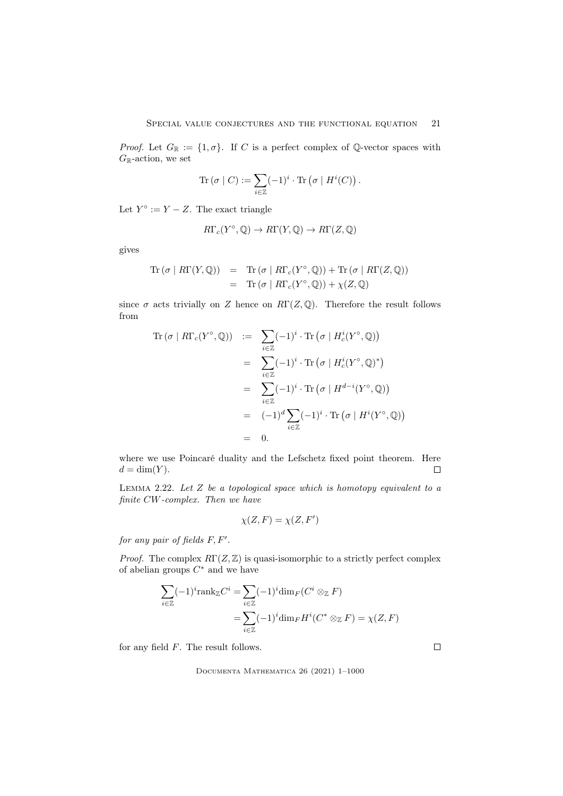*Proof.* Let  $G_{\mathbb{R}} := \{1, \sigma\}$ . If C is a perfect complex of Q-vector spaces with  $G_{\mathbb{R}}$ -action, we set

$$
\operatorname{Tr} (\sigma \mid C) := \sum_{i \in \mathbb{Z}} (-1)^i \cdot \operatorname{Tr} (\sigma \mid H^i(C)).
$$

Let  $Y^{\circ} := Y - Z$ . The exact triangle

$$
R\Gamma_c(Y^{\circ}, \mathbb{Q}) \to R\Gamma(Y, \mathbb{Q}) \to R\Gamma(Z, \mathbb{Q})
$$

gives

$$
\begin{array}{rcl}\n\operatorname{Tr}(\sigma \mid R\Gamma(Y, \mathbb{Q})) & = & \operatorname{Tr}(\sigma \mid R\Gamma_c(Y^\circ, \mathbb{Q})) + \operatorname{Tr}(\sigma \mid R\Gamma(Z, \mathbb{Q})) \\
& = & \operatorname{Tr}(\sigma \mid R\Gamma_c(Y^\circ, \mathbb{Q})) + \chi(Z, \mathbb{Q})\n\end{array}
$$

since  $\sigma$  acts trivially on Z hence on  $R\Gamma(Z,\mathbb{Q})$ . Therefore the result follows from

$$
\begin{array}{rcl}\n\text{Tr}\left(\sigma \mid R\Gamma_c(Y^\circ, \mathbb{Q})\right) & := & \sum_{i \in \mathbb{Z}} (-1)^i \cdot \text{Tr}\left(\sigma \mid H_c^i(Y^\circ, \mathbb{Q})\right) \\
& = & \sum_{i \in \mathbb{Z}} (-1)^i \cdot \text{Tr}\left(\sigma \mid H_c^i(Y^\circ, \mathbb{Q})^*\right) \\
& = & \sum_{i \in \mathbb{Z}} (-1)^i \cdot \text{Tr}\left(\sigma \mid H^{d-i}(Y^\circ, \mathbb{Q})\right) \\
& = & (-1)^d \sum_{i \in \mathbb{Z}} (-1)^i \cdot \text{Tr}\left(\sigma \mid H^i(Y^\circ, \mathbb{Q})\right) \\
& = & 0.\n\end{array}
$$

where we use Poincaré duality and the Lefschetz fixed point theorem. Here  $d = \dim(Y)$ .  $\Box$ 

LEMMA 2.22. Let  $Z$  be a topological space which is homotopy equivalent to a finite CW-complex. Then we have

$$
\chi(Z, F) = \chi(Z, F')
$$

for any pair of fields  $F, F'$ .

*Proof.* The complex  $R\Gamma(Z, \mathbb{Z})$  is quasi-isomorphic to a strictly perfect complex of abelian groups  $C^*$  and we have

$$
\sum_{i \in \mathbb{Z}} (-1)^i \text{rank}_{\mathbb{Z}} C^i = \sum_{i \in \mathbb{Z}} (-1)^i \dim_F (C^i \otimes_{\mathbb{Z}} F)
$$

$$
= \sum_{i \in \mathbb{Z}} (-1)^i \dim_F H^i(C^* \otimes_{\mathbb{Z}} F) = \chi(Z, F)
$$

for any field  $F$ . The result follows.

Documenta Mathematica 26 (2021) 1–1000

 $\Box$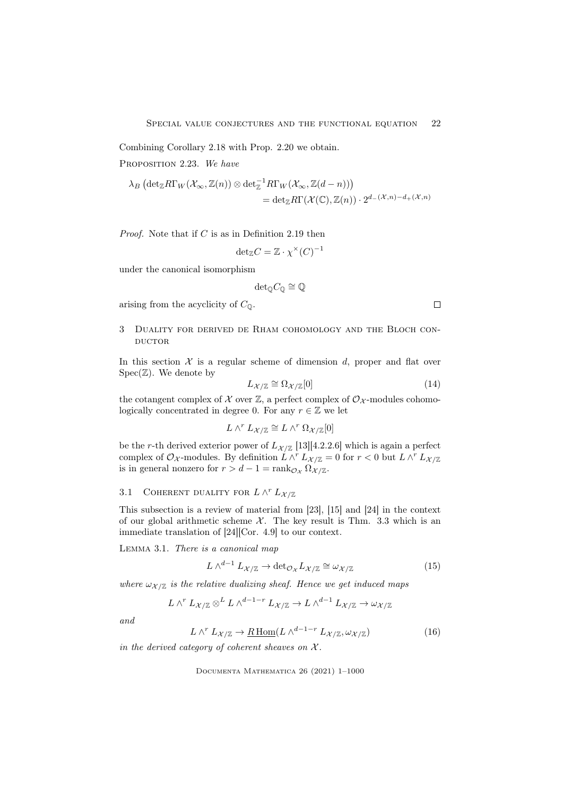Combining Corollary 2.18 with Prop. 2.20 we obtain.

PROPOSITION 2.23. We have

$$
\lambda_B \left( \det_{\mathbb{Z}} R\Gamma_W(\mathcal{X}_{\infty}, \mathbb{Z}(n)) \otimes \det_{\mathbb{Z}}^{-1} R\Gamma_W(\mathcal{X}_{\infty}, \mathbb{Z}(d-n)) \right) \n= \det_{\mathbb{Z}} R\Gamma(\mathcal{X}(\mathbb{C}), \mathbb{Z}(n)) \cdot 2^{d_{-}(\mathcal{X}, n) - d_{+}(\mathcal{X}, n)}
$$

*Proof.* Note that if  $C$  is as in Definition 2.19 then

$$
\det\nolimits_{\mathbb{Z}}C=\mathbb{Z}\cdot\chi^{\times}(C)^{-1}
$$

under the canonical isomorphism

$$
{\det}_{{\mathbb Q}} C_{{\mathbb Q}} \cong {\mathbb Q}
$$

arising from the acyclicity of  $C_{\mathbb{Q}}$ .

## 3 Duality for derived de Rham cohomology and the Bloch con-**DUCTOR**

In this section  $X$  is a regular scheme of dimension d, proper and flat over  $Spec(\mathbb{Z})$ . We denote by

$$
L_{\mathcal{X}/\mathbb{Z}} \cong \Omega_{\mathcal{X}/\mathbb{Z}}[0] \tag{14}
$$

the cotangent complex of X over  $\mathbb{Z}$ , a perfect complex of  $\mathcal{O}_{\mathcal{X}}$ -modules cohomologically concentrated in degree 0. For any  $r \in \mathbb{Z}$  we let

$$
L \wedge^r L_{\mathcal{X}/\mathbb{Z}} \cong L \wedge^r \Omega_{\mathcal{X}/\mathbb{Z}}[0]
$$

be the r-th derived exterior power of  $L_{\mathcal{X}/\mathbb{Z}}$  [13][4.2.2.6] which is again a perfect complex of  $\mathcal{O}_{\mathcal{X}}$ -modules. By definition  $\hat{L} \wedge^r L_{\mathcal{X}/\mathbb{Z}} = 0$  for  $r < 0$  but  $L \wedge^r L_{\mathcal{X}/\mathbb{Z}}$ is in general nonzero for  $r > d - 1 = \text{rank}_{\mathcal{O}_{\mathcal{X}}} \Omega_{\mathcal{X}/\mathbb{Z}}$ .

## 3.1 COHERENT DUALITY FOR  $L \wedge^r L_{\mathcal{X}/\mathbb{Z}}$

This subsection is a review of material from [23], [15] and [24] in the context of our global arithmetic scheme  $\mathcal{X}$ . The key result is Thm. 3.3 which is an immediate translation of [24][Cor. 4.9] to our context.

Lemma 3.1. There is a canonical map

$$
L \wedge^{d-1} L_{\mathcal{X}/\mathbb{Z}} \to \text{det}_{\mathcal{O}_{\mathcal{X}}} L_{\mathcal{X}/\mathbb{Z}} \cong \omega_{\mathcal{X}/\mathbb{Z}}
$$
(15)

where  $\omega_{\mathcal{X}/\mathbb{Z}}$  is the relative dualizing sheaf. Hence we get induced maps

$$
L \wedge^r L_{\mathcal{X}/\mathbb{Z}} \otimes^L L \wedge^{d-1-r} L_{\mathcal{X}/\mathbb{Z}} \to L \wedge^{d-1} L_{\mathcal{X}/\mathbb{Z}} \to \omega_{\mathcal{X}/\mathbb{Z}}
$$

and

$$
L \wedge^r L_{\mathcal{X}/\mathbb{Z}} \to \underline{R \operatorname{Hom}}(L \wedge^{d-1-r} L_{\mathcal{X}/\mathbb{Z}}, \omega_{\mathcal{X}/\mathbb{Z}}) \tag{16}
$$

in the derived category of coherent sheaves on  $\mathcal{X}$ .

Documenta Mathematica 26 (2021) 1–1000

 $\Box$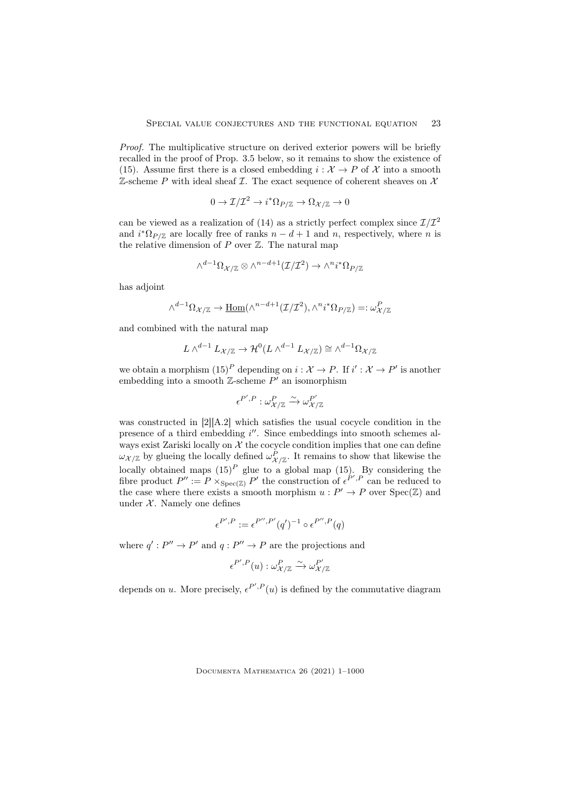Proof. The multiplicative structure on derived exterior powers will be briefly recalled in the proof of Prop. 3.5 below, so it remains to show the existence of (15). Assume first there is a closed embedding  $i : \mathcal{X} \to P$  of X into a smooth  $\mathbb Z$ -scheme P with ideal sheaf  $\mathcal I$ . The exact sequence of coherent sheaves on  $\mathcal X$ 

$$
0 \to \mathcal{I}/\mathcal{I}^2 \to i^* \Omega_{P/\mathbb{Z}} \to \Omega_{\mathcal{X}/\mathbb{Z}} \to 0
$$

can be viewed as a realization of (14) as a strictly perfect complex since  $\mathcal{I}/\mathcal{I}^2$ and  $i^* \Omega_{P/\mathbb{Z}}$  are locally free of ranks  $n - d + 1$  and n, respectively, where n is the relative dimension of  $P$  over  $\mathbb{Z}$ . The natural map

$$
\wedge^{d-1} \Omega_{\mathcal{X}/\mathbb{Z}} \otimes \wedge^{n-d+1} (\mathcal{I}/\mathcal{I}^2) \rightarrow \wedge^n i^* \Omega_{P/\mathbb{Z}}
$$

has adjoint

$$
\wedge^{d-1}\Omega_{\mathcal{X}/\mathbb{Z}}\rightarrow \underline{\mathrm{Hom}}(\wedge^{n-d+1}(\mathcal{I}/\mathcal{I}^2),\wedge^n i^*\Omega_{P/\mathbb{Z}})=:\omega_{\mathcal{X}/\mathbb{Z}}^P
$$

and combined with the natural map

$$
L \wedge^{d-1} L_{\mathcal{X}/\mathbb{Z}} \to \mathcal{H}^0(L \wedge^{d-1} L_{\mathcal{X}/\mathbb{Z}}) \cong \wedge^{d-1} \Omega_{\mathcal{X}/\mathbb{Z}}
$$

we obtain a morphism  $(15)^P$  depending on  $i: \mathcal{X} \to P$ . If  $i': \mathcal{X} \to P'$  is another embedding into a smooth  $\mathbb{Z}$ -scheme  $P'$  an isomorphism

$$
\epsilon^{P',P}:\omega_{\mathcal{X}/\mathbb{Z}}^P\xrightarrow{\sim}\omega_{\mathcal{X}/\mathbb{Z}}^{P'}
$$

was constructed in [2][A.2] which satisfies the usual cocycle condition in the presence of a third embedding  $i''$ . Since embeddings into smooth schemes always exist Zariski locally on  $X$  the cocycle condition implies that one can define  $\omega_{\mathcal{X}/\mathbb{Z}}$  by glueing the locally defined  $\omega_{\mathcal{X}/\mathbb{Z}}^P$ . It remains to show that likewise the locally obtained maps  $(15)^P$  glue to a global map  $(15)$ . By considering the fibre product  $P'' := P \times_{\text{Spec}(\mathbb{Z})} P'$  the construction of  $\epsilon^{P',P}$  can be reduced to the case where there exists a smooth morphism  $u : P' \to P$  over  $Spec(\mathbb{Z})$  and under  $X$ . Namely one defines

$$
\epsilon^{P',P} := \epsilon^{P'',P'}(q')^{-1} \circ \epsilon^{P'',P}(q)
$$

where  $q': P'' \to P'$  and  $q: P'' \to P$  are the projections and

$$
\epsilon^{P',P}(u): \omega^P_{\mathcal{X}/\mathbb{Z}} \xrightarrow{\sim} \omega^{P'}_{\mathcal{X}/\mathbb{Z}}
$$

depends on u. More precisely,  $\epsilon^{P',P}(u)$  is defined by the commutative diagram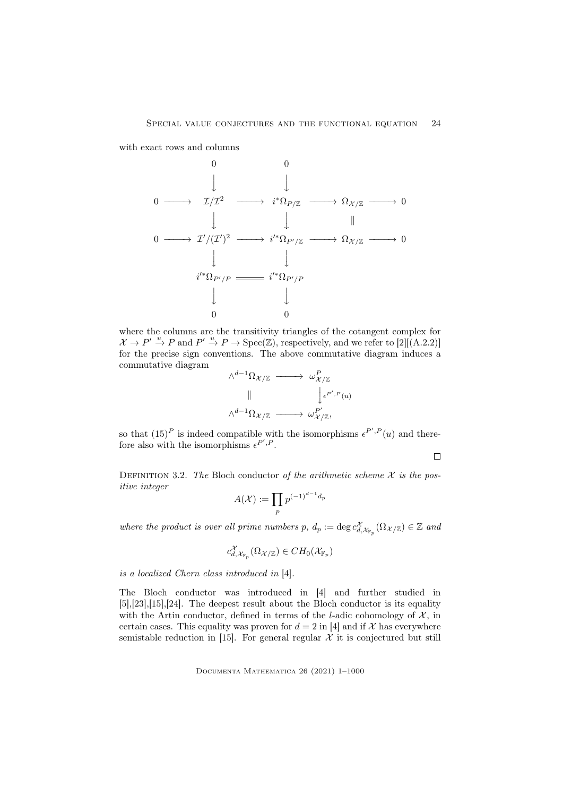with exact rows and columns

0 0 y y 0 −−−−→ I/I <sup>2</sup> −−−−→ i <sup>∗</sup>ΩP/<sup>Z</sup> −−−−→ Ω<sup>X</sup> /<sup>Z</sup> −−−−→ 0 y <sup>y</sup> <sup>k</sup> 0 −−−−→ I<sup>0</sup>/(I 0 ) <sup>2</sup> −−−−→ i 0∗Ω<sup>P</sup> <sup>0</sup>/<sup>Z</sup> −−−−→ Ω<sup>X</sup> /<sup>Z</sup> −−−−→ 0 y y i 0∗Ω<sup>P</sup> <sup>0</sup>/P i 0∗Ω<sup>P</sup> <sup>0</sup>/P y y 0 0

where the columns are the transitivity triangles of the cotangent complex for  $\mathcal{X} \to P' \xrightarrow{u} P$  and  $P' \xrightarrow{u} P \to \text{Spec}(\mathbb{Z})$ , respectively, and we refer to [2][(A.2.2)] for the precise sign conventions. The above commutative diagram induces a commutative diagram



so that  $(15)^P$  is indeed compatible with the isomorphisms  $\epsilon^{P',P}(u)$  and therefore also with the isomorphisms  $\epsilon^{P',P}$ .

 $\Box$ 

DEFINITION 3.2. The Bloch conductor of the arithmetic scheme  $X$  is the positive integer

$$
A(\mathcal{X}):=\prod_{p}p^{(-1)^{d-1}d_p}
$$

where the product is over all prime numbers  $p, d_p := \deg c_{d, \mathcal{X}_{\mathbb{F}_p}}^{\chi}(\Omega_{\mathcal{X}/\mathbb{Z}}) \in \mathbb{Z}$  and

$$
c_{d,\mathcal{X}_{\mathbb{F}_p}}^{\mathcal{X}}(\Omega_{\mathcal{X}/\mathbb{Z}}) \in CH_0(\mathcal{X}_{\mathbb{F}_p})
$$

is a localized Chern class introduced in [4].

The Bloch conductor was introduced in [4] and further studied in [5],[23],[15],[24]. The deepest result about the Bloch conductor is its equality with the Artin conductor, defined in terms of the *l*-adic cohomology of  $\mathcal{X}$ , in certain cases. This equality was proven for  $d = 2$  in [4] and if X has everywhere semistable reduction in [15]. For general regular  $\mathcal X$  it is conjectured but still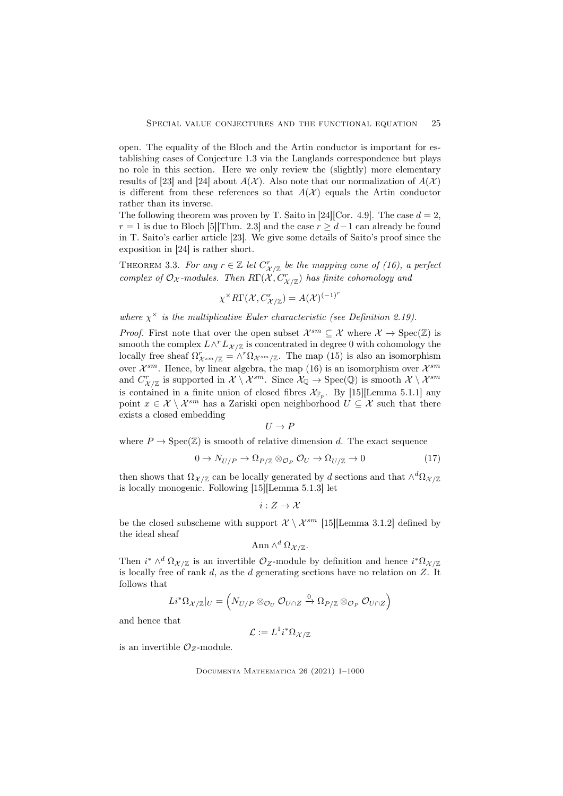open. The equality of the Bloch and the Artin conductor is important for establishing cases of Conjecture 1.3 via the Langlands correspondence but plays no role in this section. Here we only review the (slightly) more elementary results of [23] and [24] about  $A(\mathcal{X})$ . Also note that our normalization of  $A(\mathcal{X})$ is different from these references so that  $A(\mathcal{X})$  equals the Artin conductor rather than its inverse.

The following theorem was proven by T. Saito in [24][Cor. 4.9]. The case  $d = 2$ ,  $r = 1$  is due to Bloch [5][Thm. 2.3] and the case  $r \geq d-1$  can already be found in T. Saito's earlier article [23]. We give some details of Saito's proof since the exposition in [24] is rather short.

THEOREM 3.3. For any  $r \in \mathbb{Z}$  let  $C_{\mathcal{X}/\mathbb{Z}}^r$  be the mapping cone of (16), a perfect complex of  $\mathcal{O}_{\mathcal{X}}$ -modules. Then  $R\Gamma(\mathcal{X},C_{\mathcal{X}/\mathbb{Z}}^{r})$  has finite cohomology and

$$
\chi^{\times} R\Gamma(\mathcal{X}, C_{\mathcal{X}/\mathbb{Z}}^{r}) = A(\mathcal{X})^{(-1)^{r}}
$$

where  $\chi^{\times}$  is the multiplicative Euler characteristic (see Definition 2.19).

*Proof.* First note that over the open subset  $\mathcal{X}^{sm} \subseteq \mathcal{X}$  where  $\mathcal{X} \to \text{Spec}(\mathbb{Z})$  is smooth the complex  $L \wedge^r L_{\mathcal{X}/\mathbb{Z}}$  is concentrated in degree 0 with cohomology the locally free sheaf  $\Omega^r_{\mathcal{X}^{sm}/\mathbb{Z}} = \wedge^r \Omega_{\mathcal{X}^{sm}/\mathbb{Z}}$ . The map (15) is also an isomorphism over  $\mathcal{X}^{sm}$ . Hence, by linear algebra, the map (16) is an isomorphism over  $\mathcal{X}^{sm}$ and  $C^r_{\mathcal{X}/\mathbb{Z}}$  is supported in  $\mathcal{X} \setminus \mathcal{X}^{sm}$ . Since  $\mathcal{X}_{\mathbb{Q}} \to \text{Spec}(\mathbb{Q})$  is smooth  $\mathcal{X} \setminus \mathcal{X}^{sm}$ is contained in a finite union of closed fibres  $\mathcal{X}_{\mathbb{F}_p}$ . By [15] [Lemma 5.1.1] any point  $x \in \mathcal{X} \setminus \mathcal{X}^{sm}$  has a Zariski open neighborhood  $U \subseteq \mathcal{X}$  such that there exists a closed embedding

$$
U \to F
$$

where  $P \to \text{Spec}(\mathbb{Z})$  is smooth of relative dimension d. The exact sequence

$$
0 \to N_{U/P} \to \Omega_{P/\mathbb{Z}} \otimes_{\mathcal{O}_P} \mathcal{O}_U \to \Omega_{U/\mathbb{Z}} \to 0 \tag{17}
$$

then shows that  $\Omega_{\mathcal{X}/\mathbb{Z}}$  can be locally generated by d sections and that  $\wedge^d \Omega_{\mathcal{X}/\mathbb{Z}}$ is locally monogenic. Following [15][Lemma 5.1.3] let

$$
i:Z\to\mathcal{X}
$$

be the closed subscheme with support  $\mathcal{X} \setminus \mathcal{X}^{sm}$  [15] [Lemma 3.1.2] defined by the ideal sheaf

$$
\text{Ann }\wedge^d \Omega_{\mathcal{X}/\mathbb{Z}}.
$$

Then  $i^* \wedge^d \Omega_{\mathcal{X}/\mathbb{Z}}$  is an invertible  $\mathcal{O}_{Z}$ -module by definition and hence  $i^* \Omega_{\mathcal{X}/\mathbb{Z}}$ is locally free of rank  $d$ , as the  $d$  generating sections have no relation on  $Z$ . It follows that

$$
Li^*\Omega_{\mathcal{X}/\mathbb{Z}}|_U=\left(N_{U/P}\otimes_{\mathcal{O}_U}\mathcal{O}_{U\cap Z}\xrightarrow{0}\Omega_{P/\mathbb{Z}}\otimes_{\mathcal{O}_P}\mathcal{O}_{U\cap Z}\right)
$$

and hence that

$$
\mathcal{L} := L^1 i^* \Omega_{\mathcal{X}/\mathbb{Z}}
$$

is an invertible  $\mathcal{O}_Z$ -module.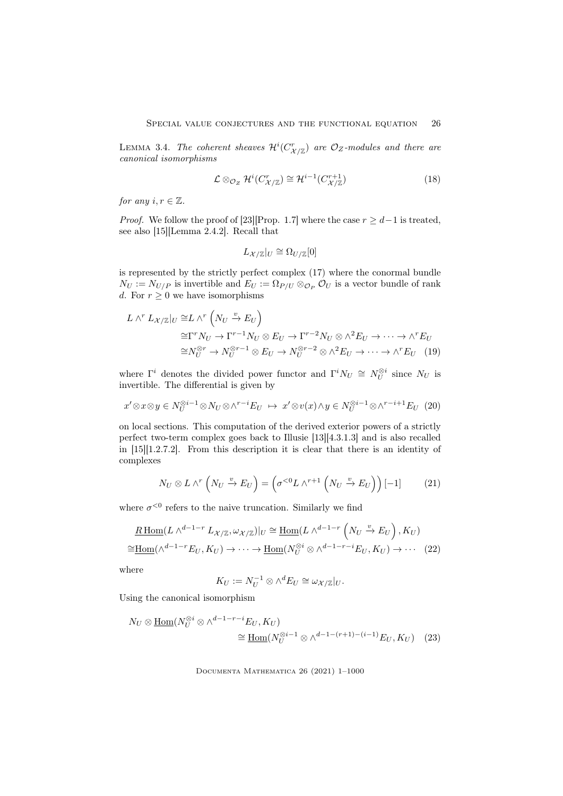LEMMA 3.4. The coherent sheaves  $\mathcal{H}^i(C_{\mathcal{X}/\mathbb{Z}}^r)$  are  $\mathcal{O}_Z$ -modules and there are canonical isomorphisms

$$
\mathcal{L} \otimes_{\mathcal{O}_Z} \mathcal{H}^i(C_{\mathcal{X}/\mathbb{Z}}^r) \cong \mathcal{H}^{i-1}(C_{\mathcal{X}/\mathbb{Z}}^{r+1})
$$
\n(18)

for any  $i, r \in \mathbb{Z}$ .

*Proof.* We follow the proof of [23][Prop. 1.7] where the case  $r \geq d-1$  is treated, see also [15][Lemma 2.4.2]. Recall that

$$
L_{\mathcal{X}/\mathbb{Z}}|_U \cong \Omega_{U/\mathbb{Z}}[0]
$$

is represented by the strictly perfect complex (17) where the conormal bundle  $N_U := N_{U/P}$  is invertible and  $E_U := \Omega_{P/U} \otimes_{\mathcal{O}_P} \mathcal{O}_U$  is a vector bundle of rank d. For  $r \geq 0$  we have isomorphisms

$$
L \wedge^r L_{\mathcal{X}/\mathbb{Z}}|_U \cong L \wedge^r \left(N_U \xrightarrow{v} E_U\right)
$$
  
\n
$$
\cong \Gamma^r N_U \to \Gamma^{r-1} N_U \otimes E_U \to \Gamma^{r-2} N_U \otimes \wedge^2 E_U \to \cdots \to \wedge^r E_U
$$
  
\n
$$
\cong N_U^{\otimes r} \to N_U^{\otimes r-1} \otimes E_U \to N_U^{\otimes r-2} \otimes \wedge^2 E_U \to \cdots \to \wedge^r E_U \tag{19}
$$

where  $\Gamma^i$  denotes the divided power functor and  $\Gamma^i N_U \cong N_U^{\otimes i}$  since  $N_U$  is invertible. The differential is given by

$$
x' \otimes x \otimes y \in N_U^{\otimes i-1} \otimes N_U \otimes \wedge^{r-i} E_U \ \mapsto \ x' \otimes v(x) \wedge y \in N_U^{\otimes i-1} \otimes \wedge^{r-i+1} E_U \tag{20}
$$

on local sections. This computation of the derived exterior powers of a strictly perfect two-term complex goes back to Illusie [13][4.3.1.3] and is also recalled in [15][1.2.7.2]. From this description it is clear that there is an identity of complexes

$$
N_U \otimes L \wedge^r \left( N_U \xrightarrow{v} E_U \right) = \left( \sigma^{<0} L \wedge^{r+1} \left( N_U \xrightarrow{v} E_U \right) \right)[-1] \tag{21}
$$

where  $\sigma^{<0}$  refers to the naive truncation. Similarly we find

$$
\underline{R \operatorname{Hom}}(L \wedge^{d-1-r} L_{\mathcal{X}/\mathbb{Z}}, \omega_{\mathcal{X}/\mathbb{Z}})|_U \cong \underline{\operatorname{Hom}}(L \wedge^{d-1-r} \left( N_U \xrightarrow{v} E_U \right), K_U)
$$
  

$$
\cong \underline{\operatorname{Hom}}(\wedge^{d-1-r} E_U, K_U) \to \cdots \to \underline{\operatorname{Hom}}(N_U^{\otimes i} \otimes \wedge^{d-1-r-i} E_U, K_U) \to \cdots \tag{22}
$$

where

$$
K_U := N_U^{-1} \otimes \wedge^d E_U \cong \omega_{\mathcal{X}/\mathbb{Z}}|_U.
$$

Using the canonical isomorphism

$$
N_U \otimes \underline{\text{Hom}}(N_U^{\otimes i} \otimes \wedge^{d-1-r-i} E_U, K_U)
$$
  
\n
$$
\cong \underline{\text{Hom}}(N_U^{\otimes i-1} \otimes \wedge^{d-1-(r+1)-(i-1)} E_U, K_U)
$$
 (23)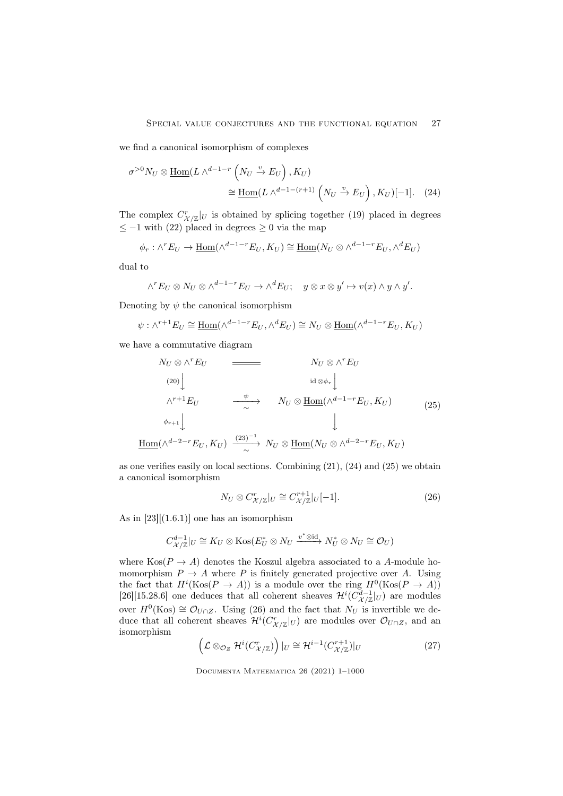we find a canonical isomorphism of complexes

$$
\sigma^{>0} N_U \otimes \underline{\text{Hom}}(L \wedge^{d-1-r} \left( N_U \xrightarrow{v} E_U \right), K_U)
$$
  

$$
\cong \underline{\text{Hom}}(L \wedge^{d-1-(r+1)} \left( N_U \xrightarrow{v} E_U \right), K_U)[-1]. \quad (24)
$$

The complex  $C_{\mathcal{X}/\mathbb{Z}}^r|_U$  is obtained by splicing together (19) placed in degrees  $≤$  −1 with (22) placed in degrees  $≥$  0 via the map

$$
\phi_r : \wedge^r E_U \to \underline{\text{Hom}}(\wedge^{d-1-r} E_U, K_U) \cong \underline{\text{Hom}}(N_U \otimes \wedge^{d-1-r} E_U, \wedge^d E_U)
$$

dual to

$$
\wedge^r E_U \otimes N_U \otimes \wedge^{d-1-r} E_U \to \wedge^d E_U; \quad y \otimes x \otimes y' \mapsto v(x) \wedge y \wedge y'.
$$

Denoting by  $\psi$  the canonical isomorphism

$$
\psi : \wedge^{r+1} E_U \cong \underline{\text{Hom}}(\wedge^{d-1-r} E_U, \wedge^d E_U) \cong N_U \otimes \underline{\text{Hom}}(\wedge^{d-1-r} E_U, K_U)
$$

we have a commutative diagram

$$
N_U \otimes \wedge^r E_U
$$
\n
$$
(20)
$$
\n
$$
\downarrow
$$
\n
$$
\wedge^{r+1} E_U
$$
\n
$$
\xrightarrow{\psi} \qquad N_U \otimes \text{Hom}(\wedge^{d-1-r} E_U, K_U)
$$
\n
$$
\downarrow
$$
\n
$$
\downarrow
$$
\n
$$
\text{Hom}(\wedge^{d-2-r} E_U, K_U)
$$
\n
$$
\xrightarrow{(23)^{-1}} N_U \otimes \text{Hom}(N_U \otimes \wedge^{d-2-r} E_U, K_U)
$$
\n
$$
(25)
$$

as one verifies easily on local sections. Combining (21), (24) and (25) we obtain a canonical isomorphism

$$
N_U \otimes C_{\mathcal{X}/\mathbb{Z}}^r|_U \cong C_{\mathcal{X}/\mathbb{Z}}^{r+1}|_U[-1].\tag{26}
$$

As in  $[23]$ [(1.6.1)] one has an isomorphism

$$
C_{\mathcal{X}/\mathbb{Z}}^{d-1}|_U \cong K_U \otimes \text{Kos}(E_U^* \otimes N_U \xrightarrow{v^* \otimes \text{id}} N_U^* \otimes N_U \cong \mathcal{O}_U)
$$

where  $\text{Kos}(P \to A)$  denotes the Koszul algebra associated to a A-module homomorphism  $P \to A$  where P is finitely generated projective over A. Using the fact that  $H^i(\text{Kos}(P \to A))$  is a module over the ring  $H^0(\text{Kos}(P \to A))$ [26][15.28.6] one deduces that all coherent sheaves  $\mathcal{H}^i(C_{\mathcal{X}/\mathbb{Z}}^{d-1}|_U)$  are modules over  $H^0(\text{Kos}) \cong \mathcal{O}_{U \cap Z}$ . Using (26) and the fact that  $N_U$  is invertible we deduce that all coherent sheaves  $\mathcal{H}^i(C_{\mathcal{X}/\mathbb{Z}}^r|_U)$  are modules over  $\mathcal{O}_{U \cap Z}$ , and an isomorphism

$$
\left(\mathcal{L}\otimes_{\mathcal{O}_Z}\mathcal{H}^i(C^r_{\mathcal{X}/\mathbb{Z}})\right)|_U\cong\mathcal{H}^{i-1}(C^{r+1}_{\mathcal{X}/\mathbb{Z}})|_U\tag{27}
$$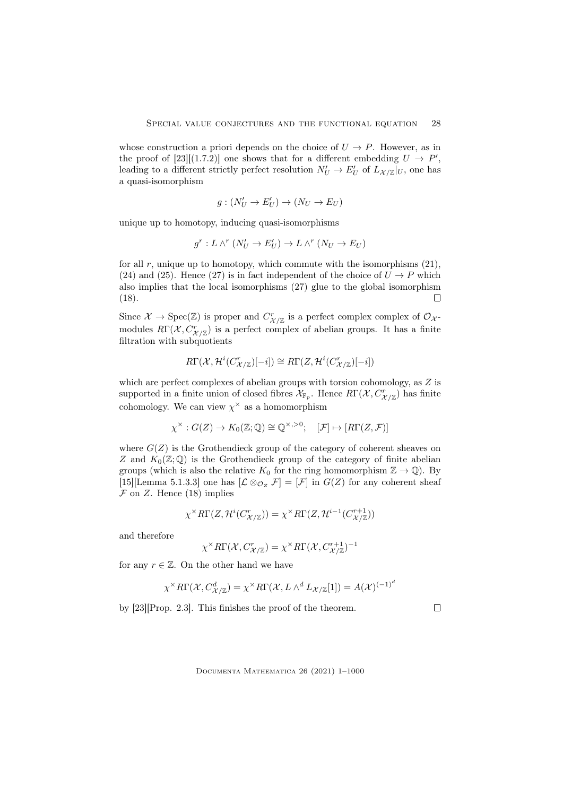whose construction a priori depends on the choice of  $U \to P$ . However, as in the proof of [23][(1.7.2)] one shows that for a different embedding  $U \to P'$ , leading to a different strictly perfect resolution  $N'_U \to E'_U$  of  $L_{\mathcal{X}/\mathbb{Z}}|_U$ , one has a quasi-isomorphism

$$
g:(N'_U\to E'_U)\to (N_U\to E_U)
$$

unique up to homotopy, inducing quasi-isomorphisms

$$
g^r: L \wedge^r (N'_U \to E'_U) \to L \wedge^r (N_U \to E_U)
$$

for all  $r$ , unique up to homotopy, which commute with the isomorphisms  $(21)$ , (24) and (25). Hence (27) is in fact independent of the choice of  $U \rightarrow P$  which also implies that the local isomorphisms (27) glue to the global isomorphism (18). П

Since  $\mathcal{X} \to \text{Spec}(\mathbb{Z})$  is proper and  $C^r_{\mathcal{X}/\mathbb{Z}}$  is a perfect complex complex of  $\mathcal{O}_{\mathcal{X}}$ modules  $R\Gamma(\mathcal{X}, C^r_{\mathcal{X}/\mathbb{Z}})$  is a perfect complex of abelian groups. It has a finite filtration with subquotients

$$
R\Gamma(\mathcal{X},\mathcal{H}^i(C_{\mathcal{X}/\mathbb{Z}}^r)[-i])\cong R\Gamma(Z,\mathcal{H}^i(C_{\mathcal{X}/\mathbb{Z}}^r)[-i])
$$

which are perfect complexes of abelian groups with torsion cohomology, as  $Z$  is supported in a finite union of closed fibres  $\mathcal{X}_{\mathbb{F}_p}$ . Hence  $R\Gamma(\mathcal{X}, C^r_{\mathcal{X}/\mathbb{Z}})$  has finite cohomology. We can view  $\chi^{\times}$  as a homomorphism

$$
\chi^{\times} : G(Z) \to K_0(\mathbb{Z}; \mathbb{Q}) \cong \mathbb{Q}^{\times, >0}; \quad [\mathcal{F}] \mapsto [R\Gamma(Z, \mathcal{F})]
$$

where  $G(Z)$  is the Grothendieck group of the category of coherent sheaves on Z and  $K_0(\mathbb{Z};\mathbb{Q})$  is the Grothendieck group of the category of finite abelian groups (which is also the relative  $K_0$  for the ring homomorphism  $\mathbb{Z} \to \mathbb{Q}$ ). By [15][Lemma 5.1.3.3] one has  $[\mathcal{L} \otimes_{\mathcal{O}_Z} \mathcal{F}] = [\mathcal{F}]$  in  $G(Z)$  for any coherent sheaf  $\mathcal F$  on  $Z$ . Hence (18) implies

$$
\chi^{\times} R\Gamma(Z, \mathcal{H}^{i}(C^{r}_{\mathcal{X}/\mathbb{Z}})) = \chi^{\times} R\Gamma(Z, \mathcal{H}^{i-1}(C^{r+1}_{\mathcal{X}/\mathbb{Z}}))
$$

and therefore

$$
\chi^{\times}R\Gamma(\mathcal{X},C_{\mathcal{X}/\mathbb{Z}}^{r}) = \chi^{\times}R\Gamma(\mathcal{X},C_{\mathcal{X}/\mathbb{Z}}^{r+1})^{-1}
$$

for any  $r \in \mathbb{Z}$ . On the other hand we have

$$
\chi^{\times}R\Gamma(\mathcal{X},C^d_{\mathcal{X}/\mathbb{Z}})=\chi^{\times}R\Gamma(\mathcal{X},L\wedge^d L_{\mathcal{X}/\mathbb{Z}}[1])=A(\mathcal{X})^{(-1)^d}
$$

by [23][Prop. 2.3]. This finishes the proof of the theorem.

Documenta Mathematica 26 (2021) 1–1000

 $\Box$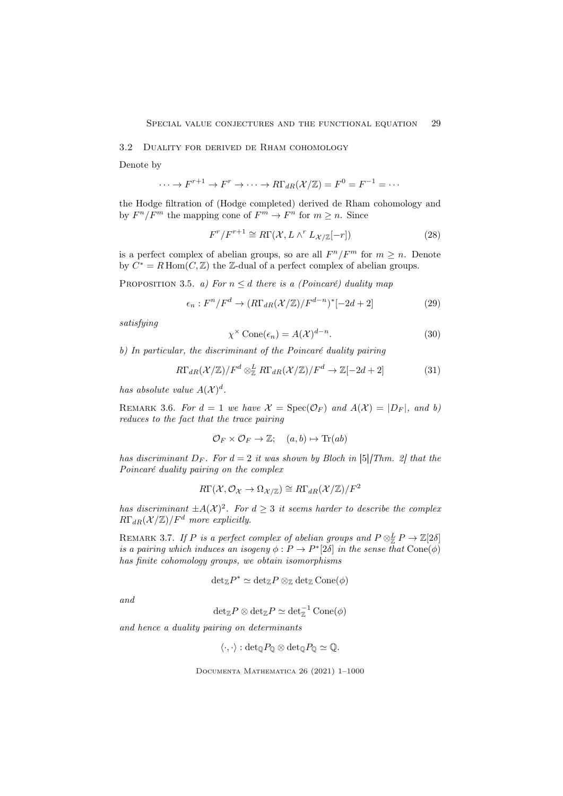## 3.2 Duality for derived de Rham cohomology

Denote by

$$
\cdots \to F^{r+1} \to F^r \to \cdots \to R\Gamma_{dR}(\mathcal{X}/\mathbb{Z}) = F^0 = F^{-1} = \cdots
$$

the Hodge filtration of (Hodge completed) derived de Rham cohomology and by  $F^n/F^m$  the mapping cone of  $F^m \to F^n$  for  $m \geq n$ . Since

$$
F^r / F^{r+1} \cong R\Gamma(\mathcal{X}, L \wedge^r L_{\mathcal{X}/\mathbb{Z}}[-r])
$$
\n(28)

is a perfect complex of abelian groups, so are all  $F^n/F^m$  for  $m \geq n$ . Denote by  $C^* = R \operatorname{Hom}(C, \mathbb{Z})$  the Z-dual of a perfect complex of abelian groups.

PROPOSITION 3.5. a) For  $n \leq d$  there is a (Poincaré) duality map

$$
\epsilon_n: F^n/F^d \to (R\Gamma_{dR}(\mathcal{X}/\mathbb{Z})/F^{d-n})^*[-2d+2]
$$
 (29)

satisfying

$$
\chi^{\times} \text{Cone}(\epsilon_n) = A(\mathcal{X})^{d-n}.
$$
\n(30)

b) In particular, the discriminant of the Poincaré duality pairing

$$
R\Gamma_{dR}(\mathcal{X}/\mathbb{Z})/F^d \otimes_{\mathbb{Z}}^L R\Gamma_{dR}(\mathcal{X}/\mathbb{Z})/F^d \to \mathbb{Z}[-2d+2]
$$
 (31)

has absolute value  $A(\mathcal{X})^d$ .

REMARK 3.6. For  $d = 1$  we have  $\mathcal{X} = \text{Spec}(\mathcal{O}_F)$  and  $A(\mathcal{X}) = |D_F|$ , and b) reduces to the fact that the trace pairing

$$
\mathcal{O}_F \times \mathcal{O}_F \to \mathbb{Z}; \quad (a, b) \mapsto \text{Tr}(ab)
$$

has discriminant  $D_F$ . For  $d = 2$  it was shown by Bloch in [5][Thm. 2] that the Poincaré duality pairing on the complex

$$
R\Gamma(\mathcal{X},\mathcal{O}_{\mathcal{X}}\to\Omega_{\mathcal{X}/\mathbb{Z}})\cong R\Gamma_{dR}(\mathcal{X}/\mathbb{Z})/F^2
$$

has discriminant  $\pm A(\mathcal{X})^2$ . For  $d \geq 3$  it seems harder to describe the complex  $R\Gamma_{dR}(\mathcal{X}/\mathbb{Z})/F^d$  more explicitly.

REMARK 3.7. If P is a perfect complex of abelian groups and  $P \otimes_{\mathbb{Z}}^L P \to \mathbb{Z}[2\delta]$ is a pairing which induces an isogeny  $\phi : P \to P^* [2\delta]$  in the sense that  $Cone(\phi)$ has finite cohomology groups, we obtain isomorphisms

$$
\mathrm{det}_{\mathbb{Z}} P^* \simeq \mathrm{det}_{\mathbb{Z}} P \otimes_{\mathbb{Z}} \mathrm{det}_{\mathbb{Z}} \mathrm{Cone}(\phi)
$$

and

$$
\mathrm{det}_{\mathbb{Z}} P \otimes \mathrm{det}_{\mathbb{Z}} P \simeq \mathrm{det}_{\mathbb{Z}}^{-1} \operatorname{Cone}(\phi)
$$

and hence a duality pairing on determinants

$$
\langle \cdot, \cdot \rangle : \det_{\mathbb{Q}} P_{\mathbb{Q}} \otimes \det_{\mathbb{Q}} P_{\mathbb{Q}} \simeq \mathbb{Q}.
$$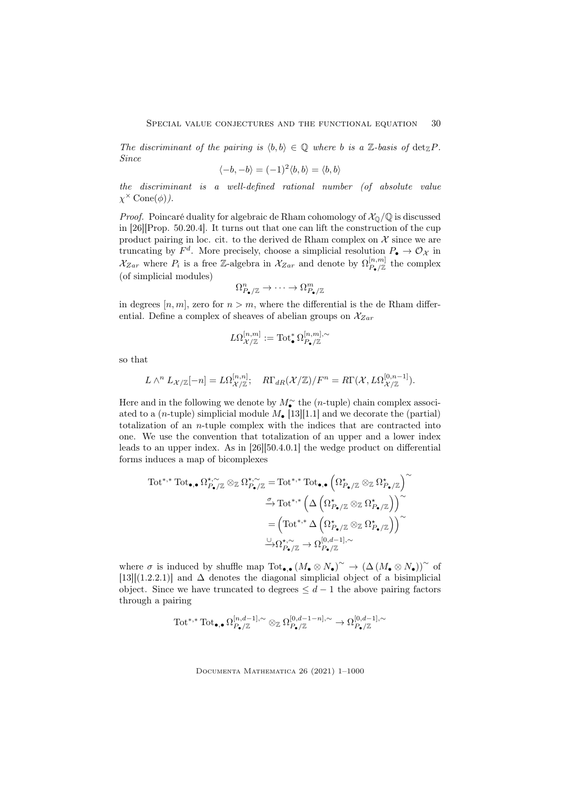The discriminant of the pairing is  $\langle b, b \rangle \in \mathbb{Q}$  where b is a Z-basis of  $\det_{\mathbb{Z}} P$ . Since

$$
\langle -b, -b \rangle = (-1)^2 \langle b, b \rangle = \langle b, b \rangle
$$

the discriminant is a well-defined rational number (of absolute value  $\chi^{\times}$  Cone( $\phi$ ).

*Proof.* Poincaré duality for algebraic de Rham cohomology of  $\mathcal{X}_{\mathbb{O}}/\mathbb{Q}$  is discussed in [26][Prop. 50.20.4]. It turns out that one can lift the construction of the cup product pairing in loc. cit. to the derived de Rham complex on  $\mathcal X$  since we are truncating by  $F^d$ . More precisely, choose a simplicial resolution  $P_{\bullet} \to \mathcal{O}_{\mathcal{X}}$  in  $\mathcal{X}_{Zar}$  where  $P_i$  is a free Z-algebra in  $\mathcal{X}_{Zar}$  and denote by  $\Omega_{P_{\bullet}/\mathbb{Z}}^{[n,m]}$  the complex (of simplicial modules)

$$
\Omega_{P_\bullet/\mathbb{Z}}^n \to \cdots \to \Omega_{P_\bullet/\mathbb{Z}}^m
$$

in degrees  $[n, m]$ , zero for  $n > m$ , where the differential is the de Rham differential. Define a complex of sheaves of abelian groups on  $\mathcal{X}_{Zar}$ 

$$
L\Omega^{[n,m]}_{{\mathcal X}/{\mathbb Z}}:=\mathrm{Tot}^{\ast}_{\bullet}\Omega^{[n,m],\sim}_{{P_{\bullet}}/{\mathbb Z}}
$$

so that

$$
L \wedge^{n} L_{\mathcal{X}/\mathbb{Z}}[-n] = L\Omega_{\mathcal{X}/\mathbb{Z}}^{[n,n]}; \quad R\Gamma_{dR}(\mathcal{X}/\mathbb{Z})/F^{n} = R\Gamma(\mathcal{X}, L\Omega_{\mathcal{X}/\mathbb{Z}}^{[0,n-1]}).
$$

Here and in the following we denote by  $M_{\bullet}^{\sim}$  the (n-tuple) chain complex associated to a (*n*-tuple) simplicial module  $M_{\bullet}$  [13][1.1] and we decorate the (partial) totalization of an n-tuple complex with the indices that are contracted into one. We use the convention that totalization of an upper and a lower index leads to an upper index. As in [26][50.4.0.1] the wedge product on differential forms induces a map of bicomplexes

$$
\begin{aligned} \mathrm{Tot}^{*,*}\mathrm{Tot}_{\bullet,\bullet}\,\Omega^{\star,\sim}_{P_{\bullet}/\mathbb{Z}}\otimes_{\mathbb{Z}}\Omega^{\star,\sim}_{P_{\bullet}/\mathbb{Z}}&=\mathrm{Tot}^{*,*}\mathrm{Tot}_{\bullet,\bullet}\left(\Omega^{\star}_{P_{\bullet}/\mathbb{Z}}\otimes_{\mathbb{Z}}\Omega^{\star}_{P_{\bullet}/\mathbb{Z}}\right)^{\sim}\\ &\stackrel{\sigma}{\to}\mathrm{Tot}^{*,*}\left(\Delta\left(\Omega^{\star}_{P_{\bullet}/\mathbb{Z}}\otimes_{\mathbb{Z}}\Omega^{\star}_{P_{\bullet}/\mathbb{Z}}\right)\right)^{\sim}\\ &=\left(\mathrm{Tot}^{*,*}\Delta\left(\Omega^{\star}_{P_{\bullet}/\mathbb{Z}}\otimes_{\mathbb{Z}}\Omega^{\star}_{P_{\bullet}/\mathbb{Z}}\right)\right)^{\sim}\\ &\stackrel{\cup}{\to}\Omega^{\star,\sim}_{P_{\bullet}/\mathbb{Z}}\to \Omega^{[0,d-1],\sim}_{P_{\bullet}/\mathbb{Z}} \end{aligned}
$$

where  $\sigma$  is induced by shuffle map  $\mathrm{Tot}_{\bullet,\bullet}(M_{\bullet}\otimes N_{\bullet})^{\sim} \to (\Delta(M_{\bullet}\otimes N_{\bullet}))^{\sim}$  of [13][(1.2.2.1)] and  $\Delta$  denotes the diagonal simplicial object of a bisimplicial object. Since we have truncated to degrees  $\leq d-1$  the above pairing factors through a pairing

$$
\text{Tot}^{*,*} \text{Tot}_{\bullet,\bullet} \Omega_{P_\bullet/\mathbb{Z}}^{[n,d-1],\sim} \otimes_{\mathbb{Z}} \Omega_{P_\bullet/\mathbb{Z}}^{[0,d-1-n],\sim} \to \Omega_{P_\bullet/\mathbb{Z}}^{[0,d-1],\sim}
$$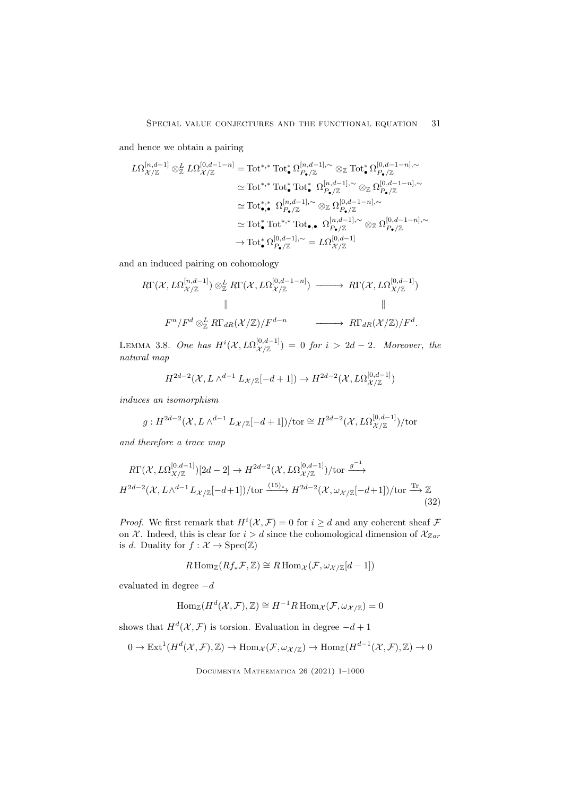and hence we obtain a pairing

$$
\begin{split} L\Omega_{\mathcal{X}/\mathbb{Z}}^{[n,d-1]} \otimes^L_{\mathbb{Z}} L\Omega_{\mathcal{X}/\mathbb{Z}}^{[0,d-1-n]}&= \text{Tot}^{*,*}\text{Tot}^*_\bullet \Omega_{P_\bullet/\mathbb{Z}}^{[n,d-1],\sim} \otimes_{\mathbb{Z}} \text{Tot}^*_\bullet \Omega_{P_\bullet/\mathbb{Z}}^{[0,d-1-n],\sim}\\ &\simeq \text{Tot}^{*,*}\text{Tot}^*_\bullet \text{Tot}^*_\bullet \Omega_{P_\bullet/\mathbb{Z}}^{[n,d-1],\sim} \otimes_{\mathbb{Z}} \Omega_{P_\bullet/\mathbb{Z}}^{[0,d-1-n],\sim}\\ &\simeq \text{Tot}^{*,*}_\bullet \Omega_{P_\bullet/\mathbb{Z}}^{[n,d-1],\sim} \otimes_{\mathbb{Z}} \Omega_{P_\bullet/\mathbb{Z}}^{[0,d-1-n],\sim}\\ &\simeq \text{Tot}^*_\bullet \text{Tot}^{*,*} \text{Tot}_\bullet \bullet \Omega_{P_\bullet/\mathbb{Z}}^{[n,d-1],\sim} \otimes_{\mathbb{Z}} \Omega_{P_\bullet/\mathbb{Z}}^{[0,d-1-n],\sim}\\ &\to \text{Tot}^*_\bullet \Omega_{P_\bullet/\mathbb{Z}}^{[0,d-1],\sim} = L\Omega_{\mathcal{X}/\mathbb{Z}}^{[0,d-1]} \end{split}
$$

and an induced pairing on cohomology

$$
R\Gamma(\mathcal{X}, L\Omega_{\mathcal{X}/\mathbb{Z}}^{[n,d-1]}) \otimes_{\mathbb{Z}}^L R\Gamma(\mathcal{X}, L\Omega_{\mathcal{X}/\mathbb{Z}}^{[0,d-1-n]}) \longrightarrow R\Gamma(\mathcal{X}, L\Omega_{X/\mathbb{Z}}^{[0,d-1]})
$$
  

$$
\parallel \qquad \qquad \parallel
$$
  

$$
F^n/F^d \otimes_{\mathbb{Z}}^L R\Gamma_{dR}(\mathcal{X}/\mathbb{Z})/F^{d-n} \longrightarrow R\Gamma_{dR}(\mathcal{X}/\mathbb{Z})/F^d.
$$

LEMMA 3.8. One has  $H^i(\mathcal{X},L\Omega^{[0,d-1]}_{\mathcal{X}/\mathbb{Z}})\,=\,0$  for  $i\,>\,2d-2.$  Moreover, the natural map

$$
H^{2d-2}(\mathcal{X},L\wedge^{d-1}L_{\mathcal{X}/\mathbb{Z}}[-d+1])\rightarrow H^{2d-2}(\mathcal{X},L\Omega^{[0,d-1]}_{\mathcal{X}/\mathbb{Z}})
$$

induces an isomorphism

$$
g: H^{2d-2}(\mathcal{X}, L \wedge^{d-1} L_{\mathcal{X}/\mathbb{Z}}[-d+1])/\text{tor} \cong H^{2d-2}(\mathcal{X}, L\Omega_{\mathcal{X}/\mathbb{Z}}^{[0, d-1]})/\text{tor}
$$

and therefore a trace map

$$
R\Gamma(\mathcal{X}, L\Omega_{X/\mathbb{Z}}^{[0,d-1]})[2d-2] \to H^{2d-2}(\mathcal{X}, L\Omega_{\mathcal{X}/\mathbb{Z}}^{[0,d-1]})/\text{tor} \xrightarrow{g^{-1}}
$$
  

$$
H^{2d-2}(\mathcal{X}, L\wedge^{d-1}L_{\mathcal{X}/\mathbb{Z}}[-d+1])/\text{tor} \xrightarrow{(15)_{*}} H^{2d-2}(\mathcal{X}, \omega_{\mathcal{X}/\mathbb{Z}}[-d+1])/\text{tor} \xrightarrow{\text{Tr}} \mathbb{Z}
$$
(32)

*Proof.* We first remark that  $H^{i}(\mathcal{X}, \mathcal{F}) = 0$  for  $i \geq d$  and any coherent sheaf  $\mathcal F$ on X. Indeed, this is clear for  $i > d$  since the cohomological dimension of  $\mathcal{X}_{Zar}$ is d. Duality for  $f: \mathcal{X} \to \text{Spec}(\mathbb{Z})$ 

$$
R\operatorname{Hom}_{\mathbb{Z}}(Rf_*\mathcal{F},\mathbb{Z})\cong R\operatorname{Hom}_{\mathcal{X}}(\mathcal{F},\omega_{\mathcal{X}/\mathbb{Z}}[d-1])
$$

evaluated in degree  $-d$ 

$$
\operatorname{Hom}_{\mathbb{Z}}(H^d(\mathcal{X}, \mathcal{F}), \mathbb{Z}) \cong H^{-1}R \operatorname{Hom}_{\mathcal{X}}(\mathcal{F}, \omega_{\mathcal{X}/\mathbb{Z}}) = 0
$$

shows that  $H^d(\mathcal{X}, \mathcal{F})$  is torsion. Evaluation in degree  $-d+1$ 

$$
0 \to \text{Ext}^1(H^d(\mathcal{X}, \mathcal{F}), \mathbb{Z}) \to \text{Hom}_{\mathcal{X}}(\mathcal{F}, \omega_{\mathcal{X}/\mathbb{Z}}) \to \text{Hom}_{\mathbb{Z}}(H^{d-1}(\mathcal{X}, \mathcal{F}), \mathbb{Z}) \to 0
$$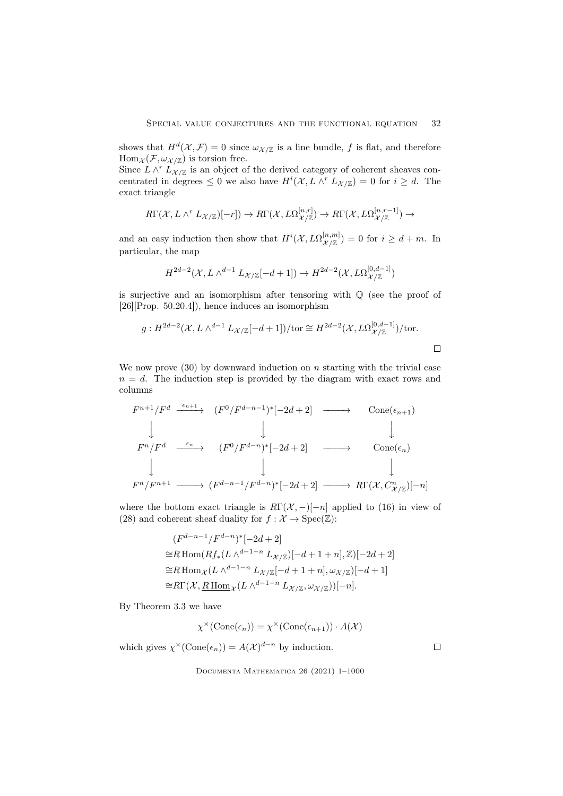shows that  $H^d(\mathcal{X}, \mathcal{F}) = 0$  since  $\omega_{\mathcal{X}/\mathbb{Z}}$  is a line bundle, f is flat, and therefore  $\text{Hom}_{\mathcal{X}}(\mathcal{F}, \omega_{\mathcal{X}/\mathbb{Z}})$  is torsion free.

Since  $L \wedge^{r} L_{\mathcal{X}/\mathbb{Z}}$  is an object of the derived category of coherent sheaves concentrated in degrees  $\leq 0$  we also have  $H^{i}(\mathcal{X}, L \wedge^{r} L_{\mathcal{X}/\mathbb{Z}}) = 0$  for  $i \geq d$ . The exact triangle

$$
R\Gamma(\mathcal{X}, L\wedge^r L_{\mathcal{X}/\mathbb{Z}})[-r]) \to R\Gamma(\mathcal{X}, L\Omega_{\mathcal{X}/\mathbb{Z}}^{[n,r]}) \to R\Gamma(\mathcal{X}, L\Omega_{\mathcal{X}/\mathbb{Z}}^{[n,r-1]}) \to
$$

and an easy induction then show that  $H^{i}(\mathcal{X}, L\Omega^{[n,m]}_{\mathcal{X}/\mathbb{Z}}) = 0$  for  $i \geq d+m$ . In particular, the map

$$
H^{2d-2}(\mathcal{X},L\wedge^{d-1}L_{\mathcal{X}/\mathbb{Z}}[-d+1])\rightarrow H^{2d-2}(\mathcal{X},L\Omega_{\mathcal{X}/\mathbb{Z}}^{[0,d-1]})
$$

is surjective and an isomorphism after tensoring with  $\mathbb Q$  (see the proof of [26][Prop. 50.20.4]), hence induces an isomorphism

$$
g: H^{2d-2}(\mathcal{X}, L \wedge^{d-1} L_{\mathcal{X}/\mathbb{Z}}[-d+1])/\text{tor} \cong H^{2d-2}(\mathcal{X}, L\Omega_{\mathcal{X}/\mathbb{Z}}^{[0,d-1]})/\text{tor}.
$$

We now prove  $(30)$  by downward induction on n starting with the trivial case  $n = d$ . The induction step is provided by the diagram with exact rows and columns

$$
F^{n+1}/F^d \xrightarrow{\epsilon_{n+1}} (F^0/F^{d-n-1})^*[-2d+2] \longrightarrow \text{Cone}(\epsilon_{n+1})
$$
  
\n
$$
\downarrow \qquad \qquad \downarrow \qquad \qquad \downarrow
$$
  
\n
$$
F^n/F^d \xrightarrow{\epsilon_n} (F^0/F^{d-n})^*[-2d+2] \longrightarrow \text{Cone}(\epsilon_n)
$$
  
\n
$$
\downarrow \qquad \qquad \downarrow
$$
  
\n
$$
F^n/F^{n+1} \longrightarrow (F^{d-n-1}/F^{d-n})^*[-2d+2] \longrightarrow R\Gamma(\mathcal{X}, C^n_{\mathcal{X}/\mathbb{Z}})[-n]
$$

where the bottom exact triangle is  $R\Gamma(\mathcal{X}, -)[-n]$  applied to (16) in view of (28) and coherent sheaf duality for  $f : \mathcal{X} \to \text{Spec}(\mathbb{Z})$ :

$$
(F^{d-n-1}/F^{d-n})^*[-2d+2]
$$
  
\n
$$
\cong R \text{Hom}(Rf_*(L \wedge^{d-1-n} L_{\mathcal{X}/\mathbb{Z}})[-d+1+n], \mathbb{Z})[-2d+2]
$$
  
\n
$$
\cong R \text{Hom}_{\mathcal{X}}(L \wedge^{d-1-n} L_{\mathcal{X}/\mathbb{Z}}[-d+1+n], \omega_{\mathcal{X}/\mathbb{Z}})[-d+1]
$$
  
\n
$$
\cong R \Gamma(\mathcal{X}, \underline{R \text{ Hom}_{\mathcal{X}}}(L \wedge^{d-1-n} L_{\mathcal{X}/\mathbb{Z}}, \omega_{\mathcal{X}/\mathbb{Z}}))[-n].
$$

By Theorem 3.3 we have

$$
\chi^{\times}(\operatorname{Cone}(\epsilon_n)) = \chi^{\times}(\operatorname{Cone}(\epsilon_{n+1})) \cdot A(\mathcal{X})
$$

 $\Box$ 

which gives  $\chi^{\times}(\text{Cone}(\epsilon_n)) = A(\mathcal{X})^{d-n}$  by induction.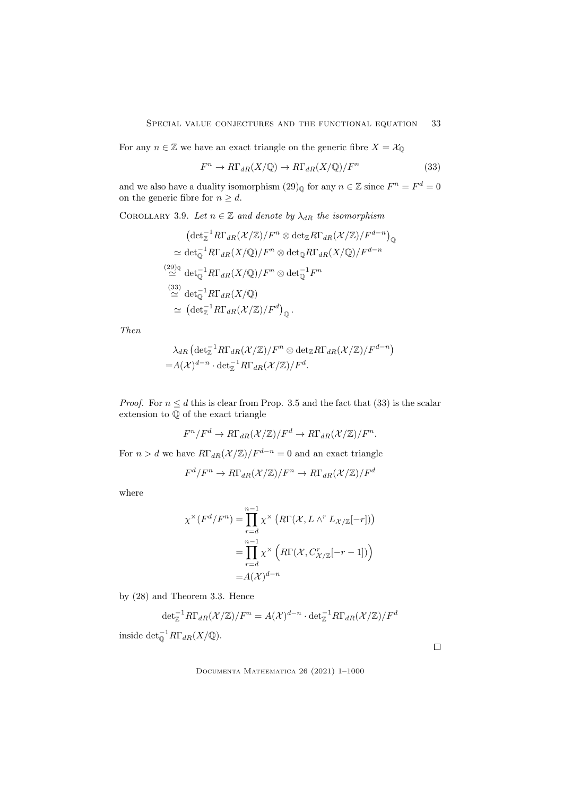For any  $n \in \mathbb{Z}$  we have an exact triangle on the generic fibre  $X = \mathcal{X}_{\mathbb{Q}}$ 

$$
F^n \to R\Gamma_{dR}(X/\mathbb{Q}) \to R\Gamma_{dR}(X/\mathbb{Q})/F^n
$$
\n(33)

and we also have a duality isomorphism  $(29)$ <sup>o</sup> for any  $n \in \mathbb{Z}$  since  $F^n = F^d = 0$ on the generic fibre for  $n \geq d$ .

COROLLARY 3.9. Let  $n \in \mathbb{Z}$  and denote by  $\lambda_{dR}$  the isomorphism

$$
(\det_{\mathbb{Z}}^{-1}R\Gamma_{dR}(\mathcal{X}/\mathbb{Z})/F^{n} \otimes \det_{\mathbb{Z}}R\Gamma_{dR}(\mathcal{X}/\mathbb{Z})/F^{d-n})_{\mathbb{Q}}
$$
  
\n
$$
\simeq \det_{\mathbb{Q}}^{-1}R\Gamma_{dR}(X/\mathbb{Q})/F^{n} \otimes \det_{\mathbb{Q}}R\Gamma_{dR}(X/\mathbb{Q})/F^{d-n}
$$
  
\n
$$
\simeq {}^{(29)_\mathbb{Q}} \det_{\mathbb{Q}}^{-1}R\Gamma_{dR}(X/\mathbb{Q})/F^{n} \otimes \det_{\mathbb{Q}}^{-1}F^{n}
$$
  
\n
$$
\simeq {}^{(33)} \det_{\mathbb{Q}}^{-1}R\Gamma_{dR}(X/\mathbb{Q})
$$
  
\n
$$
\simeq (\det_{\mathbb{Z}}^{-1}R\Gamma_{dR}(\mathcal{X}/\mathbb{Z})/F^{d})_{\mathbb{Q}}.
$$

Then

$$
\lambda_{dR} \left( \det_{\mathbb{Z}}^{-1} R\Gamma_{dR}(\mathcal{X}/\mathbb{Z})/F^n \otimes \det_{\mathbb{Z}} R\Gamma_{dR}(\mathcal{X}/\mathbb{Z})/F^{d-n} \right) = A(\mathcal{X})^{d-n} \cdot \det_{\mathbb{Z}}^{-1} R\Gamma_{dR}(\mathcal{X}/\mathbb{Z})/F^d.
$$

*Proof.* For  $n \leq d$  this is clear from Prop. 3.5 and the fact that (33) is the scalar extension to Q of the exact triangle

$$
F^n/F^d \to R\Gamma_{dR}(\mathcal{X}/\mathbb{Z})/F^d \to R\Gamma_{dR}(\mathcal{X}/\mathbb{Z})/F^n.
$$

For  $n > d$  we have  $R\Gamma_{dR}(\mathcal{X}/\mathbb{Z})/F^{d-n} = 0$  and an exact triangle

$$
F^d/F^n \to R\Gamma_{dR}(\mathcal{X}/\mathbb{Z})/F^n \to R\Gamma_{dR}(\mathcal{X}/\mathbb{Z})/F^d
$$

where

$$
\chi^{\times}(F^d/F^n) = \prod_{r=d}^{n-1} \chi^{\times} \left( R\Gamma(\mathcal{X}, L \wedge^r L_{\mathcal{X}/\mathbb{Z}}[-r]) \right)
$$

$$
= \prod_{r=d}^{n-1} \chi^{\times} \left( R\Gamma(\mathcal{X}, C_{\mathcal{X}/\mathbb{Z}}^r[-r-1]) \right)
$$

$$
= A(\mathcal{X})^{d-n}
$$

by (28) and Theorem 3.3. Hence

$$
\det_{\mathbb{Z}}^{-1}R\Gamma_{dR}(\mathcal{X}/\mathbb{Z})/F^n=A(\mathcal{X})^{d-n}\cdot\det_{\mathbb{Z}}^{-1}R\Gamma_{dR}(\mathcal{X}/\mathbb{Z})/F^d
$$
 inside  $\det_{\mathbb{Q}}^{-1}R\Gamma_{dR}(X/\mathbb{Q})$ .

Documenta Mathematica 26 (2021) 1–1000

 $\Box$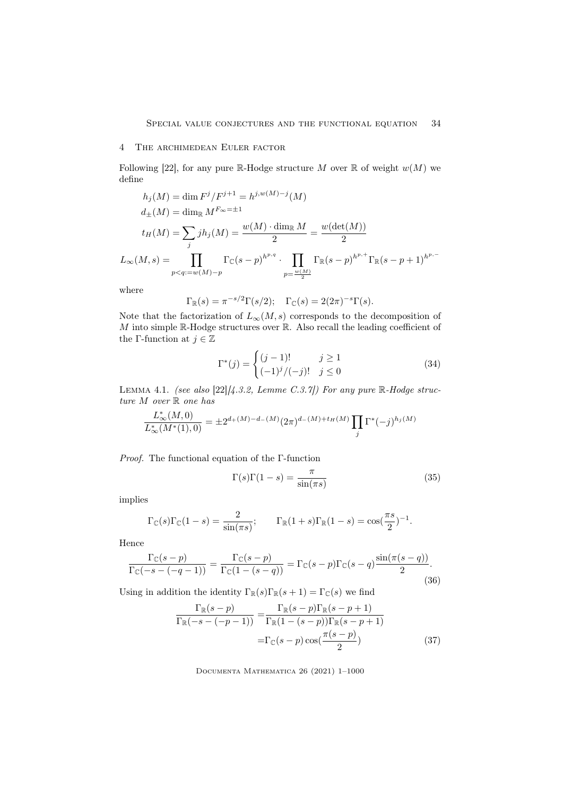## 4 The archimedean Euler factor

Following [22], for any pure R-Hodge structure M over R of weight  $w(M)$  we define

$$
h_j(M) = \dim F^j / F^{j+1} = h^{j,w(M)-j}(M)
$$
  
\n
$$
d_{\pm}(M) = \dim_{\mathbb{R}} M^{F_{\infty} = \pm 1}
$$
  
\n
$$
t_H(M) = \sum_j j h_j(M) = \frac{w(M) \cdot \dim_{\mathbb{R}} M}{2} = \frac{w(\det(M))}{2}
$$
  
\n
$$
L_{\infty}(M, s) = \prod_{p < q := w(M)-p} \Gamma_{\mathbb{C}}(s-p)^{h^{p,q}} \cdot \prod_{p = \frac{w(M)}{2}} \Gamma_{\mathbb{R}}(s-p)^{h^{p,+}} \Gamma_{\mathbb{R}}(s-p+1)^{h^{p,-}}
$$

where

$$
\Gamma_{\mathbb{R}}(s) = \pi^{-s/2} \Gamma(s/2); \quad \Gamma_{\mathbb{C}}(s) = 2(2\pi)^{-s} \Gamma(s).
$$

Note that the factorization of  $L_{\infty}(M, s)$  corresponds to the decomposition of  $M$  into simple R-Hodge structures over R. Also recall the leading coefficient of the Γ-function at  $j \in \mathbb{Z}$ 

$$
\Gamma^*(j) = \begin{cases} (j-1)! & j \ge 1\\ (-1)^j/(-j)! & j \le 0 \end{cases}
$$
 (34)

LEMMA 4.1. (see also  $[22]/4.3.2$ , Lemme C.3.7]) For any pure R-Hodge structure  $M$  over  $\mathbb R$  one has

$$
\frac{L^*_{\infty}(M,0)}{L^*_{\infty}(M^*(1),0)} = \pm 2^{d_+(M)-d_-(M)} (2\pi)^{d_-(M)+t_H(M)} \prod_j \Gamma^*(-j)^{h_j(M)}
$$

Proof. The functional equation of the Γ-function

$$
\Gamma(s)\Gamma(1-s) = \frac{\pi}{\sin(\pi s)}\tag{35}
$$

implies

$$
\Gamma_{\mathbb{C}}(s)\Gamma_{\mathbb{C}}(1-s) = \frac{2}{\sin(\pi s)}; \qquad \Gamma_{\mathbb{R}}(1+s)\Gamma_{\mathbb{R}}(1-s) = \cos(\frac{\pi s}{2})^{-1}.
$$

Hence

$$
\frac{\Gamma_{\mathbb{C}}(s-p)}{\Gamma_{\mathbb{C}}(-s-(-q-1))} = \frac{\Gamma_{\mathbb{C}}(s-p)}{\Gamma_{\mathbb{C}}(1-(s-q))} = \Gamma_{\mathbb{C}}(s-p)\Gamma_{\mathbb{C}}(s-q)\frac{\sin(\pi(s-q))}{2}.
$$
\n(36)

Using in addition the identity  $\Gamma_{\mathbb{R}}(s)\Gamma_{\mathbb{R}}(s+1) = \Gamma_{\mathbb{C}}(s)$  we find

$$
\frac{\Gamma_{\mathbb{R}}(s-p)}{\Gamma_{\mathbb{R}}(-s-(-p-1))} = \frac{\Gamma_{\mathbb{R}}(s-p)\Gamma_{\mathbb{R}}(s-p+1)}{\Gamma_{\mathbb{R}}(1-(s-p))\Gamma_{\mathbb{R}}(s-p+1)}
$$
\n
$$
= \Gamma_{\mathbb{C}}(s-p)\cos(\frac{\pi(s-p)}{2})
$$
\n(37)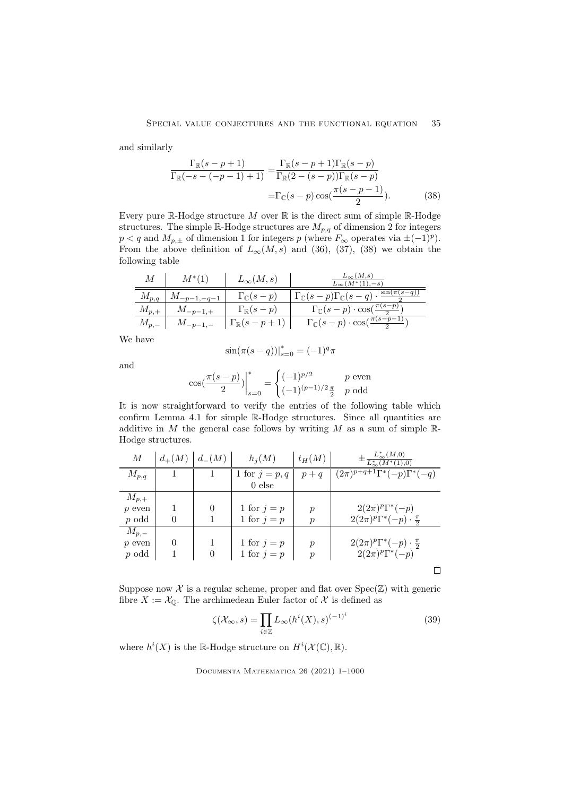and similarly

$$
\frac{\Gamma_{\mathbb{R}}(s-p+1)}{\Gamma_{\mathbb{R}}(-s-(-p-1)+1)} = \frac{\Gamma_{\mathbb{R}}(s-p+1)\Gamma_{\mathbb{R}}(s-p)}{\Gamma_{\mathbb{R}}(2-(s-p))\Gamma_{\mathbb{R}}(s-p)}
$$

$$
=\Gamma_{\mathbb{C}}(s-p)\cos(\frac{\pi(s-p-1)}{2}). \tag{38}
$$

Every pure  $\mathbb R\text{-Hodge}$  structure  $M$  over  $\mathbb R$  is the direct sum of simple  $\mathbb R\text{-Hodge}$ structures. The simple R-Hodge structures are  $M_{p,q}$  of dimension 2 for integers  $p < q$  and  $M_{p,\pm}$  of dimension 1 for integers p (where  $F_{\infty}$  operates via  $\pm(-1)^p$ ). From the above definition of  $L_{\infty}(M, s)$  and (36), (37), (38) we obtain the following table

| $\boldsymbol{M}$ | $M^*(1)$        | $L_{\infty}(M,s)$            | $L_{\infty}(M,s)$<br>$L_{\infty}(M^*(1), -s)$                                    |
|------------------|-----------------|------------------------------|----------------------------------------------------------------------------------|
| $M_{p,q}$        | $M_{-p-1,-q-1}$ | $\Gamma_{\mathbb{C}}(s-p)$   | $\Gamma_{\mathbb{C}}(s-p)\Gamma_{\mathbb{C}}(s-q)\cdot \frac{\sin(\pi(s-q))}{2}$ |
| $M_{p,+}$        | $M_{-p-1,+}$    | $\Gamma_{\mathbb{R}}(s-p)$   | $\Gamma_{\mathbb{C}}(s-p)\cdot\cos(\frac{\pi(s-p)}{2})$                          |
| $M_{p,-}$        | $M_{-p-1,-}$    | $\Gamma_{\mathbb{R}}(s-p+1)$ | $\Gamma_{\mathbb{C}}(s-p)\cdot\cos(\frac{\pi(s-p-)}{2})$                         |

We have

$$
\sin(\pi(s-q))|_{s=0}^* = (-1)^q \pi
$$

and

$$
\cos\left(\frac{\pi(s-p)}{2}\right)\bigg|_{s=0}^* = \begin{cases} (-1)^{p/2} & p \text{ even} \\ (-1)^{(p-1)/2} \frac{\pi}{2} & p \text{ odd} \end{cases}
$$

It is now straightforward to verify the entries of the following table which confirm Lemma 4.1 for simple R-Hodge structures. Since all quantities are additive in  $M$  the general case follows by writing  $M$  as a sum of simple  $\mathbb{R}$ -Hodge structures.

| М         | $d_{+}(M)$ | $d_{-}(M)$ | $h_i(M)$         | $t_H(M)$         | $L^*_{\infty}(M,0)$<br>$\pm \frac{1}{L_{\infty}^*(M^*)}$ |
|-----------|------------|------------|------------------|------------------|----------------------------------------------------------|
| $M_{p,q}$ |            |            | 1 for $j = p, q$ | $p+q$            | $\sqrt{(2\pi)^{p+q+1}\Gamma^*(-p)\Gamma^*(-q)}$          |
|           |            |            | $0$ else         |                  |                                                          |
| $M_{p,+}$ |            |            |                  |                  |                                                          |
| $p$ even  |            | $\theta$   | 1 for $j = p$    | $\boldsymbol{p}$ | $2(2\pi)^p\Gamma^*(-p)$                                  |
| $p$ odd   | $\Omega$   |            | 1 for $j = p$    | $\mathcal{p}$    | $2(2\pi)^p\Gamma^*(-p)\cdot \frac{\pi}{2}$               |
| $M_{p,-}$ |            |            |                  |                  |                                                          |
| $p$ even  | $\theta$   |            | 1 for $j = p$    | $\boldsymbol{p}$ | $2(2\pi)^p\Gamma^*(-p)\cdot \frac{\pi}{2}$               |
| $p$ odd   |            | 0          | 1 for $j = p$    | $\boldsymbol{p}$ | $2(2\pi)^p\Gamma^*(-p)$                                  |
|           |            |            |                  |                  |                                                          |

Suppose now  $X$  is a regular scheme, proper and flat over  $Spec(\mathbb{Z})$  with generic fibre  $X := \mathcal{X}_{\mathbb{Q}}$ . The archimedean Euler factor of  $\mathcal{X}$  is defined as

$$
\zeta(\mathcal{X}_{\infty},s) = \prod_{i \in \mathbb{Z}} L_{\infty}(h^{i}(X),s)^{(-1)^{i}} \tag{39}
$$

where  $h^{i}(X)$  is the R-Hodge structure on  $H^{i}(\mathcal{X}(\mathbb{C}), \mathbb{R})$ .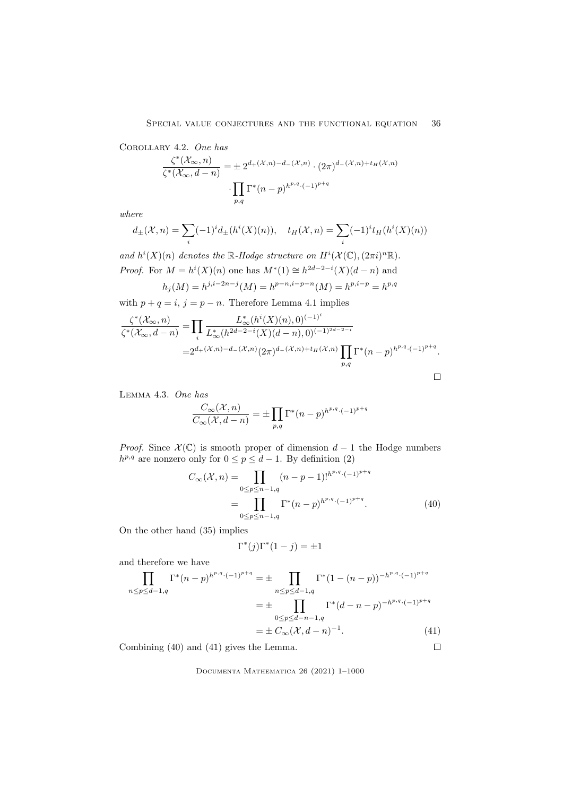Corollary 4.2. One has

$$
\frac{\zeta^*(\mathcal{X}_{\infty},n)}{\zeta^*(\mathcal{X}_{\infty},d-n)} = \pm 2^{d_+(\mathcal{X},n)-d_-(\mathcal{X},n)} \cdot (2\pi)^{d_-(\mathcal{X},n)+t_H(\mathcal{X},n)}
$$

$$
\cdot \prod_{p,q} \Gamma^*(n-p)^{h^{p,q} \cdot (-1)^{p+q}}
$$

where

$$
d_{\pm}(\mathcal{X},n) = \sum_{i} (-1)^{i} d_{\pm}(h^{i}(X)(n)), \quad t_H(\mathcal{X},n) = \sum_{i} (-1)^{i} t_H(h^{i}(X)(n))
$$

and  $h^{i}(X)(n)$  denotes the R-Hodge structure on  $H^{i}(\mathcal{X}(\mathbb{C}), (2\pi i)^{n} \mathbb{R})$ . *Proof.* For  $M = h^{i}(X)(n)$  one has  $M^{*}(1) \cong h^{2d-2-i}(X)(d-n)$  and  $h_j(M) = h^{j,i-2n-j}(M) = h^{p-n,i-p-n}(M) = h^{p,i-p} = h^{p,q}$ 

with  $p + q = i$ ,  $j = p - n$ . Therefore Lemma 4.1 implies

$$
\frac{\zeta^*(\mathcal{X}_{\infty},n)}{\zeta^*(\mathcal{X}_{\infty},d-n)} = \prod_i \frac{L_{\infty}^*(h^i(X)(n),0)^{(-1)^i}}{L_{\infty}^*(h^{2d-2-i}(X)(d-n),0)^{(-1)^{2d-2-i}}}
$$
  
=2<sup>d\_{+}(\mathcal{X},n)-d\_{-}(\mathcal{X},n)(2\pi)^{d\_{-}(\mathcal{X},n)+t\_H(\mathcal{X},n)} \prod\_{p,q} \Gamma^\*(n-p)^{h^{p,q} \cdot (-1)^{p+q}}.</sup>

Lemma 4.3. One has

$$
\frac{C_{\infty}(\mathcal{X},n)}{C_{\infty}(\mathcal{X},d-n)} = \pm \prod_{p,q} \Gamma^*(n-p)^{h^{p,q} \cdot (-1)^{p+q}}
$$

*Proof.* Since  $\mathcal{X}(\mathbb{C})$  is smooth proper of dimension  $d-1$  the Hodge numbers  $h^{p,q}$  are nonzero only for  $0 \leq p \leq d-1$ . By definition (2)

$$
C_{\infty}(\mathcal{X}, n) = \prod_{0 \le p \le n-1, q} (n-p-1)!^{h^{p,q} \cdot (-1)^{p+q}}
$$
  
= 
$$
\prod_{0 \le p \le n-1, q} \Gamma^*(n-p)^{h^{p,q} \cdot (-1)^{p+q}}.
$$
 (40)

On the other hand (35) implies

$$
\Gamma^*(j)\Gamma^*(1-j) = \pm 1
$$

and therefore we have

$$
\prod_{n \le p \le d-1,q} \Gamma^*(n-p)^{h^{p,q} \cdot (-1)^{p+q}} = \pm \prod_{n \le p \le d-1,q} \Gamma^*(1-(n-p))^{-h^{p,q} \cdot (-1)^{p+q}}
$$
\n
$$
= \pm \prod_{0 \le p \le d-n-1,q} \Gamma^*(d-n-p)^{-h^{p,q} \cdot (-1)^{p+q}}
$$
\n
$$
= \pm C_{\infty}(\mathcal{X}, d-n)^{-1}.
$$
\n(41)

\nmining (40) and (41) gives the Lemma.

Combining (40) and (41) gives the Lemma.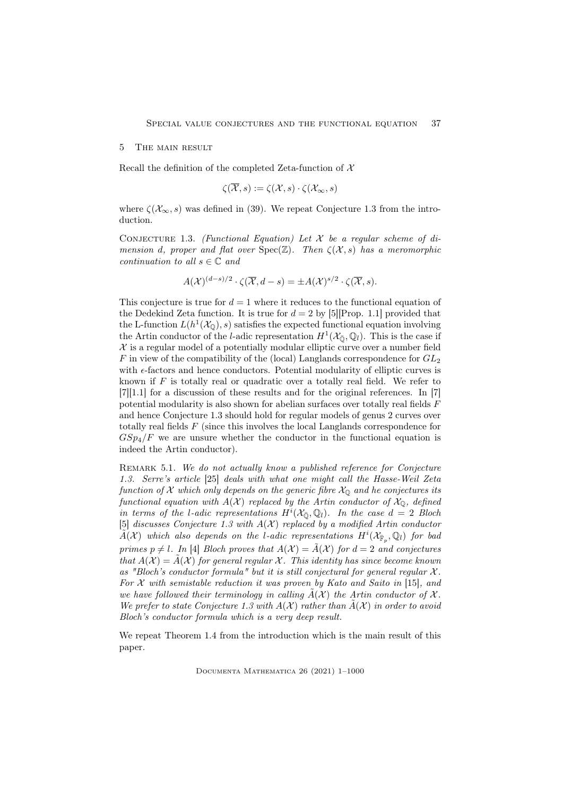#### 5 The main result

Recall the definition of the completed Zeta-function of  $X$ 

$$
\zeta(\overline{\mathcal{X}},s) := \zeta(\mathcal{X},s) \cdot \zeta(\mathcal{X}_{\infty},s)
$$

where  $\zeta(\mathcal{X}_{\infty},s)$  was defined in (39). We repeat Conjecture 1.3 from the introduction.

CONJECTURE 1.3. (Functional Equation) Let  $\mathcal X$  be a regular scheme of dimension d, proper and flat over  $Spec(\mathbb{Z})$ . Then  $\zeta(\mathcal{X},s)$  has a meromorphic continuation to all  $s \in \mathbb{C}$  and

$$
A(\mathcal{X})^{(d-s)/2} \cdot \zeta(\overline{\mathcal{X}}, d-s) = \pm A(\mathcal{X})^{s/2} \cdot \zeta(\overline{\mathcal{X}}, s).
$$

This conjecture is true for  $d = 1$  where it reduces to the functional equation of the Dedekind Zeta function. It is true for  $d = 2$  by [5][Prop. 1.1] provided that the L-function  $L(h^1(\mathcal{X}_\mathbb{Q}), s)$  satisfies the expected functional equation involving the Artin conductor of the *l*-adic representation  $H^1(\mathcal{X}_{\overline{0}}, \mathbb{Q}_l)$ . This is the case if  $X$  is a regular model of a potentially modular elliptic curve over a number field F in view of the compatibility of the (local) Langlands correspondence for  $GL_2$ with  $\epsilon$ -factors and hence conductors. Potential modularity of elliptic curves is known if  $F$  is totally real or quadratic over a totally real field. We refer to [7][1.1] for a discussion of these results and for the original references. In [7] potential modularity is also shown for abelian surfaces over totally real fields F and hence Conjecture 1.3 should hold for regular models of genus 2 curves over totally real fields F (since this involves the local Langlands correspondence for  $GSp_4/F$  we are unsure whether the conductor in the functional equation is indeed the Artin conductor).

REMARK 5.1. We do not actually know a published reference for Conjecture 1.3. Serre's article [25] deals with what one might call the Hasse-Weil Zeta function of X which only depends on the generic fibre  $\mathcal{X}_{\mathbb{Q}}$  and he conjectures its functional equation with  $A(X)$  replaced by the Artin conductor of  $\mathcal{X}_{\mathbb{O}}$ , defined in terms of the l-adic representations  $H^i(\mathcal{X}_{\overline{0}}, \mathbb{Q}_l)$ . In the case  $d = 2$  Bloch [5] discusses Conjecture 1.3 with  $A(X)$  replaced by a modified Artin conductor  $\widetilde{A}(\mathcal{X})$  which also depends on the l-adic representations  $H^i(\mathcal{X}_{\overline{\mathbb{F}}_p},\mathbb{Q}_l)$  for bad primes  $p \neq l$ . In [4] Bloch proves that  $A(\mathcal{X}) = \tilde{A}(\mathcal{X})$  for  $d = 2$  and conjectures that  $A(\mathcal{X}) = \overline{A}(\mathcal{X})$  for general regular X. This identity has since become known as "Bloch's conductor formula" but it is still conjectural for general regular  $\mathcal{X}$ . For  $\mathcal X$  with semistable reduction it was proven by Kato and Saito in [15], and we have followed their terminology in calling  $\tilde{A}(\mathcal{X})$  the Artin conductor of X. We prefer to state Conjecture 1.3 with  $A(\mathcal{X})$  rather than  $\tilde{A}(\mathcal{X})$  in order to avoid Bloch's conductor formula which is a very deep result.

We repeat Theorem 1.4 from the introduction which is the main result of this paper.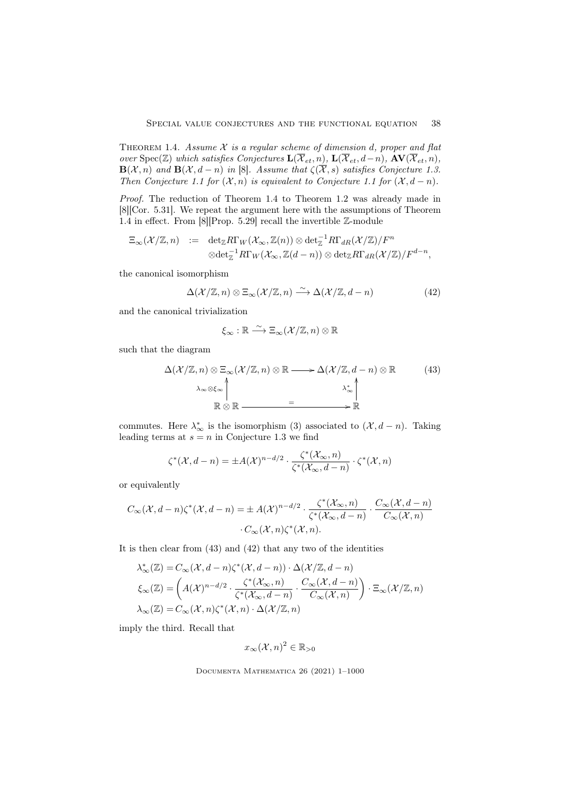THEOREM 1.4. Assume  $X$  is a regular scheme of dimension d, proper and flat over Spec(Z) which satisfies Conjectures  $\mathbf{L}(\overline{\mathcal{X}}_{et}, n)$ ,  $\mathbf{L}(\overline{\mathcal{X}}_{et}, d-n)$ ,  $\mathbf{AV}(\overline{\mathcal{X}}_{et}, n)$ ,  $\mathbf{B}(\mathcal{X}, n)$  and  $\mathbf{B}(\mathcal{X}, d - n)$  in [8]. Assume that  $\zeta(\overline{\mathcal{X}}, s)$  satisfies Conjecture 1.3. Then Conjecture 1.1 for  $(\mathcal{X}, n)$  is equivalent to Conjecture 1.1 for  $(\mathcal{X}, d - n)$ .

Proof. The reduction of Theorem 1.4 to Theorem 1.2 was already made in [8][Cor. 5.31]. We repeat the argument here with the assumptions of Theorem 1.4 in effect. From [8][Prop. 5.29] recall the invertible Z-module

$$
\Xi_{\infty}(\mathcal{X}/\mathbb{Z},n) := \det_{\mathbb{Z}} R\Gamma_W(\mathcal{X}_{\infty},\mathbb{Z}(n)) \otimes \det_{\mathbb{Z}}^{-1} R\Gamma_{dR}(\mathcal{X}/\mathbb{Z})/F^n
$$
  

$$
\otimes \det_{\mathbb{Z}}^{-1} R\Gamma_W(\mathcal{X}_{\infty},\mathbb{Z}(d-n)) \otimes \det_{\mathbb{Z}} R\Gamma_{dR}(\mathcal{X}/\mathbb{Z})/F^{d-n},
$$

the canonical isomorphism

$$
\Delta(\mathcal{X}/\mathbb{Z}, n) \otimes \Xi_{\infty}(\mathcal{X}/\mathbb{Z}, n) \xrightarrow{\sim} \Delta(\mathcal{X}/\mathbb{Z}, d - n)
$$
 (42)

and the canonical trivialization

$$
\xi_{\infty} : \mathbb{R} \xrightarrow{\sim} \Xi_{\infty}(\mathcal{X}/\mathbb{Z}, n) \otimes \mathbb{R}
$$

such that the diagram

$$
\Delta(\mathcal{X}/\mathbb{Z}, n) \otimes \Xi_{\infty}(\mathcal{X}/\mathbb{Z}, n) \otimes \mathbb{R} \longrightarrow \Delta(\mathcal{X}/\mathbb{Z}, d - n) \otimes \mathbb{R}
$$
\n
$$
\lambda_{\infty} \otimes \xi_{\infty} \wedge \pi_{\infty} \otimes \mathbb{R} \longrightarrow \Xi_{\infty} \qquad \qquad \lambda_{\infty}^* \wedge \pi_{\infty} \qquad \qquad (43)
$$
\n
$$
\mathbb{R} \otimes \mathbb{R} \longrightarrow \Xi_{\infty}
$$

commutes. Here  $\lambda_{\infty}^*$  is the isomorphism (3) associated to  $(\mathcal{X}, d - n)$ . Taking leading terms at  $s = n$  in Conjecture 1.3 we find

$$
\zeta^*(\mathcal{X}, d-n) = \pm A(\mathcal{X})^{n-d/2} \cdot \frac{\zeta^*(\mathcal{X}_{\infty}, n)}{\zeta^*(\mathcal{X}_{\infty}, d-n)} \cdot \zeta^*(\mathcal{X}, n)
$$

or equivalently

$$
C_{\infty}(\mathcal{X}, d-n)\zeta^*(\mathcal{X}, d-n) = \pm A(\mathcal{X})^{n-d/2} \cdot \frac{\zeta^*(\mathcal{X}_{\infty}, n)}{\zeta^*(\mathcal{X}_{\infty}, d-n)} \cdot \frac{C_{\infty}(\mathcal{X}, d-n)}{C_{\infty}(\mathcal{X}, n)}
$$

$$
\cdot C_{\infty}(\mathcal{X}, n)\zeta^*(\mathcal{X}, n).
$$

It is then clear from (43) and (42) that any two of the identities

$$
\lambda_{\infty}^{*}(\mathbb{Z}) = C_{\infty}(\mathcal{X}, d - n)\zeta^{*}(\mathcal{X}, d - n)) \cdot \Delta(\mathcal{X}/\mathbb{Z}, d - n)
$$

$$
\xi_{\infty}(\mathbb{Z}) = \left( A(\mathcal{X})^{n - d/2} \cdot \frac{\zeta^{*}(\mathcal{X}_{\infty}, n)}{\zeta^{*}(\mathcal{X}_{\infty}, d - n)} \cdot \frac{C_{\infty}(\mathcal{X}, d - n)}{C_{\infty}(\mathcal{X}, n)} \right) \cdot \Xi_{\infty}(\mathcal{X}/\mathbb{Z}, n)
$$

$$
\lambda_{\infty}(\mathbb{Z}) = C_{\infty}(\mathcal{X}, n)\zeta^{*}(\mathcal{X}, n) \cdot \Delta(\mathcal{X}/\mathbb{Z}, n)
$$

imply the third. Recall that

$$
x_{\infty}(\mathcal{X}, n)^2 \in \mathbb{R}_{>0}
$$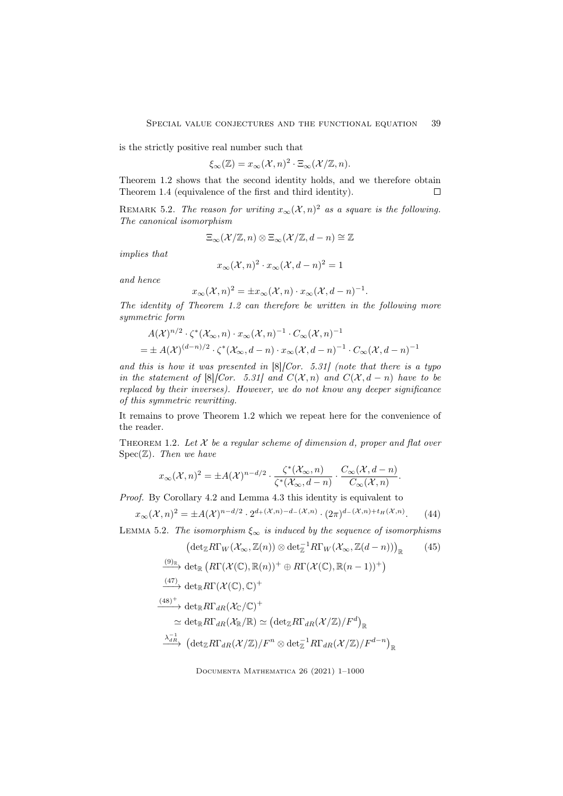is the strictly positive real number such that

$$
\xi_{\infty}(\mathbb{Z}) = x_{\infty}(\mathcal{X}, n)^2 \cdot \Xi_{\infty}(\mathcal{X}/\mathbb{Z}, n).
$$

Theorem 1.2 shows that the second identity holds, and we therefore obtain Theorem 1.4 (equivalence of the first and third identity).  $\Box$ 

REMARK 5.2. The reason for writing  $x_{\infty}(\mathcal{X}, n)^2$  as a square is the following. The canonical isomorphism

$$
\Xi_{\infty}(\mathcal{X}/\mathbb{Z},n)\otimes\Xi_{\infty}(\mathcal{X}/\mathbb{Z},d-n)\cong\mathbb{Z}
$$

implies that

$$
x_{\infty}(\mathcal{X},n)^2 \cdot x_{\infty}(\mathcal{X},d-n)^2 = 1
$$

and hence

$$
x_{\infty}(\mathcal{X},n)^2 = \pm x_{\infty}(\mathcal{X},n) \cdot x_{\infty}(\mathcal{X},d-n)^{-1}.
$$

The identity of Theorem 1.2 can therefore be written in the following more symmetric form

$$
A(\mathcal{X})^{n/2} \cdot \zeta^* (\mathcal{X}_{\infty}, n) \cdot x_{\infty} (\mathcal{X}, n)^{-1} \cdot C_{\infty} (\mathcal{X}, n)^{-1}
$$
  
=  $\pm A(\mathcal{X})^{(d-n)/2} \cdot \zeta^* (\mathcal{X}_{\infty}, d-n) \cdot x_{\infty} (\mathcal{X}, d-n)^{-1} \cdot C_{\infty} (\mathcal{X}, d-n)^{-1}$ 

and this is how it was presented in  $[8]$ [Cor. 5.31] (note that there is a typo in the statement of  $[8]$ [Cor. 5.31] and  $C(\mathcal{X}, n)$  and  $C(\mathcal{X}, d - n)$  have to be replaced by their inverses). However, we do not know any deeper significance of this symmetric rewritting.

It remains to prove Theorem 1.2 which we repeat here for the convenience of the reader.

THEOREM 1.2. Let  $X$  be a regular scheme of dimension d, proper and flat over  $Spec(\mathbb{Z})$ . Then we have

$$
x_{\infty}(\mathcal{X},n)^2 = \pm A(\mathcal{X})^{n-d/2} \cdot \frac{\zeta^*(\mathcal{X}_{\infty},n)}{\zeta^*(\mathcal{X}_{\infty},d-n)} \cdot \frac{C_{\infty}(\mathcal{X},d-n)}{C_{\infty}(\mathcal{X},n)}.
$$

Proof. By Corollary 4.2 and Lemma 4.3 this identity is equivalent to

$$
x_{\infty}(\mathcal{X}, n)^2 = \pm A(\mathcal{X})^{n-d/2} \cdot 2^{d_+(\mathcal{X}, n) - d_-(\mathcal{X}, n)} \cdot (2\pi)^{d_-(\mathcal{X}, n) + t_H(\mathcal{X}, n)}.
$$
 (44)

LEMMA 5.2. The isomorphism  $\xi_{\infty}$  is induced by the sequence of isomorphisms

$$
\begin{array}{ll}\n\left(\det_{\mathbb{Z}}R\Gamma_{W}(\mathcal{X}_{\infty},\mathbb{Z}(n))\otimes\det_{\mathbb{Z}}^{-1}R\Gamma_{W}(\mathcal{X}_{\infty},\mathbb{Z}(d-n))\right)_{\mathbb{R}} & (45) \\
\xrightarrow{(9)_{\mathbb{R}}} \det_{\mathbb{R}}\left(R\Gamma(\mathcal{X}(\mathbb{C}),\mathbb{R}(n))^{+}\oplus R\Gamma(\mathcal{X}(\mathbb{C}),\mathbb{R}(n-1))^{+}\right) \\
\xrightarrow{(47)} \det_{\mathbb{R}}R\Gamma(\mathcal{X}(\mathbb{C}),\mathbb{C})^{+} \\
\xrightarrow{(48)^{+}} \det_{\mathbb{R}}R\Gamma_{dR}(\mathcal{X}_{\mathbb{C}}/\mathbb{C})^{+} \\
\simeq \det_{\mathbb{R}}R\Gamma_{dR}(\mathcal{X}_{\mathbb{R}}/\mathbb{R}) \simeq \left(\det_{\mathbb{Z}}R\Gamma_{dR}(\mathcal{X}/\mathbb{Z})/F^{d}\right)_{\mathbb{R}} \\
\xrightarrow{\lambda_{dR}^{-1}} \left(\det_{\mathbb{Z}}R\Gamma_{dR}(\mathcal{X}/\mathbb{Z})/F^{n}\otimes\det_{\mathbb{Z}}^{-1}R\Gamma_{dR}(\mathcal{X}/\mathbb{Z})/F^{d-n}\right)_{\mathbb{R}}\n\end{array}
$$
\n(45)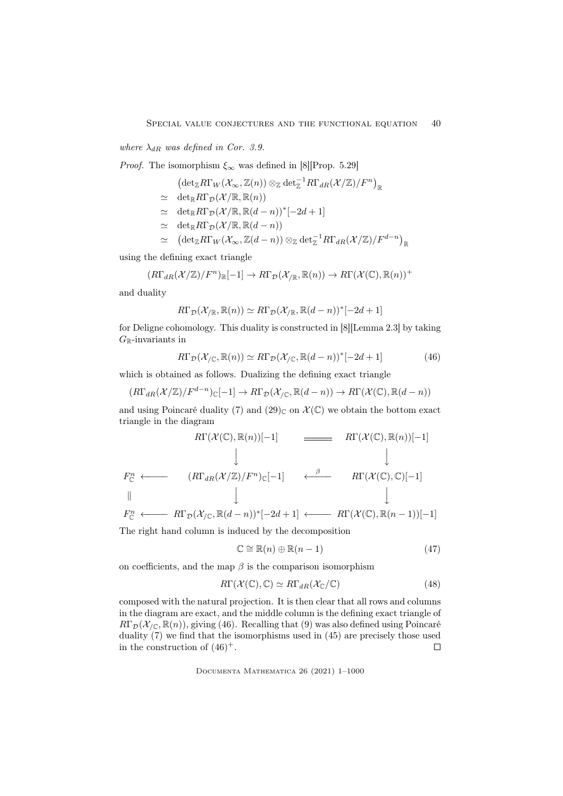where  $\lambda_{dR}$  was defined in Cor. 3.9.

*Proof.* The isomorphism  $\xi_{\infty}$  was defined in [8][Prop. 5.29]

$$
\left(\textup{det}_{\mathbb Z}R\Gamma_W(\mathcal{X}_\infty,\mathbb{Z}(n))\otimes_{\mathbb Z}\textup{det}_{\mathbb{Z}}^{-1}R\Gamma_{dR}(\mathcal{X}/\mathbb{Z})/F^n\right)_\mathbb{R}
$$

- $\simeq \det_{\mathbb{R}} R\Gamma_{\mathcal{D}}(\mathcal{X}/\mathbb{R}, \mathbb{R}(n))$
- $\cong \det_{\mathbb{R}} R\Gamma_{\mathcal{D}}(\mathcal{X}/\mathbb{R}, \mathbb{R}(d-n))^*[-2d+1]$
- $\simeq \det_{\mathbb{R}} R\Gamma_{\mathcal{D}}(\mathcal{X}/\mathbb{R}, \mathbb{R}(d-n))$
- $\quad \simeq \quad \left( {\det}_\mathbb{Z} R\Gamma_W(\mathcal{X}_\infty,\mathbb{Z}(d-n)) \otimes_{\mathbb{Z}} {\det}_\mathbb{Z}^{-1} R\Gamma_{dR}(\mathcal{X}/\mathbb{Z})/F^{d-n} \right)_\mathbb{R}$

using the defining exact triangle

$$
(R\Gamma_{dR}(\mathcal{X}/\mathbb{Z})/F^n)_{\mathbb{R}}[-1] \to R\Gamma_{\mathcal{D}}(\mathcal{X}/\mathbb{R}, \mathbb{R}(n)) \to R\Gamma(\mathcal{X}(\mathbb{C}), \mathbb{R}(n))^+
$$

and duality

$$
R\Gamma_{\mathcal{D}}(\mathcal{X}_{/\mathbb{R}}, \mathbb{R}(n)) \simeq R\Gamma_{\mathcal{D}}(\mathcal{X}_{/\mathbb{R}}, \mathbb{R}(d-n))^*[-2d+1]
$$

for Deligne cohomology. This duality is constructed in [8][Lemma 2.3] by taking  $G_{\mathbb{R}}\text{-invariants}$  in

$$
R\Gamma_{\mathcal{D}}(\mathcal{X}_{/\mathbb{C}}, \mathbb{R}(n)) \simeq R\Gamma_{\mathcal{D}}(\mathcal{X}_{/\mathbb{C}}, \mathbb{R}(d-n))^*[-2d+1]
$$
(46)

which is obtained as follows. Dualizing the defining exact triangle

$$
(R\Gamma_{dR}(\mathcal{X}/\mathbb{Z})/F^{d-n})_{\mathbb{C}}[-1] \to R\Gamma_{\mathcal{D}}(\mathcal{X}_{/\mathbb{C}},\mathbb{R}(d-n)) \to R\Gamma(\mathcal{X}(\mathbb{C}),\mathbb{R}(d-n))
$$

and using Poincaré duality (7) and (29)<sub>C</sub> on  $\mathcal{X}(\mathbb{C})$  we obtain the bottom exact triangle in the diagram

$$
R\Gamma(\mathcal{X}(\mathbb{C}), \mathbb{R}(n))[-1] \longrightarrow R\Gamma(\mathcal{X}(\mathbb{C}), \mathbb{R}(n))[-1]
$$
  
\n
$$
\downarrow \qquad \qquad \downarrow
$$
  
\n
$$
F_{\mathbb{C}}^{n} \longleftarrow (R\Gamma_{dR}(\mathcal{X}/\mathbb{Z})/F^{n})_{\mathbb{C}}[-1] \longleftarrow \stackrel{\beta}{R\Gamma(\mathcal{X}(\mathbb{C}), \mathbb{C})[-1]}
$$
  
\n
$$
\downarrow \qquad \qquad \downarrow
$$
  
\n
$$
\Gamma_{dR}(\mathcal{X}(\mathbb{Z})/F^{n})_{\mathbb{C}}[-1] \longleftarrow \stackrel{\beta}{R\Gamma(\mathcal{X}(\mathbb{C}), \mathbb{C})[-1]}
$$

$$
F_{\mathbb{C}}^n \longleftarrow R\Gamma_{\mathcal{D}}(\mathcal{X}_{/\mathbb{C}}, \mathbb{R}(d-n))^*[-2d+1] \longleftarrow R\Gamma(\mathcal{X}(\mathbb{C}), \mathbb{R}(n-1))[-1]
$$

The right hand column is induced by the decomposition

$$
\mathbb{C} \cong \mathbb{R}(n) \oplus \mathbb{R}(n-1) \tag{47}
$$

on coefficients, and the map  $\beta$  is the comparison isomorphism

$$
R\Gamma(\mathcal{X}(\mathbb{C}), \mathbb{C}) \simeq R\Gamma_{dR}(\mathcal{X}_{\mathbb{C}}/\mathbb{C})
$$
\n(48)

composed with the natural projection. It is then clear that all rows and columns in the diagram are exact, and the middle column is the defining exact triangle of  $R\Gamma_{\mathcal{D}}(\mathcal{X}_{\mathcal{N}};\mathbb{R}(n))$ , giving (46). Recalling that (9) was also defined using Poincaré duality (7) we find that the isomorphisms used in (45) are precisely those used in the construction of  $(46)^+$ .  $\Box$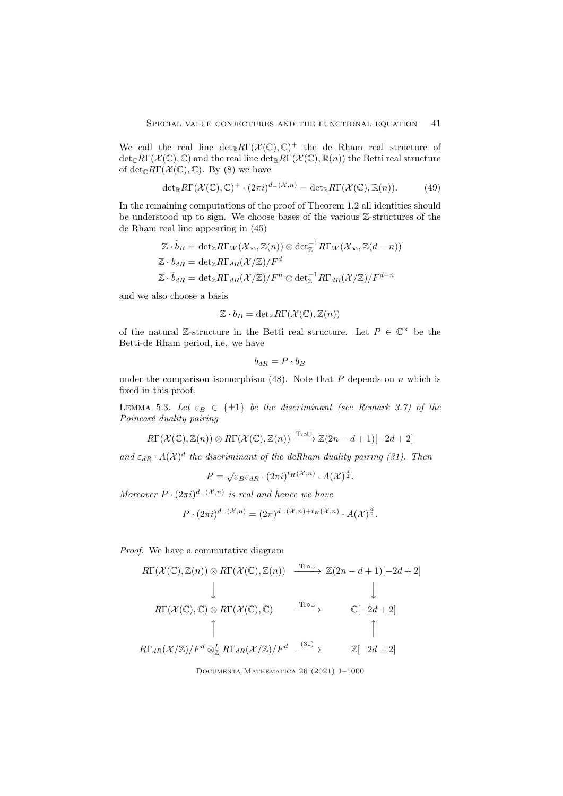We call the real line  $\det_{\mathbb{R}} R\Gamma(\mathcal{X}(\mathbb{C}), \mathbb{C})^+$  the de Rham real structure of  $\det_{\mathbb{C}} R\Gamma(\mathcal{X}(\mathbb{C}), \mathbb{C})$  and the real line  $\det_{\mathbb{R}} R\Gamma(\mathcal{X}(\mathbb{C}), \mathbb{R}(n))$  the Betti real structure of  $\det_{\mathbb{C}} R\Gamma(\mathcal{X}(\mathbb{C}), \mathbb{C})$ . By (8) we have

$$
\det_{\mathbb{R}} R\Gamma(\mathcal{X}(\mathbb{C}), \mathbb{C})^+ \cdot (2\pi i)^{d-(\mathcal{X}, n)} = \det_{\mathbb{R}} R\Gamma(\mathcal{X}(\mathbb{C}), \mathbb{R}(n)).\tag{49}
$$

In the remaining computations of the proof of Theorem 1.2 all identities should be understood up to sign. We choose bases of the various Z-structures of the de Rham real line appearing in (45)

$$
\mathbb{Z} \cdot \tilde{b}_B = \det_{\mathbb{Z}} R\Gamma_W(\mathcal{X}_{\infty}, \mathbb{Z}(n)) \otimes \det_{\mathbb{Z}}^{-1} R\Gamma_W(\mathcal{X}_{\infty}, \mathbb{Z}(d - n))
$$
  

$$
\mathbb{Z} \cdot b_{dR} = \det_{\mathbb{Z}} R\Gamma_{dR}(\mathcal{X}/\mathbb{Z}) / F^d
$$
  

$$
\mathbb{Z} \cdot \tilde{b}_{dR} = \det_{\mathbb{Z}} R\Gamma_{dR}(\mathcal{X}/\mathbb{Z}) / F^n \otimes \det_{\mathbb{Z}}^{-1} R\Gamma_{dR}(\mathcal{X}/\mathbb{Z}) / F^{d - n}
$$

and we also choose a basis

$$
\mathbb{Z} \cdot b_B = \det_{\mathbb{Z}} R\Gamma(\mathcal{X}(\mathbb{C}), \mathbb{Z}(n))
$$

of the natural Z-structure in the Betti real structure. Let  $P \in \mathbb{C}^{\times}$  be the Betti-de Rham period, i.e. we have

$$
b_{dR} = P \cdot b_B
$$

under the comparison isomorphism (48). Note that  $P$  depends on  $n$  which is fixed in this proof.

LEMMA 5.3. Let  $\varepsilon_B \in \{\pm 1\}$  be the discriminant (see Remark 3.7) of the Poincaré duality pairing

$$
R\Gamma(\mathcal{X}(\mathbb{C}),\mathbb{Z}(n))\otimes R\Gamma(\mathcal{X}(\mathbb{C}),\mathbb{Z}(n))\xrightarrow{\mathrm{Tro}\cup} \mathbb{Z}(2n-d+1)[-2d+2]
$$

and  $\varepsilon_{dR} \cdot A(\mathcal{X})^d$  the discriminant of the deRham duality pairing (31). Then

$$
P = \sqrt{\varepsilon_B \varepsilon_{dR}} \cdot (2\pi i)^{t_H(\mathcal{X}, n)} \cdot A(\mathcal{X})^{\frac{d}{2}}.
$$

Moreover  $P \cdot (2\pi i)^{d-(\mathcal{X},n)}$  is real and hence we have

$$
P \cdot (2\pi i)^{d-(\mathcal{X},n)} = (2\pi)^{d-(\mathcal{X},n)+t_H(\mathcal{X},n)} \cdot A(\mathcal{X})^{\frac{d}{2}}.
$$

Proof. We have a commutative diagram

$$
R\Gamma(\mathcal{X}(\mathbb{C}), \mathbb{Z}(n)) \otimes R\Gamma(\mathcal{X}(\mathbb{C}), \mathbb{Z}(n)) \xrightarrow{\text{Tr}\circ\cup} \mathbb{Z}(2n - d + 1)[-2d + 2]
$$
\n
$$
\downarrow \qquad \qquad \downarrow
$$
\n
$$
R\Gamma(\mathcal{X}(\mathbb{C}), \mathbb{C}) \otimes R\Gamma(\mathcal{X}(\mathbb{C}), \mathbb{C}) \xrightarrow{\text{Tr}\circ\cup} \qquad \mathbb{C}[-2d + 2]
$$
\n
$$
\uparrow
$$
\n
$$
R\Gamma_{dR}(\mathcal{X}/\mathbb{Z})/F^d \otimes_{\mathbb{Z}}^L R\Gamma_{dR}(\mathcal{X}/\mathbb{Z})/F^d \xrightarrow{(31)} \qquad \mathbb{Z}[-2d + 2]
$$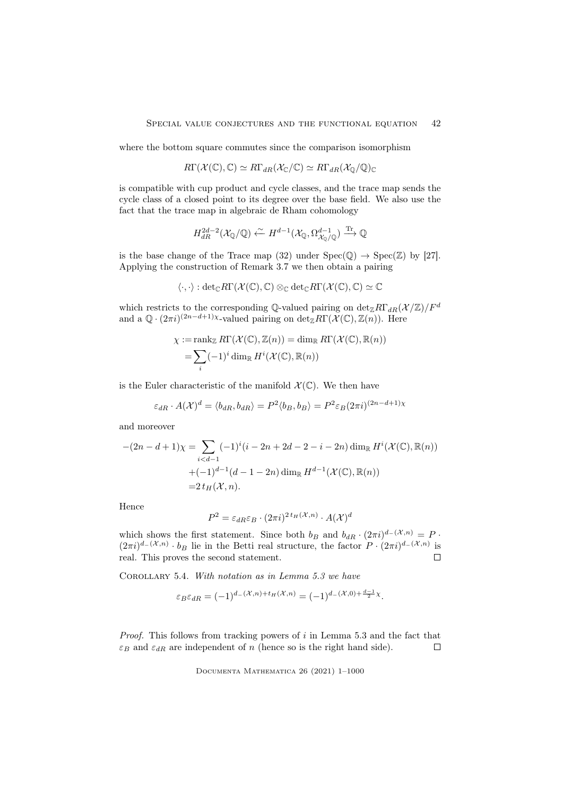where the bottom square commutes since the comparison isomorphism

$$
R\Gamma(\mathcal{X}(\mathbb{C}), \mathbb{C}) \simeq R\Gamma_{dR}(\mathcal{X}_{\mathbb{C}}/\mathbb{C}) \simeq R\Gamma_{dR}(\mathcal{X}_{\mathbb{Q}}/\mathbb{Q})_{\mathbb{C}}
$$

is compatible with cup product and cycle classes, and the trace map sends the cycle class of a closed point to its degree over the base field. We also use the fact that the trace map in algebraic de Rham cohomology

$$
H_{dR}^{2d-2}(\mathcal{X}_{\mathbb{Q}}/\mathbb{Q}) \xleftarrow{\sim} H^{d-1}(\mathcal{X}_{\mathbb{Q}}, \Omega_{\mathcal{X}_{\mathbb{Q}}/\mathbb{Q}}^{d-1}) \xrightarrow{\text{Tr}} \mathbb{Q}
$$

is the base change of the Trace map (32) under  $Spec(\mathbb{Q}) \to Spec(\mathbb{Z})$  by [27]. Applying the construction of Remark 3.7 we then obtain a pairing

$$
\langle \cdot, \cdot \rangle : \mathrm{det}_{\mathbb{C}} R\Gamma(\mathcal{X}(\mathbb{C}), \mathbb{C}) \otimes_{\mathbb{C}} \mathrm{det}_{\mathbb{C}} R\Gamma(\mathcal{X}(\mathbb{C}), \mathbb{C}) \simeq \mathbb{C}
$$

which restricts to the corresponding Q-valued pairing on  $\det_{\mathbb{Z}} R\Gamma_{dR}(\mathcal{X}/\mathbb{Z})/F^d$ and a  $\mathbb{Q} \cdot (2\pi i)^{(2n-d+1)\chi}$ -valued pairing on  $\det_{\mathbb{Z}} R\Gamma(\mathcal{X}(\mathbb{C}), \mathbb{Z}(n)).$  Here

$$
\chi := \operatorname{rank}_{\mathbb{Z}} R\Gamma(\mathcal{X}(\mathbb{C}), \mathbb{Z}(n)) = \dim_{\mathbb{R}} R\Gamma(\mathcal{X}(\mathbb{C}), \mathbb{R}(n))
$$

$$
= \sum_{i} (-1)^{i} \dim_{\mathbb{R}} H^{i}(\mathcal{X}(\mathbb{C}), \mathbb{R}(n))
$$

is the Euler characteristic of the manifold  $\mathcal{X}(\mathbb{C})$ . We then have

$$
\varepsilon_{dR} \cdot A(\mathcal{X})^d = \langle b_{dR}, b_{dR} \rangle = P^2 \langle b_B, b_B \rangle = P^2 \varepsilon_B (2\pi i)^{(2n - d + 1)\chi}
$$

and moreover

$$
-(2n - d + 1)\chi = \sum_{i < d-1} (-1)^i (i - 2n + 2d - 2 - i - 2n) \dim_{\mathbb{R}} H^i(\mathcal{X}(\mathbb{C}), \mathbb{R}(n))
$$
\n
$$
+ (-1)^{d-1} (d - 1 - 2n) \dim_{\mathbb{R}} H^{d-1}(\mathcal{X}(\mathbb{C}), \mathbb{R}(n))
$$
\n
$$
= 2 t_H(\mathcal{X}, n).
$$

Hence

$$
P^2 = \varepsilon_{dR}\varepsilon_B \cdot (2\pi i)^{2\,t_H(\mathcal{X},n)} \cdot A(\mathcal{X})^d
$$

which shows the first statement. Since both  $b_B$  and  $b_{dR} \cdot (2\pi i)^{d-(\mathcal{X},n)} = P$ .  $(2\pi i)^{d-(\mathcal{X},n)} \cdot b_B$  lie in the Betti real structure, the factor  $P \cdot (2\pi i)^{d-(\mathcal{X},n)}$  is real. This proves the second statement.  $\Box$ 

COROLLARY 5.4. With notation as in Lemma 5.3 we have

$$
\varepsilon_B \varepsilon_{dR} = (-1)^{d_{-}(\mathcal{X},n) + t_H(\mathcal{X},n)} = (-1)^{d_{-}(\mathcal{X},0) + \frac{d_{-1}}{2}\chi}.
$$

*Proof.* This follows from tracking powers of  $i$  in Lemma 5.3 and the fact that  $\varepsilon_B$  and  $\varepsilon_{dR}$  are independent of n (hence so is the right hand side).  $\Box$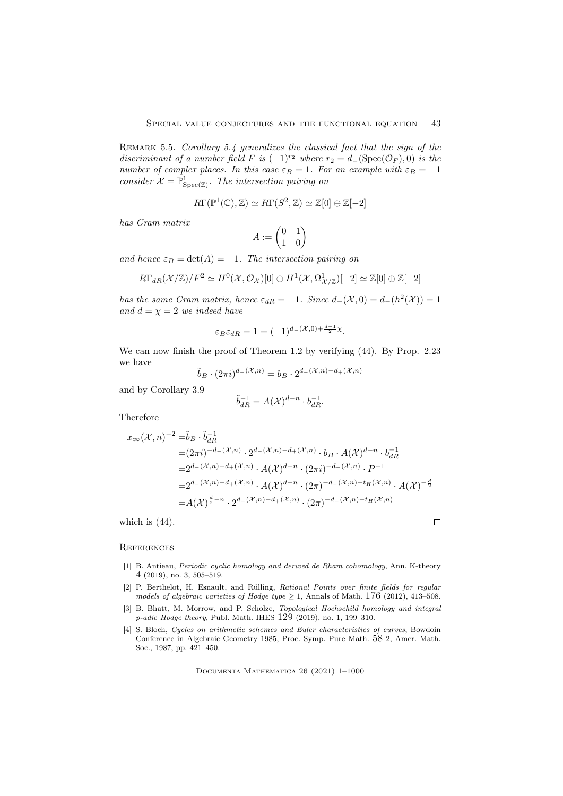REMARK 5.5. Corollary 5.4 generalizes the classical fact that the sign of the discriminant of a number field F is  $(-1)^{r_2}$  where  $r_2 = d_{-}(\text{Spec}(\mathcal{O}_F), 0)$  is the number of complex places. In this case  $\varepsilon_B = 1$ . For an example with  $\varepsilon_B = -1$ consider  $\mathcal{X} = \mathbb{P}^1_{\text{Spec}(\mathbb{Z})}$ . The intersection pairing on

$$
R\Gamma(\mathbb{P}^1(\mathbb{C}), \mathbb{Z}) \simeq R\Gamma(S^2, \mathbb{Z}) \simeq \mathbb{Z}[0] \oplus \mathbb{Z}[-2]
$$

has Gram matrix

$$
A:=\begin{pmatrix}0&1\\1&0\end{pmatrix}
$$

and hence  $\varepsilon_B = \det(A) = -1$ . The intersection pairing on

$$
R\Gamma_{dR}(\mathcal{X}/\mathbb{Z})/F^2 \simeq H^0(\mathcal{X}, \mathcal{O}_{\mathcal{X}})[0] \oplus H^1(\mathcal{X}, \Omega^1_{\mathcal{X}/\mathbb{Z}})[-2] \simeq \mathbb{Z}[0] \oplus \mathbb{Z}[-2]
$$

has the same Gram matrix, hence  $\varepsilon_{dR} = -1$ . Since  $d_{-}(\mathcal{X}, 0) = d_{-}(h^{2}(\mathcal{X})) = 1$ and  $d = \chi = 2$  we indeed have

$$
\varepsilon_B \varepsilon_{dR} = 1 = (-1)^{d - (\mathcal{X}, 0) + \frac{d-1}{2}\chi}.
$$

We can now finish the proof of Theorem 1.2 by verifying (44). By Prop. 2.23 we have

$$
\tilde{b}_B \cdot (2\pi i)^{d-(\mathcal{X},n)} = b_B \cdot 2^{d-(\mathcal{X},n)-d+(\mathcal{X},n)}
$$

and by Corollary 3.9

$$
\tilde{b}_{dR}^{-1} = A(\mathcal{X})^{d-n} \cdot b_{dR}^{-1}.
$$

Therefore

$$
x_{\infty}(\mathcal{X}, n)^{-2} = \tilde{b}_B \cdot \tilde{b}_{dR}^{-1}
$$
  
\n
$$
= (2\pi i)^{-d_{-}(\mathcal{X}, n)} \cdot 2^{d_{-}(\mathcal{X}, n) - d_{+}(\mathcal{X}, n)} \cdot b_B \cdot A(\mathcal{X})^{d - n} \cdot b_{dR}^{-1}
$$
  
\n
$$
= 2^{d_{-}(\mathcal{X}, n) - d_{+}(\mathcal{X}, n)} \cdot A(\mathcal{X})^{d - n} \cdot (2\pi i)^{-d_{-}(\mathcal{X}, n)} \cdot P^{-1}
$$
  
\n
$$
= 2^{d_{-}(\mathcal{X}, n) - d_{+}(\mathcal{X}, n)} \cdot A(\mathcal{X})^{d - n} \cdot (2\pi)^{-d_{-}(\mathcal{X}, n) - t_H(\mathcal{X}, n)} \cdot A(\mathcal{X})^{-\frac{d}{2}}
$$
  
\n
$$
= A(\mathcal{X})^{\frac{d}{2} - n} \cdot 2^{d_{-}(\mathcal{X}, n) - d_{+}(\mathcal{X}, n)} \cdot (2\pi)^{-d_{-}(\mathcal{X}, n) - t_H(\mathcal{X}, n)}
$$

which is  $(44)$ .

### **REFERENCES**

[1] B. Antieau, Periodic cyclic homology and derived de Rham cohomology, Ann. K-theory 4 (2019), no. 3, 505–519.

 $\Box$ 

- [2] P. Berthelot, H. Esnault, and Rülling, Rational Points over finite fields for regular models of algebraic varieties of Hodge type  $\geq$  1, Annals of Math. 176 (2012), 413–508.
- [3] B. Bhatt, M. Morrow, and P. Scholze, *Topological Hochschild homology and integral* p-adic Hodge theory, Publ. Math. IHES 129 (2019), no. 1, 199–310.
- [4] S. Bloch, Cycles on arithmetic schemes and Euler characteristics of curves, Bowdoin Conference in Algebraic Geometry 1985, Proc. Symp. Pure Math. 58 2, Amer. Math. Soc., 1987, pp. 421–450.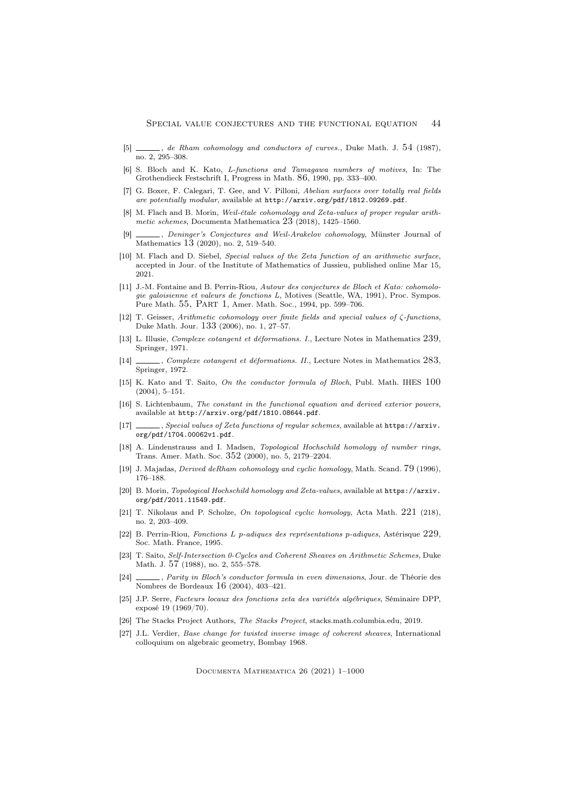- [5]  $\qquad \qquad$ , de Rham cohomology and conductors of curves., Duke Math. J. 54 (1987), no. 2, 295–308.
- [6] S. Bloch and K. Kato, L-functions and Tamagawa numbers of motives, In: The Grothendieck Festschrift I, Progress in Math. 86, 1990, pp. 333–400.
- [7] G. Boxer, F. Calegari, T. Gee, and V. Pilloni, Abelian surfaces over totally real fields are potentially modular, available at http://arxiv.org/pdf/1812.09269.pdf.
- [8] M. Flach and B. Morin, Weil-étale cohomology and Zeta-values of proper regular arithmetic schemes, Documenta Mathematica  $23(2018)$ , 1425–1560.
- [9]  $\_\_\_\_\$ , Deninger's Conjectures and Weil-Arakelov cohomology, Münster Journal of Mathematics 13 (2020), no. 2, 519–540.
- [10] M. Flach and D. Siebel, Special values of the Zeta function of an arithmetic surface, accepted in Jour. of the Institute of Mathematics of Jussieu, published online Mar 15, 2021.
- [11] J.-M. Fontaine and B. Perrin-Riou, Autour des conjectures de Bloch et Kato: cohomologie galoisienne et valeurs de fonctions L, Motives (Seattle, WA, 1991), Proc. Sympos. Pure Math. 55, Part 1, Amer. Math. Soc., 1994, pp. 599–706.
- [12] T. Geisser, Arithmetic cohomology over finite fields and special values of ζ-functions, Duke Math. Jour. 133 (2006), no. 1, 27–57.
- [13] L. Illusie, Complexe cotangent et déformations. I., Lecture Notes in Mathematics 239, Springer, 1971.
- [14] , Complexe cotangent et déformations. II., Lecture Notes in Mathematics 283, Springer, 1972.
- [15] K. Kato and T. Saito, On the conductor formula of Bloch, Publ. Math. IHES 100 (2004), 5–151.
- [16] S. Lichtenbaum, The constant in the functional equation and derived exterior powers, available at http://arxiv.org/pdf/1810.08644.pdf.
- [17] , Special values of Zeta functions of regular schemes, available at https://arxiv. org/pdf/1704.00062v1.pdf.
- [18] A. Lindenstrauss and I. Madsen, Topological Hochschild homology of number rings, Trans. Amer. Math. Soc. 352 (2000), no. 5, 2179–2204.
- [19] J. Majadas, Derived deRham cohomology and cyclic homology, Math. Scand. 79 (1996), 176–188.
- [20] B. Morin, Topological Hochschild homology and Zeta-values, available at https://arxiv. org/pdf/2011.11549.pdf.
- [21] T. Nikolaus and P. Scholze, On topological cyclic homology, Acta Math. 221 (218), no. 2, 203–409.
- [22] B. Perrin-Riou, Fonctions L p-adiques des représentations p-adiques, Astérisque  $229$ , Soc. Math. France, 1995.
- [23] T. Saito, Self-Intersection 0-Cycles and Coherent Sheaves on Arithmetic Schemes, Duke Math. J. 57 (1988), no. 2, 555–578.
- [24] , Parity in Bloch's conductor formula in even dimensions, Jour. de Théorie des Nombres de Bordeaux 16 (2004), 403–421.
- [25] J.P. Serre, Facteurs locaux des fonctions zeta des variétés algébriques, Séminaire DPP, exposé 19 (1969/70).
- [26] The Stacks Project Authors, The Stacks Project, stacks.math.columbia.edu, 2019.
- [27] J.L. Verdier, Base change for twisted inverse image of coherent sheaves, International colloquium on algebraic geometry, Bombay 1968.